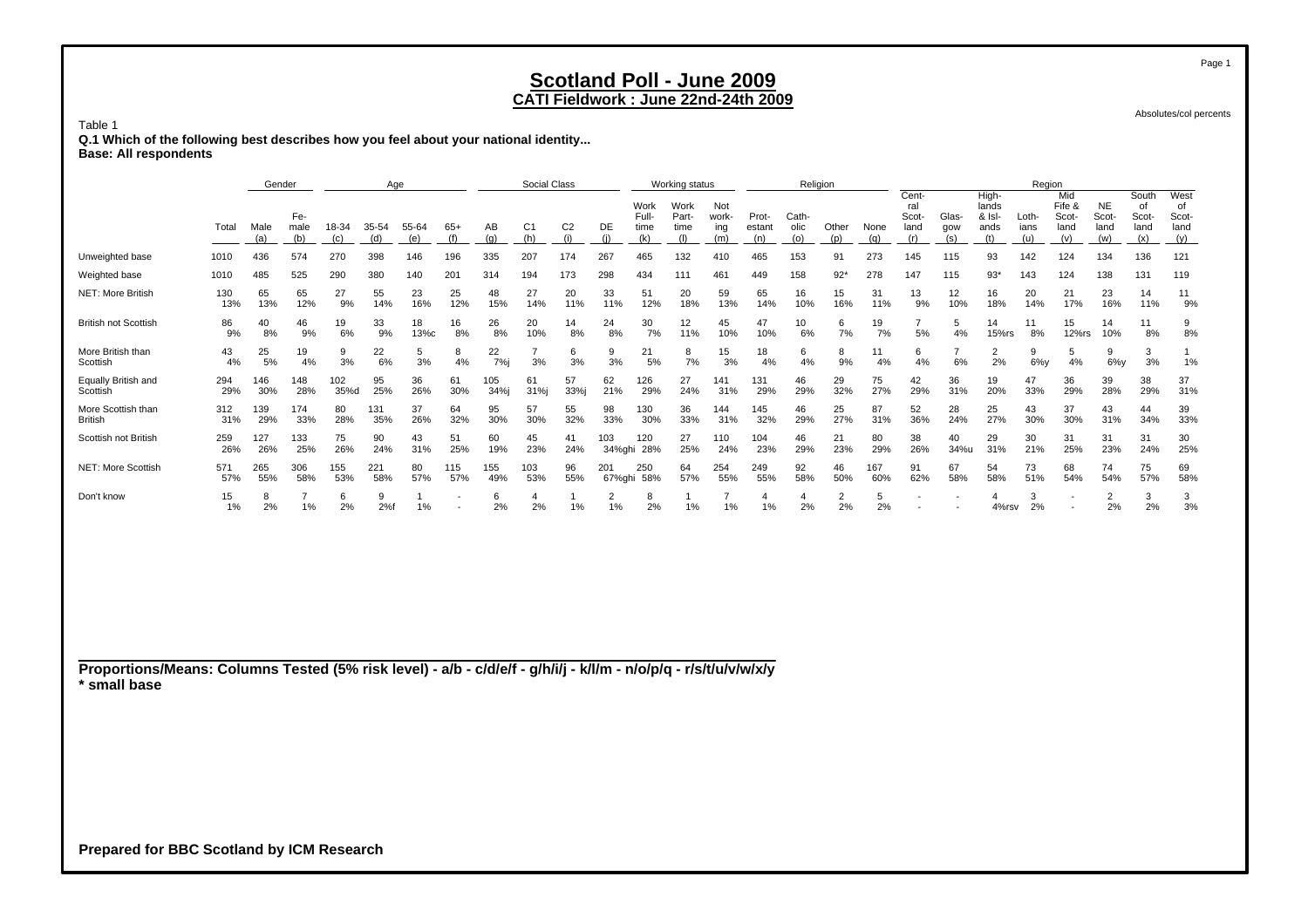Absolutes/col percents

 **Q.1 Which of the following best describes how you feel about your national identity... Base: All respondents**

Table 1

|                                                                                                                                 |            | Gender      |                      |              | Age          |              |              |             | Social Class          |                       |                      |                              | Working status               |                            |                        |                      | Religion             |             |                                      |                      |                                         | Region               |                                       |                                   |                                     |                                    |
|---------------------------------------------------------------------------------------------------------------------------------|------------|-------------|----------------------|--------------|--------------|--------------|--------------|-------------|-----------------------|-----------------------|----------------------|------------------------------|------------------------------|----------------------------|------------------------|----------------------|----------------------|-------------|--------------------------------------|----------------------|-----------------------------------------|----------------------|---------------------------------------|-----------------------------------|-------------------------------------|------------------------------------|
|                                                                                                                                 | Total      | Male<br>(a) | Fe-<br>male<br>(b)   | 18-34<br>(c) | 35-54<br>(d) | 55-64<br>(e) | $65+$<br>(f) | AB<br>(q)   | C <sub>1</sub><br>(h) | C <sub>2</sub><br>(i) | DE<br>(i)            | Work<br>Full-<br>time<br>(k) | Work<br>Part-<br>time<br>(1) | Not<br>work-<br>ing<br>(m) | Prot-<br>estant<br>(n) | Cath-<br>olic<br>(o) | Other<br>(p)         | None<br>(q) | Cent-<br>ral<br>Scot-<br>land<br>(r) | Glas-<br>gow<br>(s)  | High-<br>lands<br>& Isl-<br>ands<br>(t) | Loth-<br>ians<br>(u) | Mid<br>Fife &<br>Scot-<br>land<br>(v) | <b>NE</b><br>Scot-<br>land<br>(w) | South<br>of<br>Scot-<br>land<br>(x) | West<br>of<br>Scot-<br>land<br>(y) |
| Unweighted base                                                                                                                 | 1010       | 436         | 574                  | 270          | 398          | 146          | 196          | 335         | 207                   | 174                   | 267                  | 465                          | 132                          | 410                        | 465                    | 153                  | 91                   | 273         | 145                                  | 115                  | 93                                      | 142                  | 124                                   | 134                               | 136                                 | 121                                |
| Weighted base                                                                                                                   | 1010       | 485         | 525                  | 290          | 380          | 140          | 201          | 314         | 194                   | 173                   | 298                  | 434                          | 111                          | 461                        | 449                    | 158                  | $92*$                | 278         | 147                                  | 115                  | $93*$                                   | 143                  | 124                                   | 138                               | 131                                 | 119                                |
| NET: More British                                                                                                               | 130<br>13% | 65<br>13%   | 65<br>12%            | 27<br>9%     | 55<br>14%    | 23<br>16%    | 25<br>12%    | 48<br>15%   | 27<br>14%             | 20<br>11%             | 33<br>11%            | 51<br>12%                    | 20<br>18%                    | 59<br>13%                  | 65<br>14%              | 16<br>10%            | 15<br>16%            | 31<br>11%   | 13<br>9%                             | 12<br>10%            | 16<br>18%                               | 20<br>14%            | 21<br>17%                             | 23<br>16%                         | 14<br>11%                           | 11<br>9%                           |
| <b>British not Scottish</b>                                                                                                     | 86<br>9%   | 40<br>8%    | 46<br>9%             | 19<br>6%     | 33<br>9%     | 18<br>13%с   | 16<br>8%     | 26<br>8%    | 20<br>10%             | 14<br>8%              | 24<br>8%             | 30<br>7%                     | 12<br>11%                    | 45<br>10%                  | 47<br>10%              | 10<br>6%             | 6<br>7%              | 19<br>7%    | $\overline{7}$<br>5%                 | 5<br>4%              | 14<br>15%rs                             | 11<br>8%             | 15<br>12%rs                           | 14<br>10%                         | 11<br>8%                            | 9<br>8%                            |
| More British than<br>Scottish                                                                                                   | 43<br>4%   | 25<br>5%    | 19<br>4%             | 9<br>3%      | 22<br>6%     | 5<br>3%      | 8<br>4%      | 22<br>7%    | $\overline{7}$<br>3%  | 6<br>3%               | 9<br>3%              | 21<br>5%                     | 8<br>7%                      | 15<br>3%                   | 18<br>4%               | 6<br>4%              | 8<br>9%              | 11<br>4%    | 6<br>4%                              | $\overline{7}$<br>6% | $\overline{2}$<br>2%                    | 9<br>$6\%$ y         | 5<br>4%                               | 9<br>$6\%y$                       | 3<br>3%                             | $\mathbf{1}$<br>1%                 |
| Equally British and<br>Scottish                                                                                                 | 294<br>29% | 146<br>30%  | 148<br>28%           | 102<br>35%d  | 95<br>25%    | 36<br>26%    | 61<br>30%    | 105<br>34%j | 61<br>31%j            | 57<br>33%j            | 62<br>21%            | 126<br>29%                   | 27<br>24%                    | 141<br>31%                 | 131<br>29%             | 46<br>29%            | 29<br>32%            | 75<br>27%   | 42<br>29%                            | 36<br>31%            | 19<br>20%                               | 47<br>33%            | 36<br>29%                             | 39<br>28%                         | 38<br>29%                           | 37<br>31%                          |
| More Scottish than<br>British                                                                                                   | 312<br>31% | 139<br>29%  | 174<br>33%           | 80<br>28%    | 131<br>35%   | 37<br>26%    | 64<br>32%    | 95<br>30%   | 57<br>30%             | 55<br>32%             | 98<br>33%            | 130<br>30%                   | 36<br>33%                    | 144<br>31%                 | 145<br>32%             | 46<br>29%            | 25<br>27%            | 87<br>31%   | 52<br>36%                            | 28<br>24%            | 25<br>27%                               | 43<br>30%            | 37<br>30%                             | 43<br>31%                         | 44<br>34%                           | 39<br>33%                          |
| Scottish not British                                                                                                            | 259<br>26% | 127<br>26%  | 133<br>25%           | 75<br>26%    | 90<br>24%    | 43<br>31%    | 51<br>25%    | 60<br>19%   | 45<br>23%             | 41<br>24%             | 103                  | 120<br>34%ghi 28%            | 27<br>25%                    | 110<br>24%                 | 104<br>23%             | 46<br>29%            | 21<br>23%            | 80<br>29%   | 38<br>26%                            | 40<br>34%u           | 29<br>31%                               | 30<br>21%            | 31<br>25%                             | 31<br>23%                         | 31<br>24%                           | 30<br>25%                          |
| <b>NET: More Scottish</b>                                                                                                       | 571<br>57% | 265<br>55%  | 306<br>58%           | 155<br>53%   | 221<br>58%   | 80<br>57%    | 115<br>57%   | 155<br>49%  | 103<br>53%            | 96<br>55%             | 201                  | 250<br>67%ghi 58%            | 64<br>57%                    | 254<br>55%                 | 249<br>55%             | 92<br>58%            | 46<br>50%            | 167<br>60%  | 91<br>62%                            | 67<br>58%            | 54<br>58%                               | 73<br>51%            | 68<br>54%                             | 74<br>54%                         | 75<br>57%                           | 69<br>58%                          |
| Don't know                                                                                                                      | 15<br>1%   | 8<br>2%     | $\overline{7}$<br>1% | 6<br>2%      | 9<br>2%f     | 1<br>1%      |              | 6<br>2%     | 4<br>2%               | $\mathbf{1}$<br>1%    | $\overline{2}$<br>1% | 8<br>2%                      | -1<br>1%                     | $\overline{7}$<br>1%       | $\overline{4}$<br>1%   | $\overline{4}$<br>2% | $\overline{2}$<br>2% | 5<br>2%     |                                      |                      | 4<br>4%rsv                              | 3<br>2%              |                                       | $\overline{2}$<br>2%              | 3<br>2%                             | 3<br>3%                            |
| Proportions/Means: Columns Tested (5% risk level) - a/b - c/d/e/f - g/h/i/j - k/l/m - n/o/p/q - r/s/t/u/v/w/x/y<br>* small base |            |             |                      |              |              |              |              |             |                       |                       |                      |                              |                              |                            |                        |                      |                      |             |                                      |                      |                                         |                      |                                       |                                   |                                     |                                    |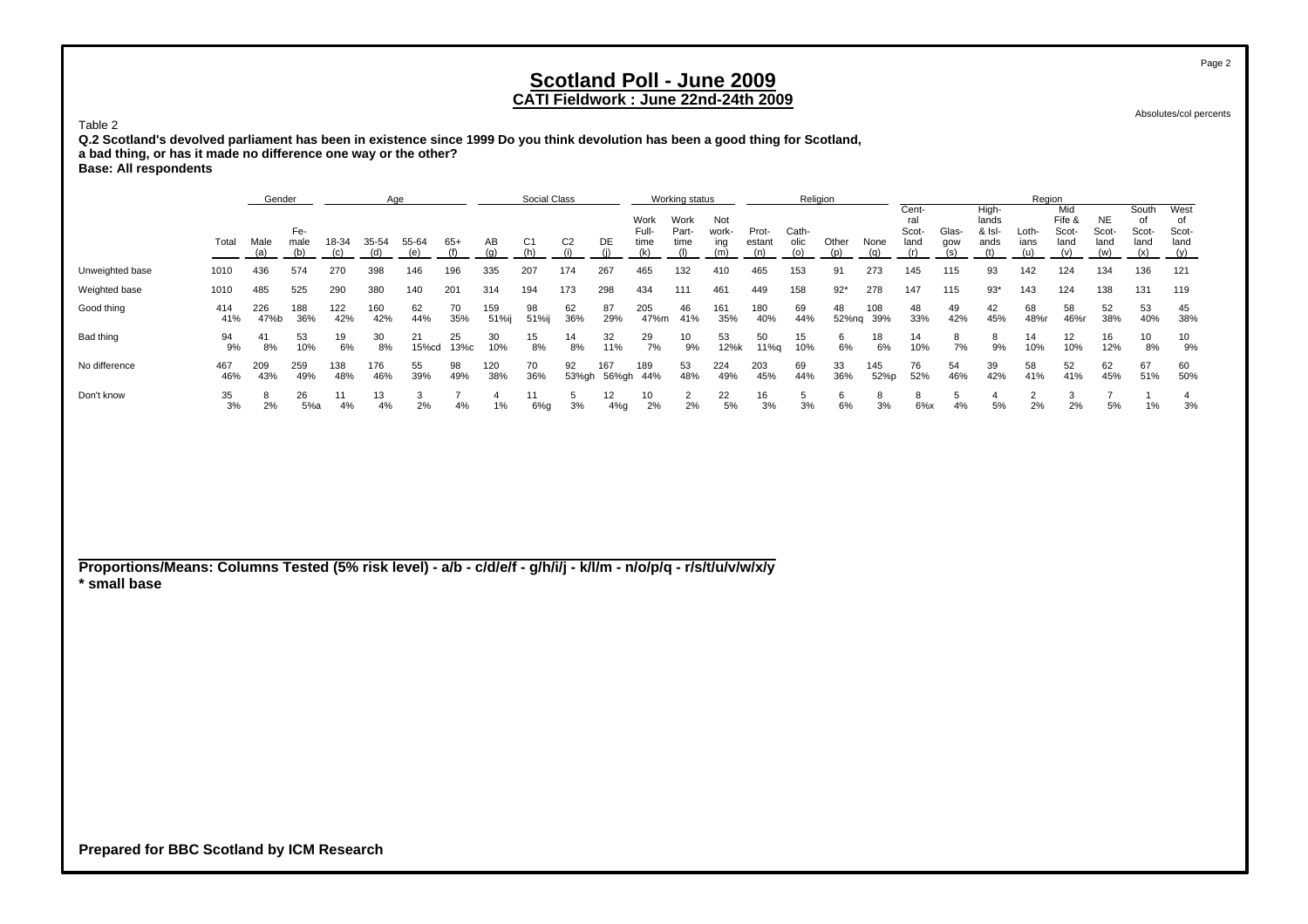### **CATI Fieldwork : June 22nd-24th 2009**

Absolutes/col percents

Page 2

**Q.2 Scotland's devolved parliament has been in existence since 1999 Do you think devolution has been a good thing for Scotland, a bad thing, or has it made no difference one way or the other? Base: All respondents**

Genderr and Age Social Class Working status Religion Religion Records Age Region Cent- High- Mid South West Work Work Not ral lands Fife &Fife & NE of of<br>Scot- Scot- Scot- Sco Fe- Full- Part- work- Prot- Cath- Scot- Glas- & Isl- Loth- Scot- Scot- Scot- Scot-Total Malemale 18-34 35-54 55-64 65+ AB C1 C2 DE time time ing estant olic Other None land gow ands ians land land land land (a) (b) (c) (d) (e) (f) (g) (h) (i) (j) (k) (l) (m) (n) (o) (p) (q) (r) (s) (t) (u) (v) (w) (x) (y) Unweighted base 1010 436 574 270 398 146 196 335 207 174 267 465 132 410 465 153 91 273 145 115 93 142 124 134 136 121 Weighted base 1010 485 525 290 380 140 201 314 194 173 298 434 111 461 449 158 92\* 278 147 115 93\* 143 124 138 131 119 Good thing 414 226 188 122 160 62 70 159 98 62 87 205 46 161 180 69 48 108 48 49 42 68 58 52 53 45 41% 47%b 36% 42% 42% 44% 35% 51%ij 51%ij 36% 29% 47%m 41% 35% 40% 44% 52%nq 39% 33% 42% 45% 48%r 46%r 38% 40% 38% Bad thing 94 41 53 19 30 21 25 30 15 14 32 29 10 53 50 15 6 18 14 8 8 14 12 16 10 10 9% 8% 10% 6% 8% 15%cd 13%c 10% 8% 8% 11% 7% 9% 12%k 11%q 10% 6% 6% 10% 7% 9% 10% 10% 12% 8% 9% No difference 467 209 259 138 176 55 98 120 70 92 167 189 53 224 203 69 33 145 76 54 39 58 52 62 67 60 46% 43% 49% 48% 46% 39% 49% 38% 36% 53%gh 56%gh 44% 48% 49% 45% 44% 36% 52%p 52% 46% 42% 41% 41% 45% 51% 50% Don't know 35 8 26 11 13 3 7 4 11 5 12 10 2 22 16 5 6 8 8 5 4 2 3 7 1 4 3%2% 5%a 4% 4% 2% 4% 1% 6%g 3% 4%g 2% 2% 5% 3% 3% 6% 3% 6%x 4% 5% 2% 2% 5% 1% 3%

**Proportions/Means: Columns Tested (5% risk level) - a/b - c/d/e/f - g/h/i/j - k/l/m - n/o/p/q - r/s/t/u/v/w/x/y \* small base**

**Prepared for BBC Scotland by ICM Research**

Table 2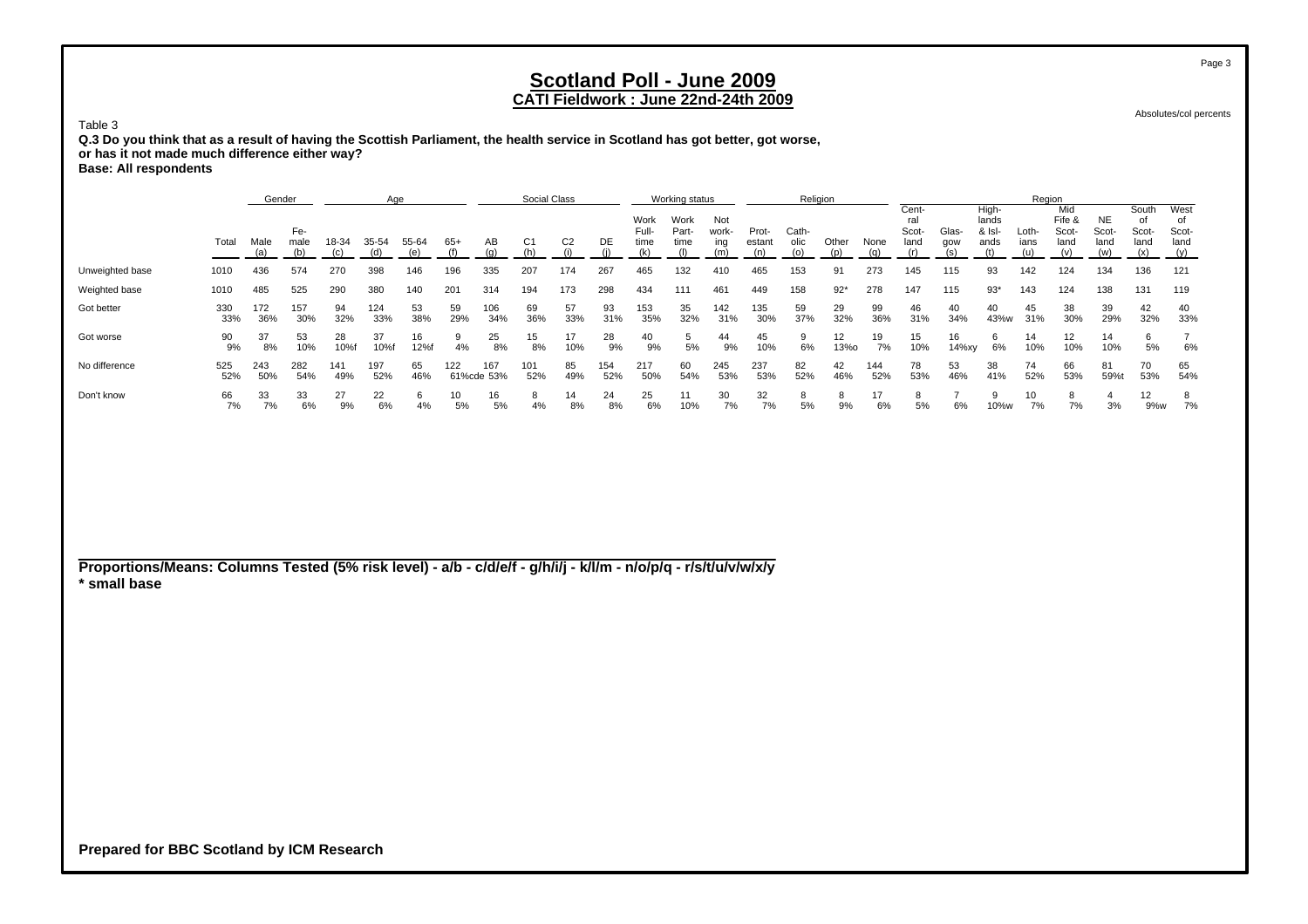### **CATI Fieldwork : June 22nd-24th 2009**

Absolutes/col percents

**Q.3 Do you think that as a result of having the Scottish Parliament, the health service in Scotland has got better, got worse, or has it not made much difference either way? Base: All respondents**

Genderr and Age Social Class Working status Religion Religion Records Age Region Cent- High- Mid South West Work Work Not ral lands Fife &Fife & NE of of<br>Scot- Scot- Scot- Sco Fe- Full- Part- work- Prot- Cath- Scot- Glas- & Isl- Loth- Scot- Scot- Scot- Scot-Total Malemale 18-34 35-54 55-64 65+ AB C1 C2 DE time time ing estant olic Other None land gow ands ians land land land land (a) (b) (c) (d) (e) (f) (g) (h) (i) (j) (k) (l) (m) (n) (o) (p) (q) (r) (s) (t) (u) (v) (w) (x) (y) Unweighted base 1010 436 574 270 398 146 196 335 207 174 267 465 132 410 465 153 91 273 145 115 93 142 124 134 136 121 Weighted base 1010 485 525 290 380 140 201 314 194 173 298 434 111 461 449 158 92\* 278 147 115 93\* 143 124 138 131 119 Got better 330 172 157 94 124 53 59 106 69 57 93 153 35 142 135 59 29 99 46 40 40 45 38 39 42 40 33% 36% 30% 32% 33% 38% 29% 34% 36% 33% 31% 35% 32% 31% 30% 37% 32% 36% 31% 34% 43%w 31% 30% 29% 32% 33% Got worse 90 37 53 28 37 16 9 25 15 17 28 40 5 44 45 9 12 19 15 16 6 14 12 14 6 7 9% 8% 10% 10%f 10%f 12%f 4% 8% 8% 10% 9% 9% 5% 9% 10% 6% 13%o 7% 10% 14%xy 6% 10% 10% 10% 5% 6% No difference 525 243 282 141 197 65 122 167 101 85 154 217 60 245 237 82 42 144 78 53 38 74 66 81 70 65 52% 50% 54% 49% 52% 46% 61%cde 53% 52% 49% 52% 50% 54% 53% 53% 52% 46% 52% 53% 46% 41% 52% 53% 59%t 53% 54% Don't know 66 33 33 27 22 6 10 16 8 14 24 25 11 30 32 8 8 17 8 7 9 10 8 4 12 8 7%7% 6% 9% 6% 4% 5% 5% 4% 8% 8% 6% 10% 7% 7% 5% 9% 6% 5% 6% 10%w 7% 7% 3% 9%w 7%

**Proportions/Means: Columns Tested (5% risk level) - a/b - c/d/e/f - g/h/i/j - k/l/m - n/o/p/q - r/s/t/u/v/w/x/y \* small base**

**Prepared for BBC Scotland by ICM Research**

Table 3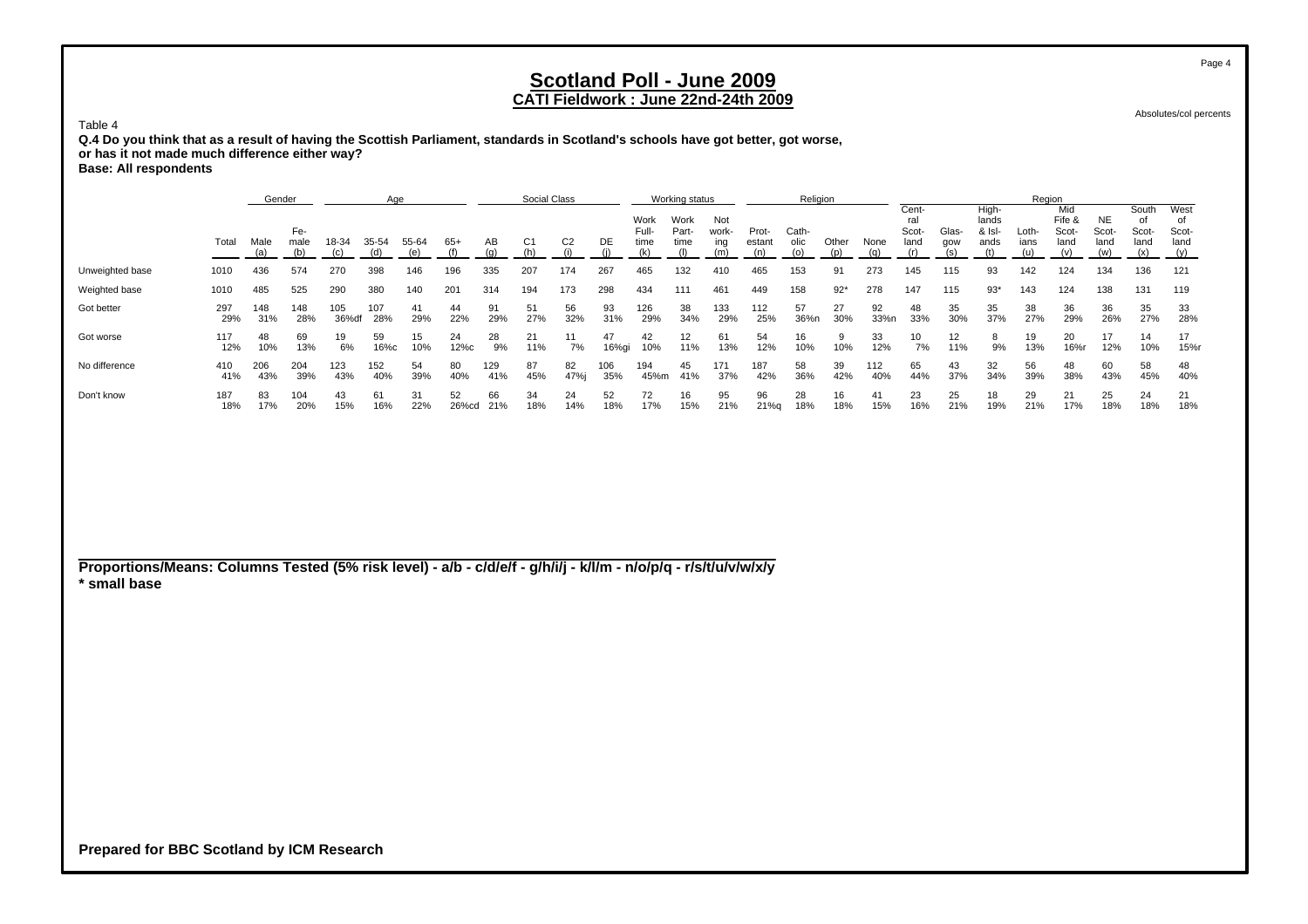### **CATI Fieldwork : June 22nd-24th 2009**

Absolutes/col percents

Table 4 **Q.4 Do you think that as a result of having the Scottish Parliament, standards in Scotland's schools have got better, got worse, or has it not made much difference either way? Base: All respondents**

|                 |            | Gender      |                                                                                                                              |              | Age        |           |             |            | Social Class |            |                       |                       | Working status      |                        |               | Religion     |           |                               |              |                                                   |               | Region                         |                           |                                   |                                   |            |
|-----------------|------------|-------------|------------------------------------------------------------------------------------------------------------------------------|--------------|------------|-----------|-------------|------------|--------------|------------|-----------------------|-----------------------|---------------------|------------------------|---------------|--------------|-----------|-------------------------------|--------------|---------------------------------------------------|---------------|--------------------------------|---------------------------|-----------------------------------|-----------------------------------|------------|
|                 | Total      | Male<br>(a) | Fe-<br>55-64<br>18-34<br>35-54<br>$65+$<br>male<br>(e)<br>270<br>574<br>398<br>146<br>196<br>290<br>380<br>525<br>140<br>201 |              |            |           | ΑВ          | C1         | C2           | DE         | Work<br>Full-<br>time | Work<br>Part-<br>time | Not<br>work-<br>ing | Prot-<br>estant<br>(n) | Cath-<br>olic | Other<br>(n) | None      | Cent-<br>ral<br>Scot-<br>land | Glas-<br>qow | High-<br>lands<br>$&$ $\vert$ s $\vert$ -<br>ands | Loth-<br>ians | Mid<br>Fife &<br>Scot-<br>land | NE<br>Scot<br>land<br>(w) | South<br>O<br>Scot<br>land<br>(x) | West<br>O<br>Scot-<br>land<br>(y) |            |
| Unweighted base | 1010       | 436         |                                                                                                                              |              |            |           |             | 335        | 207          | 174        | 267                   | 465                   | 132                 | 410                    | 465           | 153          | 91        | 273                           | 145          | 115                                               | 93            | 142                            | 124                       | 134                               | 136                               | 121        |
| Weighted base   | 1010       | 485         |                                                                                                                              |              |            |           |             | 314        | 194          | 173        | 298                   | 434                   | 111                 | 461                    | 449           | 158          | $92*$     | 278                           | 147          | 115                                               | $93*$         | 143                            | 124                       | 138                               | 131                               | 119        |
| Got better      | 297<br>29% | 148<br>31%  | 148<br>28%                                                                                                                   | 105<br>36%df | 107<br>28% | 41<br>29% | 44<br>22%   | 91<br>29%  | 51<br>27%    | 56<br>32%  | 93<br>31%             | 126<br>29%            | 38<br>34%           | 133<br>29%             | 112<br>25%    | 57<br>36%n   | 27<br>30% | 92<br>33%n                    | 48<br>33%    | 35<br>30%                                         | 35<br>37%     | 38<br>27%                      | 36<br>29%                 | 36<br>26%                         | 35<br>27%                         | 33<br>28%  |
| Got worse       | 117<br>12% | 48<br>10%   | 69<br>13%                                                                                                                    | 19<br>6%     | 59<br>16%с | 15<br>10% | 24<br>12%c  | 28<br>9%   | 21<br>11%    | 7%         | 47<br>16%gi           | 42<br>10%             | 12<br>11%           | 61<br>13%              | 54<br>12%     | 16<br>10%    | 10%       | 33<br>12%                     | 10<br>7%     | 12<br>11%                                         | 9%            | 19<br>13%                      | 20<br>16%                 | 17<br>12%                         | 14<br>10%                         | 17<br>15%r |
| No difference   | 410<br>41% | 206<br>43%  | 204<br>39%                                                                                                                   | 123<br>43%   | 152<br>40% | 54<br>39% | 80<br>40%   | 129<br>41% | 87<br>45%    | 82<br>47%i | 106<br>35%            | 194<br>45%m           | 45<br>41%           | 171<br>37%             | 187<br>42%    | 58<br>36%    | 39<br>42% | 112<br>40%                    | 65<br>44%    | 43<br>37%                                         | 32<br>34%     | 56<br>39%                      | 48<br>38%                 | 60<br>43%                         | 58<br>45%                         | 48<br>40%  |
| Don't know      | 187<br>18% | 83<br>17%   | 104<br>20%                                                                                                                   | 43<br>15%    | 61<br>16%  | 31<br>22% | 52<br>26%cd | 66<br>21%  | 34<br>18%    | 24<br>14%  | 52<br>18%             | 72<br>17%             | 16<br>15%           | 95<br>21%              | 96<br>21%q    | 28<br>18%    | 16<br>18% | 41<br>15%                     | 23<br>16%    | 25<br>21%                                         | 18<br>19%     | 29<br>21%                      | 21<br>17%                 | 25<br>18%                         | 24<br>18%                         | 21<br>18%  |

**Proportions/Means: Columns Tested (5% risk level) - a/b - c/d/e/f - g/h/i/j - k/l/m - n/o/p/q - r/s/t/u/v/w/x/y \* small base**

**Prepared for BBC Scotland by ICM Research**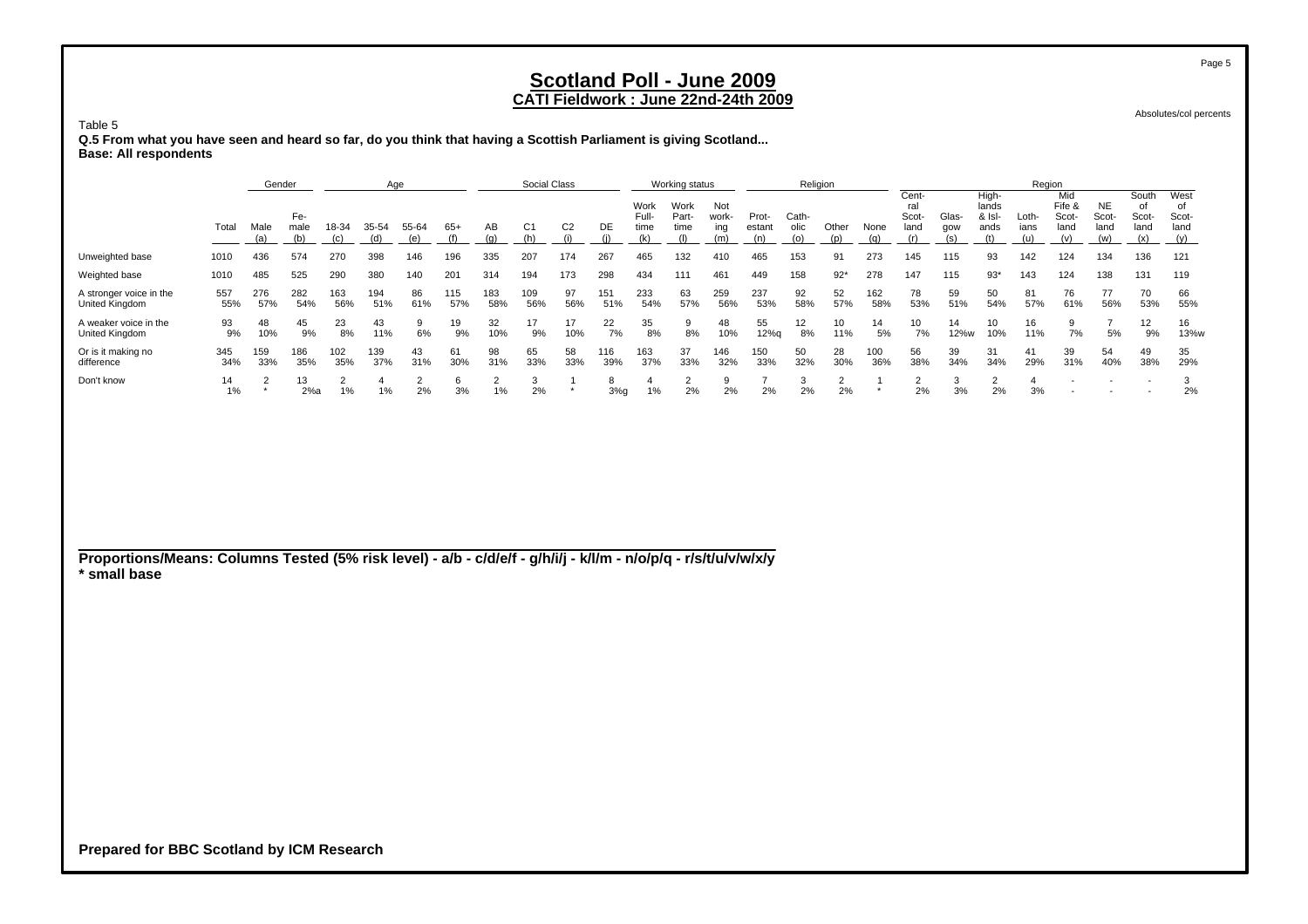#### **CATI Fieldwork : June 22nd-24th 2009**

Absolutes/col percents

Table 5

 **Q.5 From what you have seen and heard so far, do you think that having a Scottish Parliament is giving Scotland... Base: All respondents**

|                                           |            | Gender                    |             |            | Age        |           |            |            | Social Class   |                |            |                       | Working status        |                     |                 | Religion      |           |                |                               |              |                                  | Region               |                                |                            |                              |                             |
|-------------------------------------------|------------|---------------------------|-------------|------------|------------|-----------|------------|------------|----------------|----------------|------------|-----------------------|-----------------------|---------------------|-----------------|---------------|-----------|----------------|-------------------------------|--------------|----------------------------------|----------------------|--------------------------------|----------------------------|------------------------------|-----------------------------|
|                                           | Total      | Male                      | Fe-<br>male | 18-34      | 35-54      | 55-64     | $65+$      | AB         | C <sub>1</sub> | C <sub>2</sub> | DE         | Work<br>Full-<br>time | Work<br>Part-<br>time | Not<br>work-<br>ing | Prot-<br>estant | Cath-<br>olic | Other     | None           | Cent-<br>ral<br>Scot-<br>land | Glas-<br>gow | High-<br>lands<br>& Isl-<br>ands | Loth-<br>ians        | Mid<br>Fife &<br>Scot-<br>land | <b>NE</b><br>Scot-<br>land | South<br>of<br>Scot-<br>land | West<br>οf<br>Scot-<br>land |
|                                           |            | (a)                       | (b)         | (c)        | (d)        | (e)       | (f)        | (q)        | (h)            | (i)            | (i)        | (k)                   | (1)                   | (m)                 | (n)             | (o)           | (p)       | (q)            | (r)                           | (s)          | (t)                              | (u)                  | (v)                            | (w)                        | (x)                          | (y)                         |
| Unweighted base                           | 1010       | 436                       | 574         | 270        | 398        | 146       | 196        | 335        | 207            | 174            | 267        | 465                   | 132                   | 410                 | 465             | 153           | 91        | 273            | 145                           | 115          | 93                               | 142                  | 124                            | 134                        | 136                          | 121                         |
| Weighted base                             | 1010       | 485                       | 525         | 290        | 380        | 140       | 201        | 314        | 194            | 173            | 298        | 434                   | 111                   | 461                 | 449             | 158           | $92*$     | 278            | 147                           | 115          | $93*$                            | 143                  | 124                            | 138                        | 131                          | 119                         |
| A stronger voice in the<br>United Kingdom | 557<br>55% | 276<br>57%                | 282<br>54%  | 163<br>56% | 194<br>51% | 86<br>61% | 115<br>57% | 183<br>58% | 109<br>56%     | 97<br>56%      | 151<br>51% | 233<br>54%            | 63<br>57%             | 259<br>56%          | 237<br>53%      | 92<br>58%     | 52<br>57% | 162<br>58%     | 78<br>53%                     | 59<br>51%    | 50<br>54%                        | 81<br>57%            | 76<br>61%                      | 77<br>56%                  | 70<br>53%                    | 66<br>55%                   |
| A weaker voice in the<br>United Kingdom   | 93<br>9%   | 48<br>10%                 | 45<br>9%    | 23<br>8%   | 43<br>11%  | 9<br>6%   | 19<br>9%   | 32<br>10%  | 17<br>9%       | 17<br>10%      | 22<br>7%   | 35<br>8%              | 9<br>8%               | 48<br>10%           | 55<br>12%q      | 12<br>8%      | 10<br>11% | 14<br>5%       | 10<br>7%                      | 14<br>12%w   | 10<br>10%                        | 16<br>11%            | 9<br>7%                        | 7<br>5%                    | 12<br>9%                     | 16<br>13%w                  |
| Or is it making no<br>difference          | 345<br>34% | 159<br>33%                | 186<br>35%  | 102<br>35% | 139<br>37% | 43<br>31% | 61<br>30%  | 98<br>31%  | 65<br>33%      | 58<br>33%      | 116<br>39% | 163<br>37%            | 37<br>33%             | 146<br>32%          | 150<br>33%      | 50<br>32%     | 28<br>30% | 100<br>36%     | 56<br>38%                     | 39<br>34%    | 31<br>34%                        | 41<br>29%            | 39<br>31%                      | 54<br>40%                  | 49<br>38%                    | 35<br>29%                   |
| Don't know                                | 14<br>1%   | $\overline{2}$<br>$\star$ | 13<br>2%a   | 2<br>1%    | 1%         | 2<br>2%   | 6<br>3%    | 2<br>$1\%$ | 3<br>2%        | $\star$        | 8<br>3%g   | 4<br>1%               | 2<br>2%               | 9<br>2%             | 2%              | 3<br>2%       | 2<br>2%   | $\overline{a}$ | $\overline{2}$<br>2%          | 3<br>3%      | $\overline{2}$<br>2%             | $\overline{4}$<br>3% |                                | $\overline{\phantom{0}}$   |                              | 3<br>2%                     |
|                                           |            |                           |             |            |            |           |            |            |                |                |            |                       |                       |                     |                 |               |           |                |                               |              |                                  |                      |                                |                            |                              |                             |
|                                           |            |                           |             |            |            |           |            |            |                |                |            |                       |                       |                     |                 |               |           |                |                               |              |                                  |                      |                                |                            |                              |                             |
|                                           |            |                           |             |            |            |           |            |            |                |                |            |                       |                       |                     |                 |               |           |                |                               |              |                                  |                      |                                |                            |                              |                             |
|                                           |            |                           |             |            |            |           |            |            |                |                |            |                       |                       |                     |                 |               |           |                |                               |              |                                  |                      |                                |                            |                              |                             |

**Proportions/Means: Columns Tested (5% risk level) - a/b - c/d/e/f - g/h/i/j - k/l/m - n/o/p/q - r/s/t/u/v/w/x/y \* small base**

**Prepared for BBC Scotland by ICM Research**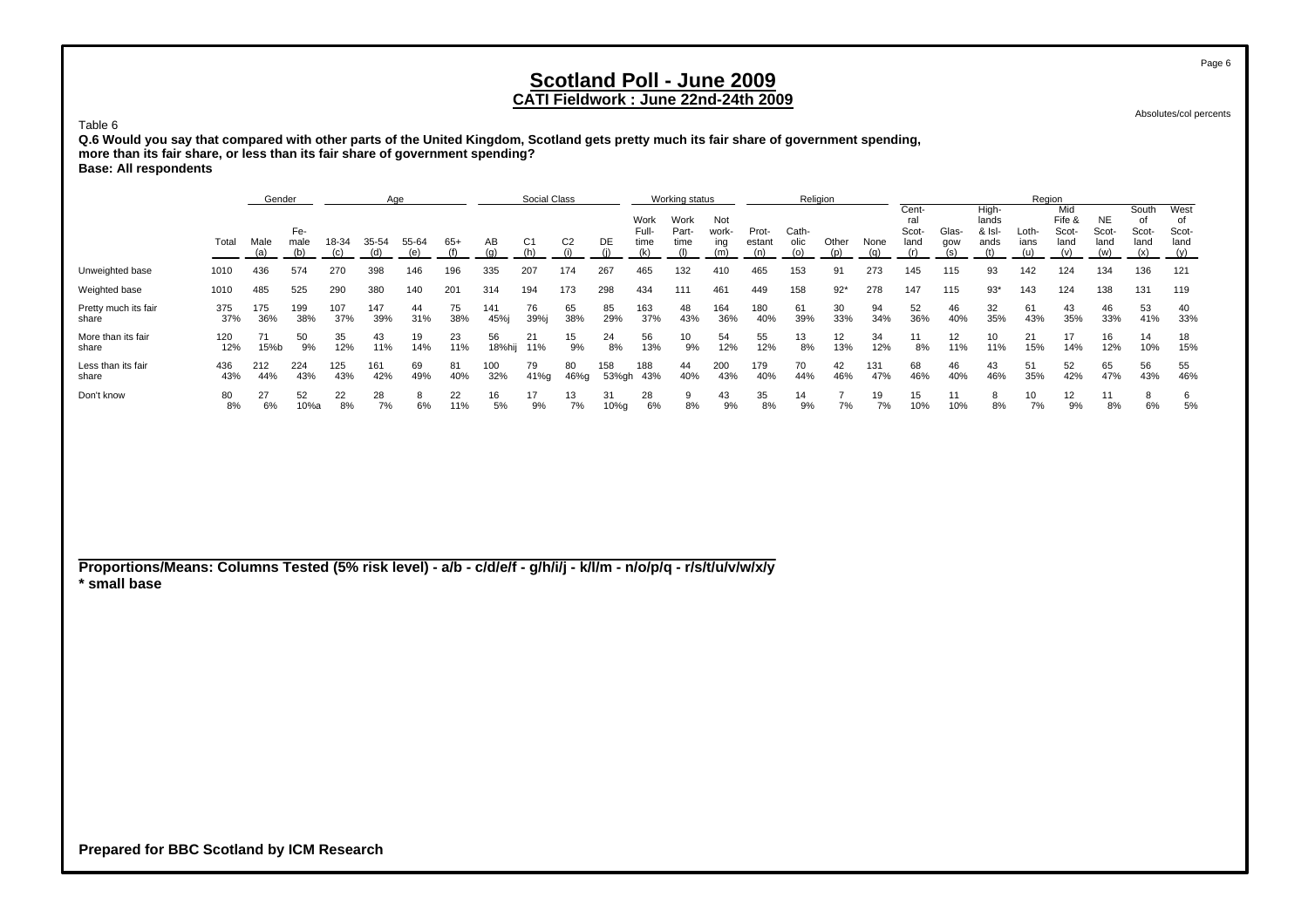### **CATI Fieldwork : June 22nd-24th 2009**

Absolutes/col percents

Table 6 **Q.6 Would you say that compared with other parts of the United Kingdom, Scotland gets pretty much its fair share of government spending, more than its fair share, or less than its fair share of government spending? Base: All respondents**

|                               |            | Gender      |             |            | Age        |              |           |              | Social Class |                |              |                       | Working status        |                     |                        | Religion      |           |             |                               |              |                                                   | Region        |                                |                     |                                     |                       |
|-------------------------------|------------|-------------|-------------|------------|------------|--------------|-----------|--------------|--------------|----------------|--------------|-----------------------|-----------------------|---------------------|------------------------|---------------|-----------|-------------|-------------------------------|--------------|---------------------------------------------------|---------------|--------------------------------|---------------------|-------------------------------------|-----------------------|
|                               | Total      | Male<br>(a) | Fe-<br>male | 18-34      | 35-54      | 55-64<br>(e) | $65+$     | AВ           | C1           | C <sub>2</sub> | DE           | Work<br>Full-<br>time | Work<br>Part-<br>time | Not<br>work-<br>ing | Prot-<br>estant<br>(n) | Cath-<br>olic | Other     | None<br>(a) | Cent-<br>ral<br>Scot-<br>land | Glas-<br>qow | High-<br>lands<br>$&$ $\vert$ s $\vert$ -<br>ands | Loth-<br>ians | Mid<br>Fife &<br>Scot-<br>land | NE<br>Scot-<br>land | South<br>01<br>Scot-<br>land<br>(x) | West<br>Scot-<br>land |
| Unweighted base               | 1010       | 436         | 574         | 270        | 398        | 146          | 196       | 335          | 207          | 174            | 267          | 465                   | 132                   | 410                 | 465                    | 153           | 91        | 273         | 145                           | 115          | 93                                                | 142           | 124                            | 134                 | 136                                 | 121                   |
| Weighted base                 | 1010       | 485         | 525         | 290        | 380        | 140          | 201       | 314          | 194          | 173            | 298          | 434                   | 111                   | 461                 | 449                    | 158           | $92*$     | 278         | 147                           | 115          | $93*$                                             | 143           | 124                            | 138                 | 131                                 | 119                   |
| Pretty much its fair<br>share | 375<br>37% | 175<br>36%  | 199<br>38%  | 107<br>37% | 147<br>39% | 44<br>31%    | 75<br>38% | 141<br>45%   | 76<br>39%i   | 65<br>38%      | 85<br>29%    | 163<br>37%            | 48<br>43%             | 164<br>36%          | 180<br>40%             | 61<br>39%     | 30<br>33% | 94<br>34%   | 52<br>36%                     | 46<br>40%    | 32<br>35%                                         | 61<br>43%     | 43<br>35%                      | 46<br>33%           | 53<br>41%                           | 40<br>33%             |
| More than its fair<br>share   | 120<br>12% | 15%b        | 50<br>9%    | 35<br>12%  | 43<br>11%  | 19<br>14%    | 23<br>11% | 56<br>18%hij | 21<br>11%    | 15<br>9%       | 24<br>8%     | 56<br>13%             | 10<br>9%              | 54<br>12%           | 55<br>12%              | 13<br>8%      | 13%       | 34<br>12%   | 8%                            | 12<br>11%    | 10<br>11%                                         | 21<br>15%     | 17<br>14%                      | 16<br>12%           | 14<br>10%                           | 18<br>15%             |
| Less than its fair<br>share   | 436<br>43% | 212<br>44%  | 224<br>43%  | 125<br>43% | 161<br>42% | 69<br>49%    | 81<br>40% | 100<br>32%   | 79<br>41%g   | 80<br>46%g     | 158<br>53%gh | 188<br>43%            | 44<br>40%             | 200<br>43%          | 179<br>40%             | 70<br>44%     | 42<br>46% | 131<br>47%  | 68<br>46%                     | 46<br>40%    | 43<br>46%                                         | 51<br>35%     | 52<br>42%                      | 65<br>47%           | 56<br>43%                           | 55<br>46%             |
| Don't know                    | 80<br>8%   | 27<br>6%    | 52<br>10%a  | 22<br>8%   | 28<br>7%   | 6%           | 22<br>11% | 16<br>5%     | 17<br>9%     | 13<br>7%       | 31<br>10%q   | 28<br>6%              | 9<br>8%               | 43<br>9%            | 35<br>8%               | 14<br>9%      | 7%        | 19<br>7%    | 15<br>10%                     | 10%          | 8%                                                | 10<br>7%      | 12<br>9%                       | 11<br>8%            | 6%                                  | 6<br>5%               |

**Proportions/Means: Columns Tested (5% risk level) - a/b - c/d/e/f - g/h/i/j - k/l/m - n/o/p/q - r/s/t/u/v/w/x/y \* small base**

**Prepared for BBC Scotland by ICM Research**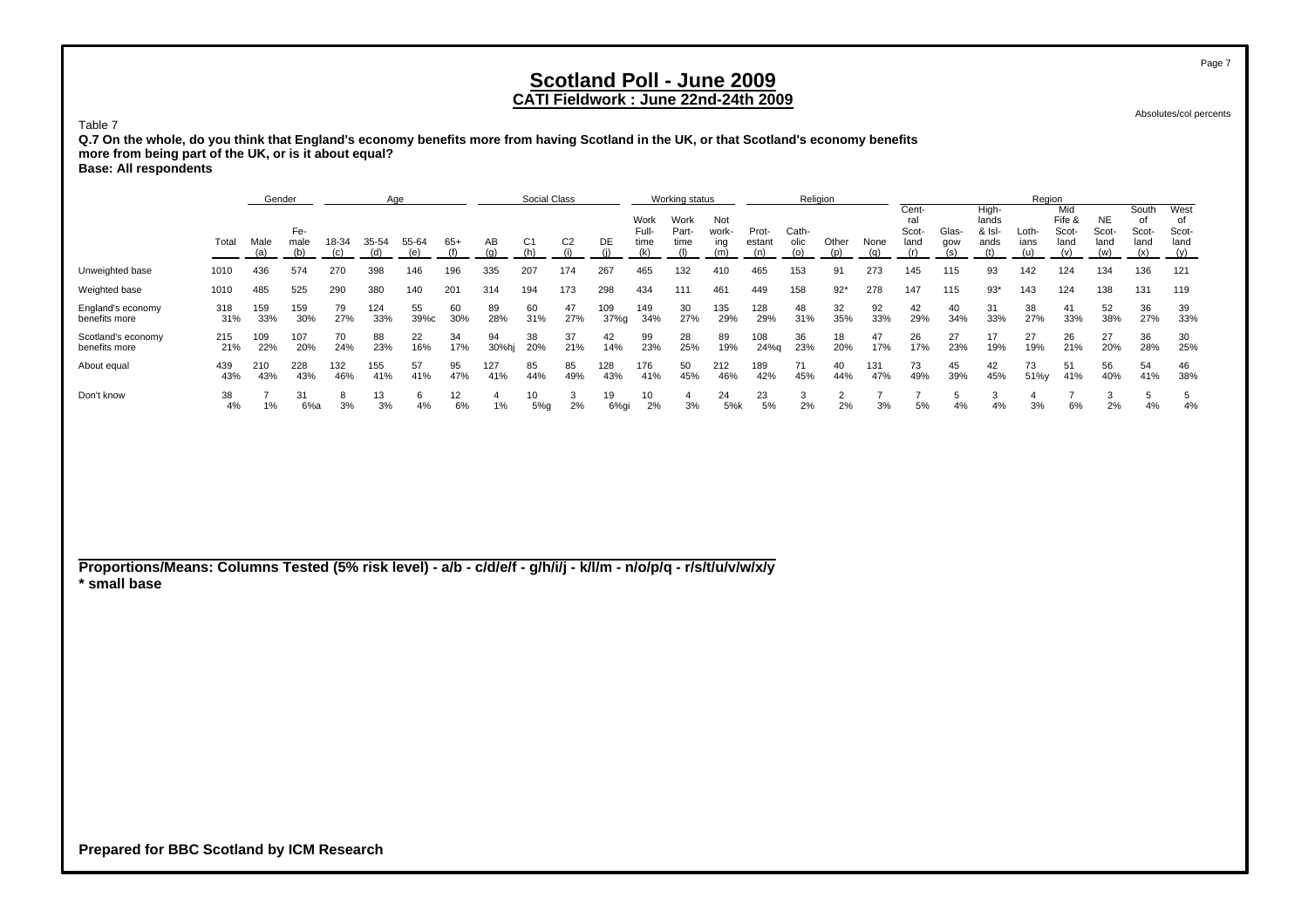### **CATI Fieldwork : June 22nd-24th 2009**

Absolutes/col percents

Table 7 **Q.7 On the whole, do you think that England's economy benefits more from having Scotland in the UK, or that Scotland's economy benefits more from being part of the UK, or is it about equal? Base: All respondents**

|                                     |            | Gender      |             |              | Age        |              |           |             | Social Class           |                |             |                              | Working status        |                     |                 | Religion      |           |            |                               |              |                                    | Region        |                                |                                   |                               |                                    |
|-------------------------------------|------------|-------------|-------------|--------------|------------|--------------|-----------|-------------|------------------------|----------------|-------------|------------------------------|-----------------------|---------------------|-----------------|---------------|-----------|------------|-------------------------------|--------------|------------------------------------|---------------|--------------------------------|-----------------------------------|-------------------------------|------------------------------------|
|                                     | Total      | Male<br>(a) | Fe-<br>male | 18-34        |            | 55-64<br>(e) | 65+       | AВ<br>(a)   | C1<br>(h)              | C <sub>2</sub> | DE          | Work<br>Full-<br>time<br>(k) | Work<br>Part-<br>time | Not<br>work-<br>ing | Prot-<br>estant | Cath-<br>olic | Other     | None       | Cent-<br>ral<br>Scot-<br>land | Glas-<br>qow | High-<br>lands<br>$8$ IsI-<br>ands | Loth-<br>ians | Mid<br>Fife &<br>Scot-<br>land | <b>NE</b><br>Scot-<br>land<br>(w) | South<br>Scot-<br>land<br>(x) | West<br>οf<br>Scot-<br>land<br>(y) |
| Unweighted base                     | 1010       | 436         | 574         | 270          | 398        | 146          | 196       | 335         | 207                    | 174            | 267         | 465                          | 132                   | 410                 | 465             | 153           | 91        | 273        | 145                           | 115          | 93                                 | 142           | 124                            | 134                               | 136                           | 121                                |
| Weighted base                       | 1010       | 485         | 525         | 290          | 380        | 140          | 201       | 314         | 194                    | 173            | 298         | 434                          | 111                   | 461                 | 449             | 158           | $92*$     | 278        | 147                           | 115          | $93*$                              | 143           | 124                            | 138                               | 131                           | 119                                |
| England's economy<br>benefits more  | 318<br>31% | 159<br>33%  | 159<br>30%  | 79<br>27%    | 124<br>33% | 55<br>39%c   | 60<br>30% | 89<br>28%   | 60<br>31%              | 47<br>27%      | 109<br>37%g | 149<br>34%                   | 30<br>27%             | 135<br>29%          | 128<br>29%      | 48<br>31%     | 32<br>35% | 92<br>33%  | 42<br>29%                     | 40<br>34%    | 31<br>33%                          | 38<br>27%     | 41<br>33%                      | 52<br>38%                         | 36<br>27%                     | 39<br>33%                          |
| Scotland's economy<br>benefits more | 215<br>21% | 109<br>22%  | 107<br>20%  | 70<br>24%    | 88<br>23%  | 22<br>16%    | 34<br>17% | 94<br>30%hj | 38<br>20%              | 37<br>21%      | 42<br>14%   | 99<br>23%                    | 28<br>25%             | 89<br>19%           | 108<br>24%g     | 36<br>23%     | 18<br>20% | 47<br>17%  | 26<br>17%                     | 27<br>23%    | 17<br>19%                          | 27<br>19%     | 26<br>21%                      | 27<br>20%                         | 36<br>28%                     | 30<br>25%                          |
| About equal                         | 439<br>43% | 210<br>43%  | 228<br>43%  | 132<br>46%   | 155<br>41% | 57<br>41%    | 95<br>47% | 127<br>41%  | 85<br>44%              | 85<br>49%      | 128<br>43%  | 176<br>41%                   | 50<br>45%             | 212<br>46%          | 189<br>42%      | 71<br>45%     | 40<br>44% | 131<br>47% | 73<br>49%                     | 45<br>39%    | 42<br>45%                          | 73<br>51%y    | 51<br>41%                      | 56<br>40%                         | 54<br>41%                     | 46<br>38%                          |
| Don't know                          | 38<br>4%   | 1%          | 31<br>6%a   | $\sim$<br>3% | 13<br>3%   | 4%           | 12<br>6%  | 1%          | 10 <sup>1</sup><br>5%q | $\sim$<br>2%   | 19<br>6%qi  | 10<br>2%                     | 3%                    | 24<br>5%k           | 23<br>5%        | 2%            | 2%        | 3%         | 5%                            | 4%           | 4%                                 | 3%            | 6%                             | 2%                                | 4%                            | 4%                                 |

**Proportions/Means: Columns Tested (5% risk level) - a/b - c/d/e/f - g/h/i/j - k/l/m - n/o/p/q - r/s/t/u/v/w/x/y \* small base**

**Prepared for BBC Scotland by ICM Research**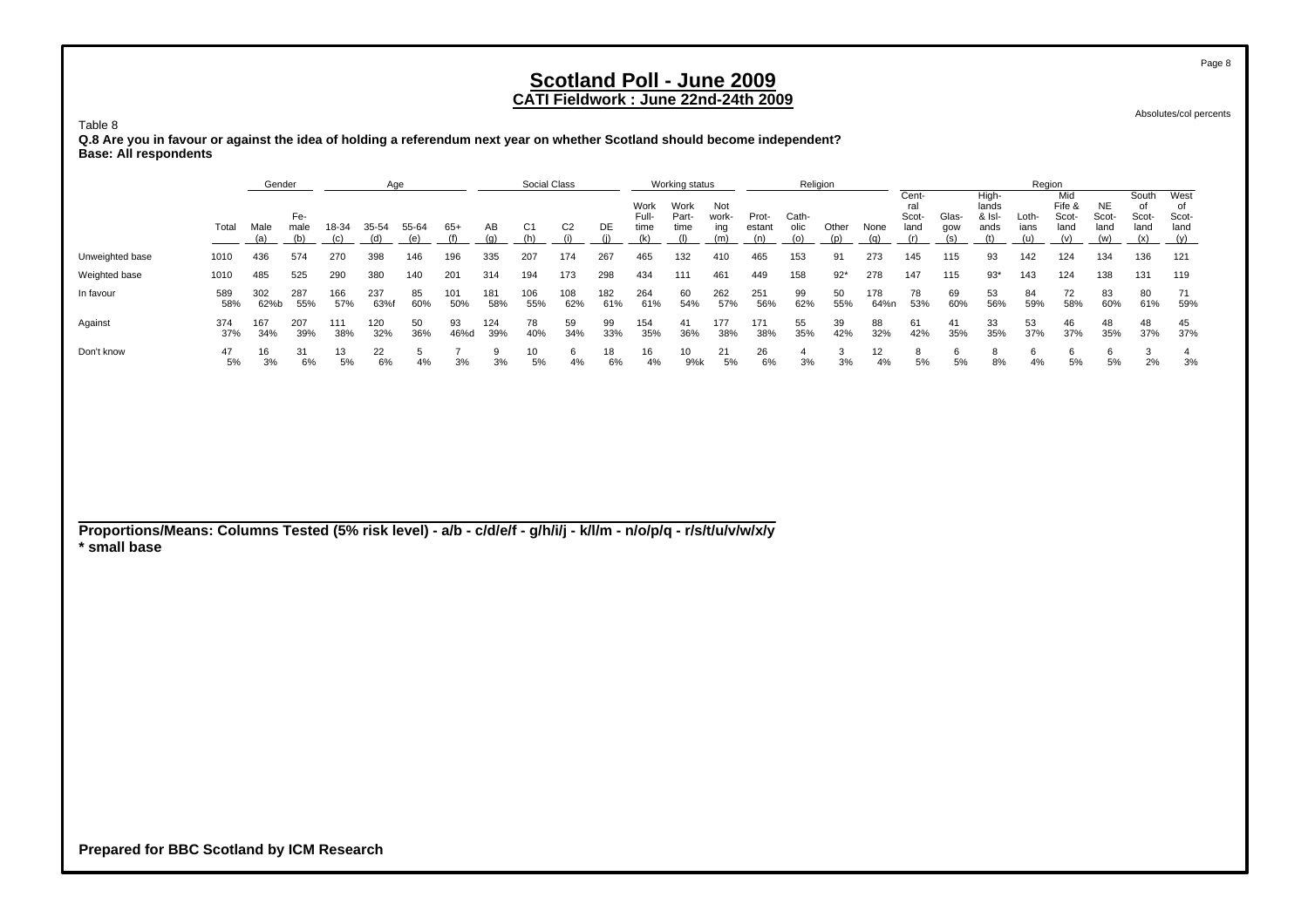Absolutes/col percents

Table 8 **Q.8 Are you in favour or against the idea of holding a referendum next year on whether Scotland should become independent? Base: All respondents**

|                                                                                                                 |            | Gender      |                    |              | Age          |              |              |            | Social Class          |                |            |                              | Working status               |                            |                        |                      | Religion     |             |                               |                     |                                         |                      | Region                                |                                   |                                     |                                    |
|-----------------------------------------------------------------------------------------------------------------|------------|-------------|--------------------|--------------|--------------|--------------|--------------|------------|-----------------------|----------------|------------|------------------------------|------------------------------|----------------------------|------------------------|----------------------|--------------|-------------|-------------------------------|---------------------|-----------------------------------------|----------------------|---------------------------------------|-----------------------------------|-------------------------------------|------------------------------------|
|                                                                                                                 | Total      | Male<br>(a) | Fe-<br>male<br>(b) | 18-34<br>(c) | 35-54<br>(d) | 55-64<br>(e) | $65+$<br>(f) | AВ<br>(q)  | C <sub>1</sub><br>(h) | C <sub>2</sub> | DE<br>(i)  | Work<br>Full-<br>time<br>(k) | Work<br>Part-<br>time<br>(1) | Not<br>work-<br>ing<br>(m) | Prot-<br>estant<br>(n) | Cath-<br>olic<br>(o) | Other<br>(p) | None<br>(q) | Cent-<br>ral<br>Scot-<br>land | Glas-<br>gow<br>(s) | High-<br>lands<br>& Isl-<br>ands<br>(t) | Loth-<br>ians<br>(u) | Mid<br>Fife &<br>Scot-<br>land<br>(v) | <b>NE</b><br>Scot-<br>land<br>(w) | South<br>οf<br>Scot-<br>land<br>(x) | West<br>of<br>Scot-<br>land<br>(y) |
| Unweighted base                                                                                                 | 1010       | 436         | 574                | 270          | 398          | 146          | 196          | 335        | 207                   | 174            | 267        | 465                          | 132                          | 410                        | 465                    | 153                  | 91           | 273         | 145                           | 115                 | 93                                      | 142                  | 124                                   | 134                               | 136                                 | 121                                |
| Weighted base                                                                                                   | 1010       | 485         | 525                | 290          | 380          | 140          | 201          | 314        | 194                   | 173            | 298        | 434                          | 111                          | 461                        | 449                    | 158                  | $92*$        | 278         | 147                           | 115                 | $93*$                                   | 143                  | 124                                   | 138                               | 131                                 | 119                                |
| In favour                                                                                                       | 589<br>58% | 302<br>62%b | 287<br>55%         | 166<br>57%   | 237<br>63%f  | 85<br>60%    | 101<br>50%   | 181<br>58% | 106<br>55%            | 108<br>62%     | 182<br>61% | 264<br>61%                   | 60<br>54%                    | 262<br>57%                 | 251<br>56%             | 99<br>62%            | 50<br>55%    | 178<br>64%n | 78<br>53%                     | 69<br>60%           | 53<br>56%                               | 84<br>59%            | 72<br>58%                             | 83<br>60%                         | 80<br>61%                           | 71<br>59%                          |
| Against                                                                                                         | 374<br>37% | 167<br>34%  | 207<br>39%         | 111<br>38%   | 120<br>32%   | 50<br>36%    | 93<br>46%d   | 124<br>39% | 78<br>40%             | 59<br>34%      | 99<br>33%  | 154<br>35%                   | 41<br>36%                    | 177<br>38%                 | 171<br>38%             | 55<br>35%            | 39<br>42%    | 88<br>32%   | 61<br>42%                     | 41<br>35%           | 33<br>35%                               | 53<br>37%            | 46<br>37%                             | 48<br>35%                         | 48<br>37%                           | 45<br>37%                          |
| Don't know                                                                                                      | 47<br>5%   | 16<br>3%    | 31<br>6%           | 13<br>5%     | 22<br>6%     | 5<br>4%      | 3%           | 9<br>3%    | 10<br>5%              | 6<br>4%        | 18<br>6%   | 16<br>4%                     | 10<br>9%k                    | 21<br>5%                   | 26<br>6%               | 4<br>3%              | 3<br>3%      | 12<br>4%    | 8<br>5%                       | 6<br>5%             | 8<br>8%                                 | 6<br>4%              | 6<br>5%                               | 6<br>5%                           | 3<br>2%                             | 4<br>3%                            |
|                                                                                                                 |            |             |                    |              |              |              |              |            |                       |                |            |                              |                              |                            |                        |                      |              |             |                               |                     |                                         |                      |                                       |                                   |                                     |                                    |
|                                                                                                                 |            |             |                    |              |              |              |              |            |                       |                |            |                              |                              |                            |                        |                      |              |             |                               |                     |                                         |                      |                                       |                                   |                                     |                                    |
|                                                                                                                 |            |             |                    |              |              |              |              |            |                       |                |            |                              |                              |                            |                        |                      |              |             |                               |                     |                                         |                      |                                       |                                   |                                     |                                    |
|                                                                                                                 |            |             |                    |              |              |              |              |            |                       |                |            |                              |                              |                            |                        |                      |              |             |                               |                     |                                         |                      |                                       |                                   |                                     |                                    |
| Proportions/Means: Columns Tested (5% risk level) - a/b - c/d/e/f - g/h/i/j - k/l/m - n/o/p/q - r/s/t/u/v/w/x/y |            |             |                    |              |              |              |              |            |                       |                |            |                              |                              |                            |                        |                      |              |             |                               |                     |                                         |                      |                                       |                                   |                                     |                                    |
| * small base                                                                                                    |            |             |                    |              |              |              |              |            |                       |                |            |                              |                              |                            |                        |                      |              |             |                               |                     |                                         |                      |                                       |                                   |                                     |                                    |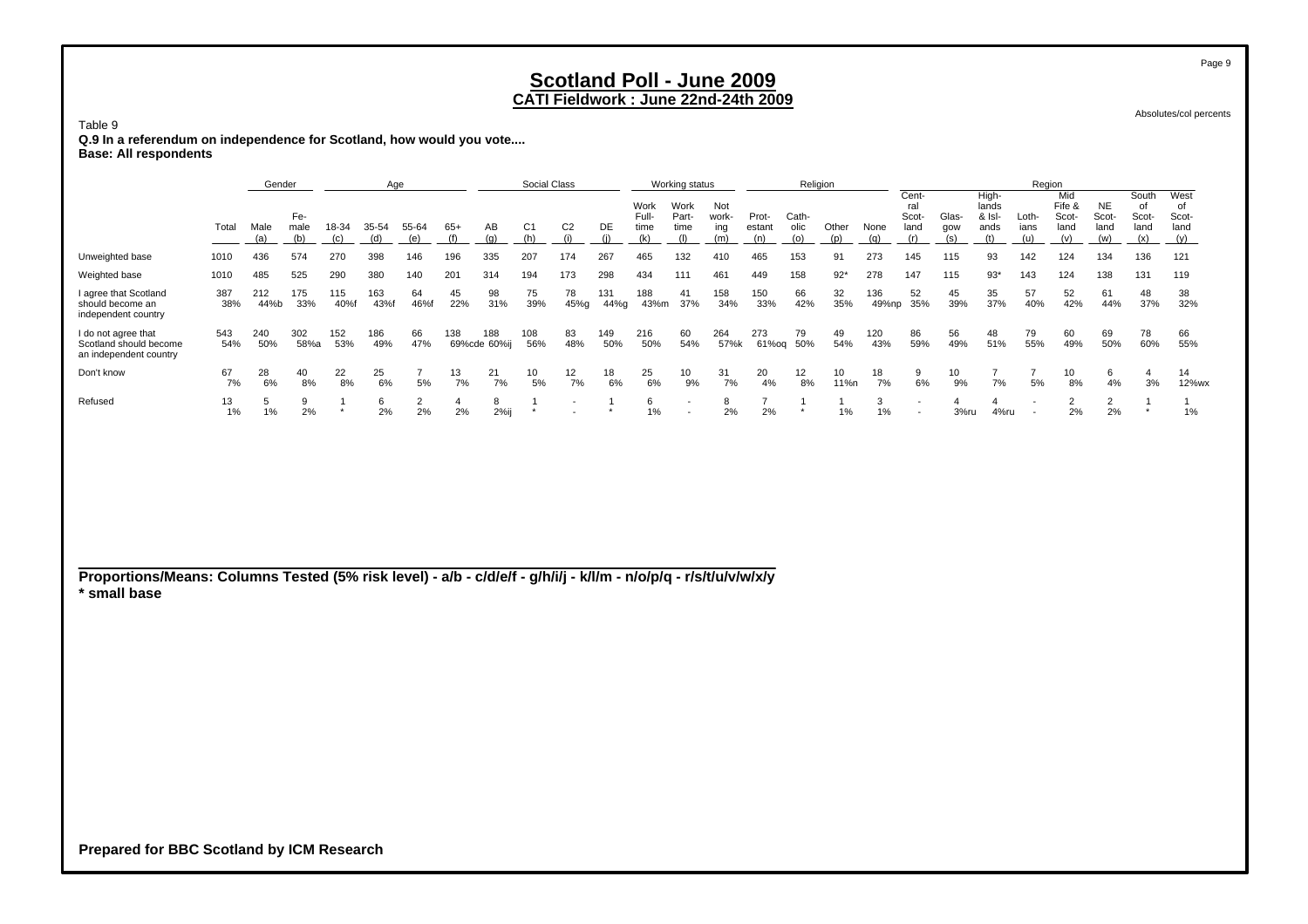Absolutes/col percents

 **Q.9 In a referendum on independence for Scotland, how would you vote.... Base: All respondents**

Table 9

|                                                                                                                                 |            | Gender      |                    |              | Age          |                      |              | Social Class        |                       |                       |             | Working status               |                                                      |                            |                        | Religion             |                         |              |                                                      |                     | Region                                  |                          |                                       |                            |                                     |                                    |
|---------------------------------------------------------------------------------------------------------------------------------|------------|-------------|--------------------|--------------|--------------|----------------------|--------------|---------------------|-----------------------|-----------------------|-------------|------------------------------|------------------------------------------------------|----------------------------|------------------------|----------------------|-------------------------|--------------|------------------------------------------------------|---------------------|-----------------------------------------|--------------------------|---------------------------------------|----------------------------|-------------------------------------|------------------------------------|
|                                                                                                                                 | Total      | Male<br>(a) | Fe-<br>male<br>(b) | 18-34<br>(c) | 35-54<br>(d) | 55-64<br>(e)         | $65+$<br>(f) | AB<br>(g)           | C <sub>1</sub><br>(h) | C <sub>2</sub><br>(i) | DE<br>(i)   | Work<br>Full-<br>time<br>(k) | Work<br>Part-<br>time<br>(1)                         | Not<br>work-<br>ing<br>(m) | Prot-<br>estant<br>(n) | Cath-<br>olic<br>(0) | Other<br>(p)            | None<br>(q)  | Cent-<br>ral<br>Scot-<br>land<br>(r)                 | Glas-<br>gow<br>(s) | High-<br>lands<br>& Isl-<br>ands<br>(t) | Loth-<br>ians<br>(u)     | Mid<br>Fife &<br>Scot-<br>land<br>(v) | NE<br>Scot-<br>land<br>(w) | South<br>of<br>Scot-<br>land<br>(x) | West<br>of<br>Scot-<br>land<br>(y) |
| Unweighted base                                                                                                                 | 1010       | 436         | 574                | 270          | 398          | 146                  | 196          | 335                 | 207                   | 174                   | 267         | 465                          | 132                                                  | 410                        | 465                    | 153                  | 91                      | 273          | 145                                                  | 115                 | 93                                      | 142                      | 124                                   | 134                        | 136                                 | 121                                |
| Weighted base                                                                                                                   | 1010       | 485         | 525                | 290          | 380          | 140                  | 201          | 314                 | 194                   | 173                   | 298         | 434                          | 111                                                  | 461                        | 449                    | 158                  | $92*$                   | 278          | 147                                                  | 115                 | $93*$                                   | 143                      | 124                                   | 138                        | 131                                 | 119                                |
| I agree that Scotland<br>should become an<br>independent country                                                                | 387<br>38% | 212<br>44%b | 175<br>33%         | 115<br>40%f  | 163<br>43%f  | 64<br>46%f           | 45<br>22%    | 98<br>31%           | 75<br>39%             | 78<br>45%g            | 131<br>44%g | 188<br>43%m                  | 41<br>37%                                            | 158<br>34%                 | 150<br>33%             | 66<br>42%            | 32<br>35%               | 136<br>49%np | 52<br>35%                                            | 45<br>39%           | 35<br>37%                               | 57<br>40%                | 52<br>42%                             | 61<br>44%                  | 48<br>37%                           | 38<br>32%                          |
| I do not agree that<br>Scotland should become<br>an independent country                                                         | 543<br>54% | 240<br>50%  | 302<br>58%a        | 152<br>53%   | 186<br>49%   | 66<br>47%            | 138          | 188<br>69%cde 60%ij | 108<br>56%            | 83<br>48%             | 149<br>50%  | 216<br>50%                   | 60<br>54%                                            | 264<br>57%k                | 273<br>61%og           | 79<br>50%            | 49<br>54%               | 120<br>43%   | 86<br>59%                                            | 56<br>49%           | 48<br>51%                               | 79<br>55%                | 60<br>49%                             | 69<br>50%                  | 78<br>60%                           | 66<br>55%                          |
| Don't know                                                                                                                      | 67<br>7%   | 28<br>6%    | 40<br>8%           | 22<br>8%     | 25<br>6%     | $\overline{7}$<br>5% | 13<br>7%     | 21<br>7%            | 10<br>5%              | 12<br>7%              | 18<br>6%    | 25<br>6%                     | 10<br>9%                                             | 31<br>7%                   | 20<br>4%               | 12<br>8%             | 10 <sup>1</sup><br>11%n | 18<br>7%     | 9<br>$6\%$                                           | 10<br>9%            | $\overline{7}$<br>7%                    | $\overline{7}$<br>5%     | 10<br>8%                              | 6<br>4%                    | 4<br>3%                             | 14<br>12%wx                        |
| Refused                                                                                                                         | 13<br>1%   | 5<br>1%     | $9\,$<br>2%        | -1           | 6<br>2%      | $\overline{2}$<br>2% | 4<br>2%      | 8<br>$2\%$ ij       | -1<br>$\star$         |                       | -1          | 6<br>1%                      | $\overline{\phantom{a}}$<br>$\overline{\phantom{a}}$ | 8<br>2%                    | $\overline{7}$<br>2%   | 1                    | $\mathbf{1}$<br>1%      | 3<br>1%      | $\overline{\phantom{a}}$<br>$\overline{\phantom{a}}$ | 4<br>3%ru           | 4<br>4%ru                               | $\overline{\phantom{a}}$ | $\overline{2}$<br>2%                  | $\overline{2}$<br>2%       | -1                                  | $\mathbf{1}$<br>1%                 |
| Proportions/Means: Columns Tested (5% risk level) - a/b - c/d/e/f - g/h/i/j - k/l/m - n/o/p/q - r/s/t/u/v/w/x/y<br>* small base |            |             |                    |              |              |                      |              |                     |                       |                       |             |                              |                                                      |                            |                        |                      |                         |              |                                                      |                     |                                         |                          |                                       |                            |                                     |                                    |

**Prepared for BBC Scotland by ICM Research**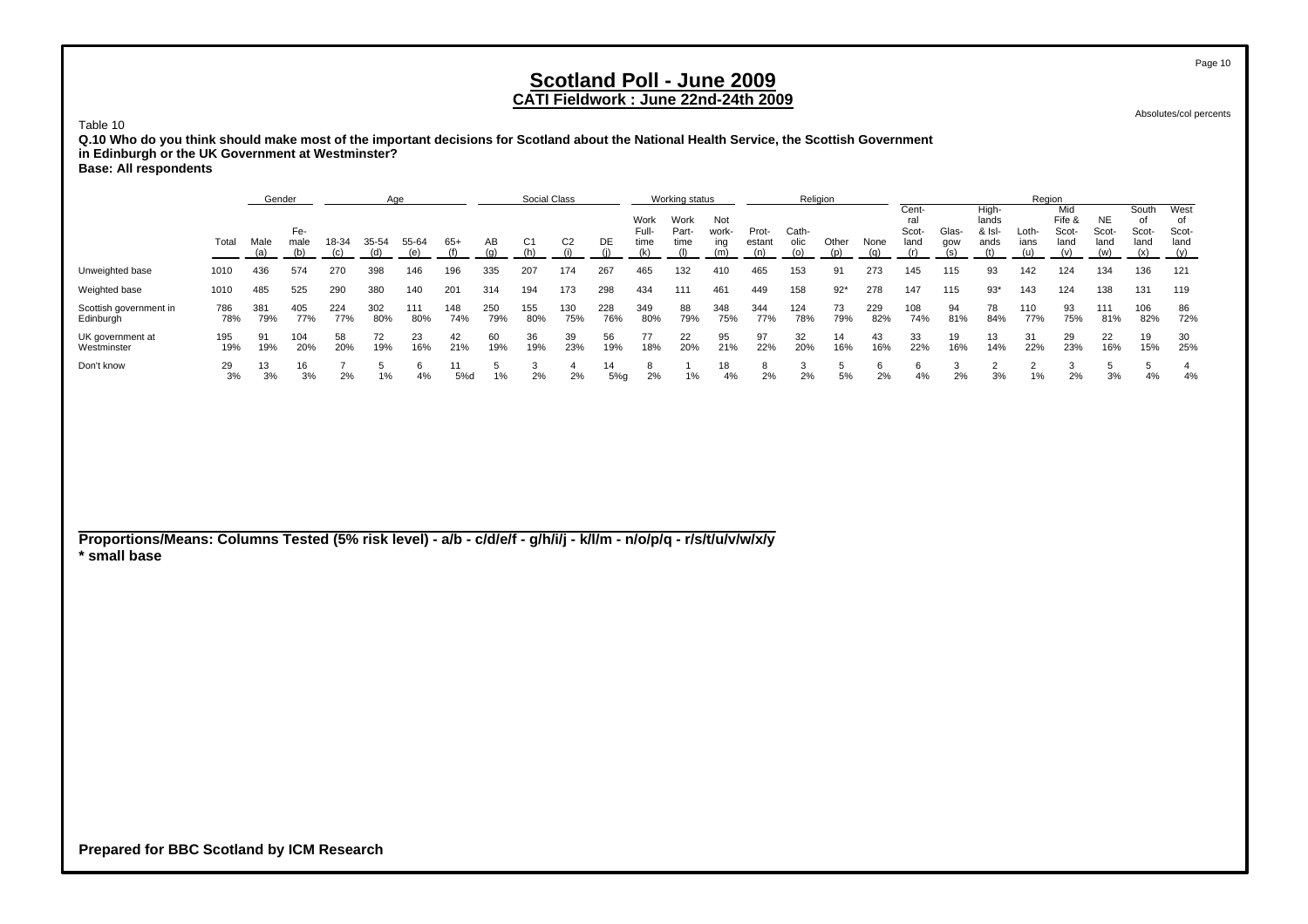### **CATI Fieldwork : June 22nd-24th 2009**

29 13 16 7 5 6 11 5 3 4 14 8 1 18 8 3 5 6 6 3 2 2 3 5 5 4

3% 3% 2% 1% 4% 5%d 1% 2% 2% 5%g 2% 1% 4% 2% 2% 5% 2% 4% 2% 3% 1% 2% 3% 4% 4%

Absolutes/col percents

Table 10**Q.10 Who do you think should make most of the important decisions for Scotland about the National Health Service, the Scottish Government in Edinburgh or the UK Government at Westminster? Base: All respondents**

Genderr and Age Social Class Working status Religion Religion Records Age Region Cent- High- Mid South West Work Work Not ral lands Fife &Fife & NE of of<br>Scot- Scot- Scot- Sco Fe- Full- Part- work- Prot- Cath- Scot- Glas- & Isl- Loth- Scot- Scot- Scot- Scot-Total Malemale 18-34 35-54 55-64 65+ AB C1 C2 DE time time ing estant olic Other None land gow ands ians land land land land (a) (b) (c) (d) (e) (f) (g) (h) (i) (j) (k) (l) (m) (n) (o) (p) (q) (r) (s) (t) (u) (v) (w) (x) (y) Unweighted base 1010 436 574 270 398 146 196 335 207 174 267 465 132 410 465 153 91 273 145 115 93 142 124 134 136 121 Weighted base 1010 485 525 290 380 140 201 314 194 173 298 434 111 461 449 158 92\* 278 147 115 93\* 143 124 138 131 119 Scottish government in 786 381 405 224 302 111 148 250 155 130 228 349 88 348 344 124 73 229 108 94 78 110 93 111 106 86 Edinburgh 78% 79% 77% 77% 80% 80% 74% 79% 80% 75% 76% 80% 79% 75% 77% 78% 79% 82% 74% 81% 84% 77% 75% 81% 82% 72% UK government at 195 91 104 58 72 23 42 60 36 39 56 77 22 95 97 32 14 43 33 19 13 31 29 22 19 30 Westminster 19%19% 20% 20% 19% 16% 21% 19% 19% 23% 19% 18% 20% 21% 22% 20% 16% 16% 22% 16% 14% 22% 23% 16% 15% 25%

**Proportions/Means: Columns Tested (5% risk level) - a/b - c/d/e/f - g/h/i/j - k/l/m - n/o/p/q - r/s/t/u/v/w/x/y \* small base**

**Prepared for BBC Scotland by ICM Research**

3%

Don't know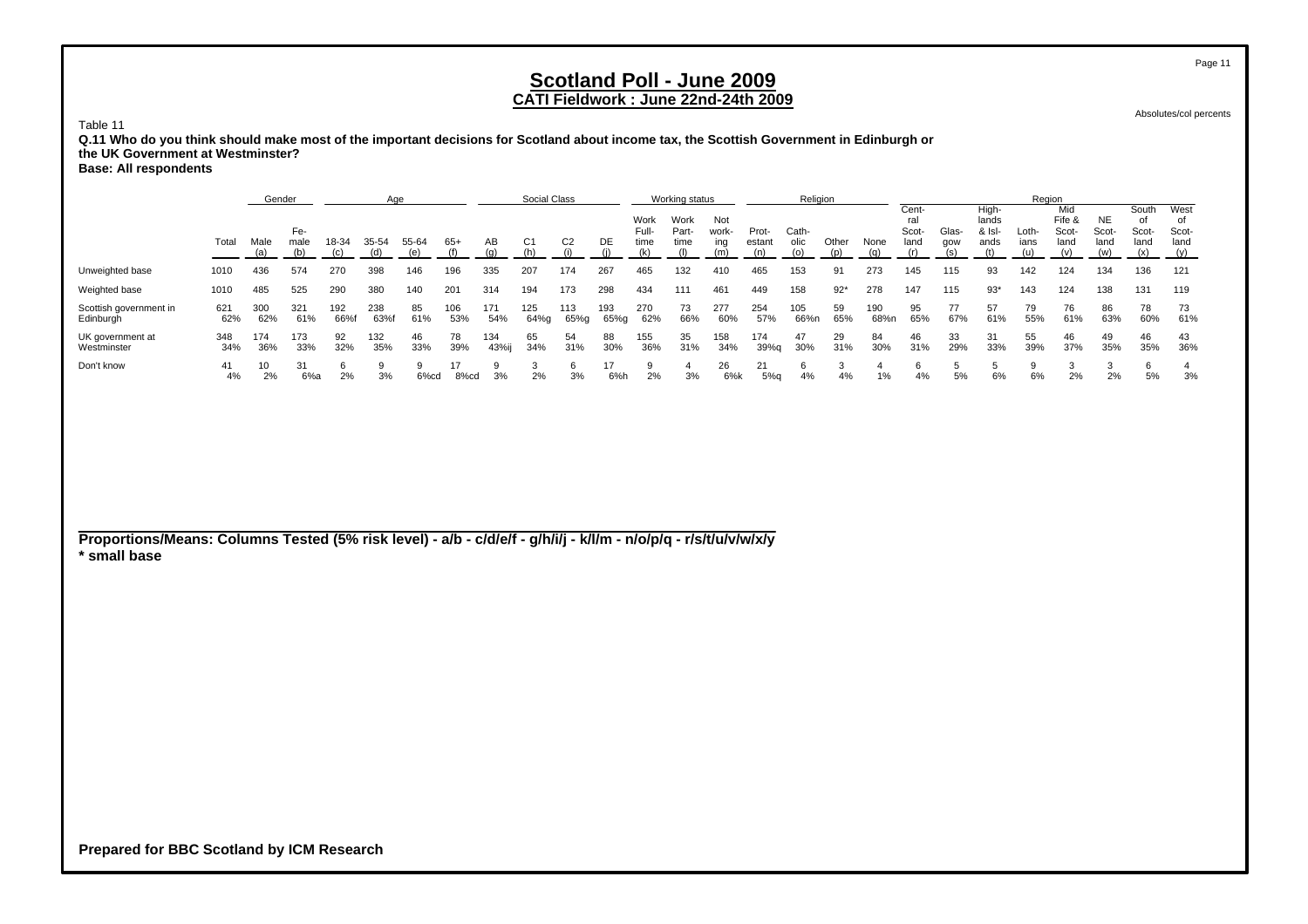Absolutes/col percents

Table 11

 **Q.11 Who do you think should make most of the important decisions for Scotland about income tax, the Scottish Government in Edinburgh or the UK Government at Westminster?**

**Base: All respondents**

|                                     |            | Gender     |             |             | Age        |           |           |              | Social Class |                |             |                       | Working status        |                     |                 | Religion      |           |             |                               |              |                                  | Region        |                                |                            |                              |                              |
|-------------------------------------|------------|------------|-------------|-------------|------------|-----------|-----------|--------------|--------------|----------------|-------------|-----------------------|-----------------------|---------------------|-----------------|---------------|-----------|-------------|-------------------------------|--------------|----------------------------------|---------------|--------------------------------|----------------------------|------------------------------|------------------------------|
|                                     | Total      | Male       | Fe-<br>male | 18-34       | 35-54      | 55-64     | $65+$     | AB           | C1           | C <sub>2</sub> | DE          | Work<br>Full-<br>time | Work<br>Part-<br>time | Not<br>work-<br>ina | Prot-<br>estant | Cath-<br>olic | Other     | None        | Cent-<br>ral<br>Scot-<br>land | Glas-<br>aow | High-<br>lands<br>& Isl-<br>ands | Loth-<br>ians | Mid<br>Fife &<br>Scot-<br>land | <b>NE</b><br>Scot-<br>land | South<br>Ω1<br>Scot-<br>land | West<br>Scot-<br>land<br>(y) |
| Unweighted base                     | 1010       | 436        | 574         | 270         | 398        | 146       | 196       | 335          | 207          | 174            | 267         | 465                   | 132                   | 410                 | 465             | 153           | 91        | 273         | 145                           | 115          | 93                               | 142           | 124                            | 134                        | 136                          | 121                          |
| Weighted base                       | 1010       | 485        | 525         | 290         | 380        | 140       | 201       | 314          | 194          | 173            | 298         | 434                   | 111                   | 461                 | 449             | 158           | $92*$     | 278         | 147                           | 115          | $93*$                            | 143           | 124                            | 138                        | 131                          | 119                          |
| Scottish government in<br>Edinburgh | 621<br>62% | 300<br>62% | 321<br>61%  | 192<br>66%f | 238<br>63% | 85<br>61% | 06<br>53% | 171<br>54%   | 125<br>64%g  | 113<br>65%g    | 193<br>65%g | 270<br>62%            | 73<br>66%             | 277<br>60%          | 254<br>57%      | 105<br>66%n   | 59<br>65% | 190<br>68%n | 95<br>65%                     | 77<br>67%    | 61%                              | 79<br>55%     | 76<br>61%                      | 86<br>63%                  | 78<br>60%                    | 73<br>61%                    |
| UK government at<br>Westminster     | 348<br>34% | 174<br>36% | 173<br>33%  | 92<br>32%   | 132<br>35% | 46<br>33% | 78<br>39% | 134<br>43%ij | 65<br>34%    | 54<br>31%      | 88<br>30%   | 155<br>36%            | 35<br>31%             | 158<br>34%          | 174<br>39%g     | 47<br>30%     | 29<br>31% | 84<br>30%   | 46<br>31%                     | 33<br>29%    | 31<br>33%                        | 55<br>39%     | 46<br>37%                      | 49<br>35%                  | 46<br>35%                    | 43<br>36%                    |
| Don't know                          | 41<br>4%   | 10<br>2%   | 6%a         | 2%          | 3%         | 6%cd      | 8%cd      | 3%           | 2%           | 3%             | 17<br>6%h   | 2%                    | 3%                    | 26<br>6%k           | 21<br>5%q       | 6<br>4%       | 4%        | 1%          | 4%                            | 5%           | 6%                               | 6%            | 2%                             | 2%                         | 6<br>5%                      | 3%                           |

**Proportions/Means: Columns Tested (5% risk level) - a/b - c/d/e/f - g/h/i/j - k/l/m - n/o/p/q - r/s/t/u/v/w/x/y \* small base**

**Prepared for BBC Scotland by ICM Research**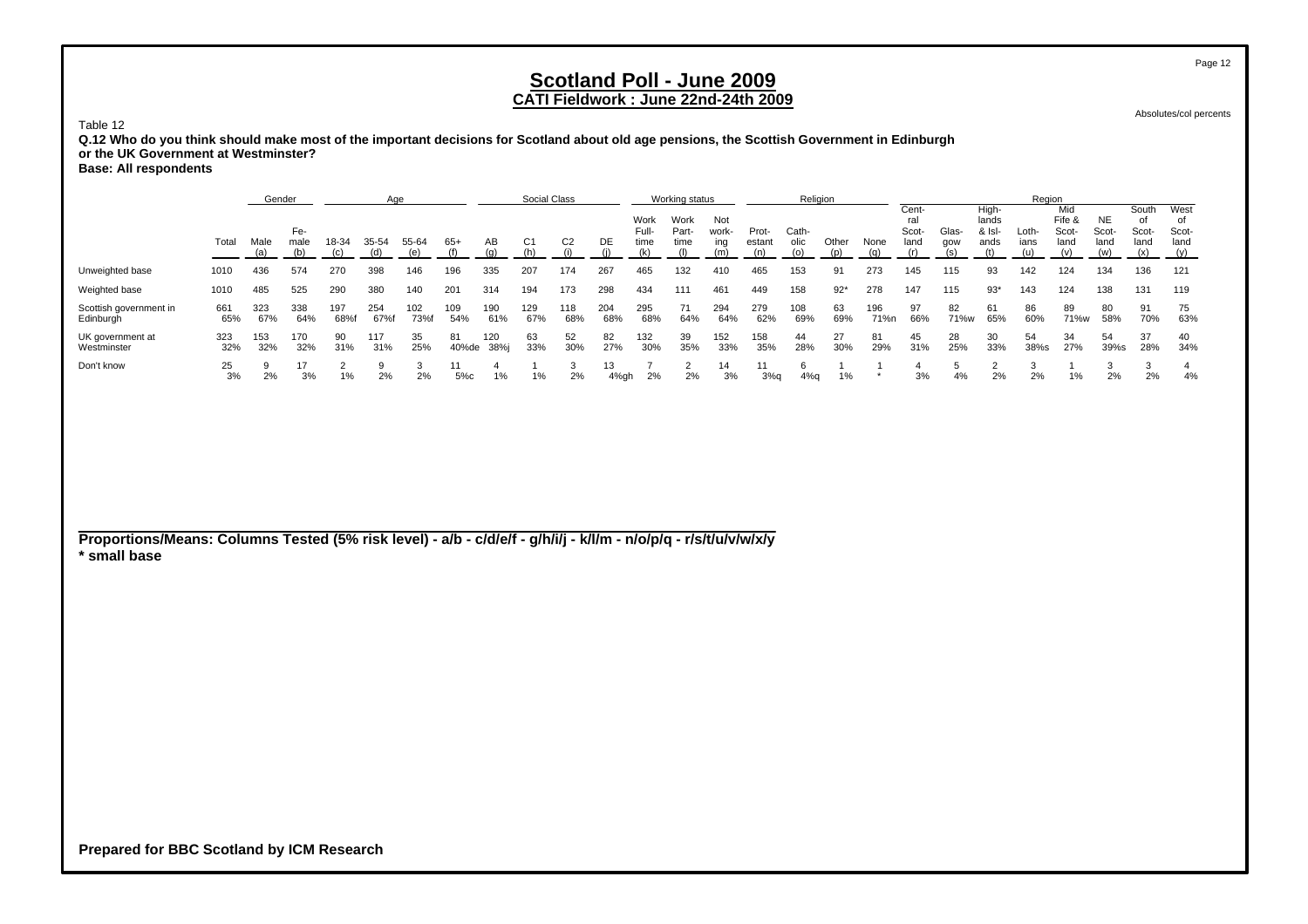Absolutes/col percents

#### Table 12

 **Q.12 Who do you think should make most of the important decisions for Scotland about old age pensions, the Scottish Government in Edinburgh or the UK Government at Westminster?**

**Base: All respondents**

|                                     |            | Gender     |             |            | Aae        |                   |             |             | Social Class |                |            |                       | Working status        |                     |                 | Religion      |           |             |                               |              |                                  | Region        |                                |                            |                        |                             |
|-------------------------------------|------------|------------|-------------|------------|------------|-------------------|-------------|-------------|--------------|----------------|------------|-----------------------|-----------------------|---------------------|-----------------|---------------|-----------|-------------|-------------------------------|--------------|----------------------------------|---------------|--------------------------------|----------------------------|------------------------|-----------------------------|
|                                     | Total      | Male       | Fe-<br>male | 18-34      | 35-54      | 55-64<br>(e)      | 65+         | AB          | C1           | C <sub>2</sub> | DE         | Work<br>Full-<br>time | Work<br>Part-<br>time | Not<br>work-<br>ina | Prot-<br>estant | Cath-<br>olic | Other     | None        | Cent-<br>ral<br>Scot-<br>land | Glas-<br>aow | High-<br>lands<br>& Isl-<br>ands | Loth-<br>ians | Mid<br>Fife &<br>Scot-<br>land | <b>NE</b><br>Scot-<br>land | South<br>Scot-<br>land | West<br>Ω1<br>Scot-<br>land |
| Unweighted base                     | 1010       | 436        | 574         | 270        | 398        | 146               | 196         | 335         | 207          | 174            | 267        | 465                   | 132                   | 410                 | 465             | 153           | 91        | 273         | 145                           | 115          | 93                               | 142           | 124                            | 134                        | 136                    | 121                         |
| Weighted base                       | 1010       | 485        | 525         | 290        | 380        | 140               | 201         | 314         | 194          | 173            | 298        | 434                   | 111                   | 461                 | 449             | 158           | $92*$     | 278         | 147                           | 115          | $93*$                            | 143           | 124                            | 138                        | 131                    | 119                         |
| Scottish government in<br>Edinburgh | 661<br>65% | 323<br>67% | 338<br>64%  | 197<br>68% | 254<br>67% | 102<br><b>73%</b> | 109<br>54%  | 190<br>61%  | 129<br>67%   | 118<br>68%     | 204<br>68% | 295<br>68%            | 71<br>64%             | 294<br>64%          | 279<br>62%      | 108<br>69%    | 63<br>69% | 196<br>71%n | 97<br>66%                     | 82<br>71%w   | 61<br>65%                        | 86<br>60%     | 89<br>71%w                     | 80<br>58%                  | 91<br>70%              | 75<br>63%                   |
| UK government at<br>Westminster     | 323<br>32% | 153<br>32% | 170<br>32%  | 90<br>31%  | 117<br>31% | 35<br>25%         | 81<br>40%de | 120<br>38%i | 63<br>33%    | 52<br>30%      | 82<br>27%  | 132<br>30%            | 39<br>35%             | 152<br>33%          | 158<br>35%      | 44<br>28%     | 27<br>30% | 81<br>29%   | 45<br>31%                     | 28<br>25%    | 30<br>33%                        | 54<br>38%s    | 34<br>27%                      | 54<br>39%s                 | 37<br>28%              | 40<br>34%                   |
| Don't know                          | 25<br>3%   | 2%         | 3%          | 1%         | 2%         | 2%                | 5%c         | 1%          | 1%           | 2%             | 4%gh       | 2%                    | 2%                    | 14<br>3%            | 3%q             | 6<br>4%q      | $1\%$     |             | 3%                            | 4%           | 2%                               | 2%            | $1\%$                          | 2%                         | 2%                     | 4%                          |

**Proportions/Means: Columns Tested (5% risk level) - a/b - c/d/e/f - g/h/i/j - k/l/m - n/o/p/q - r/s/t/u/v/w/x/y \* small base**

**Prepared for BBC Scotland by ICM Research**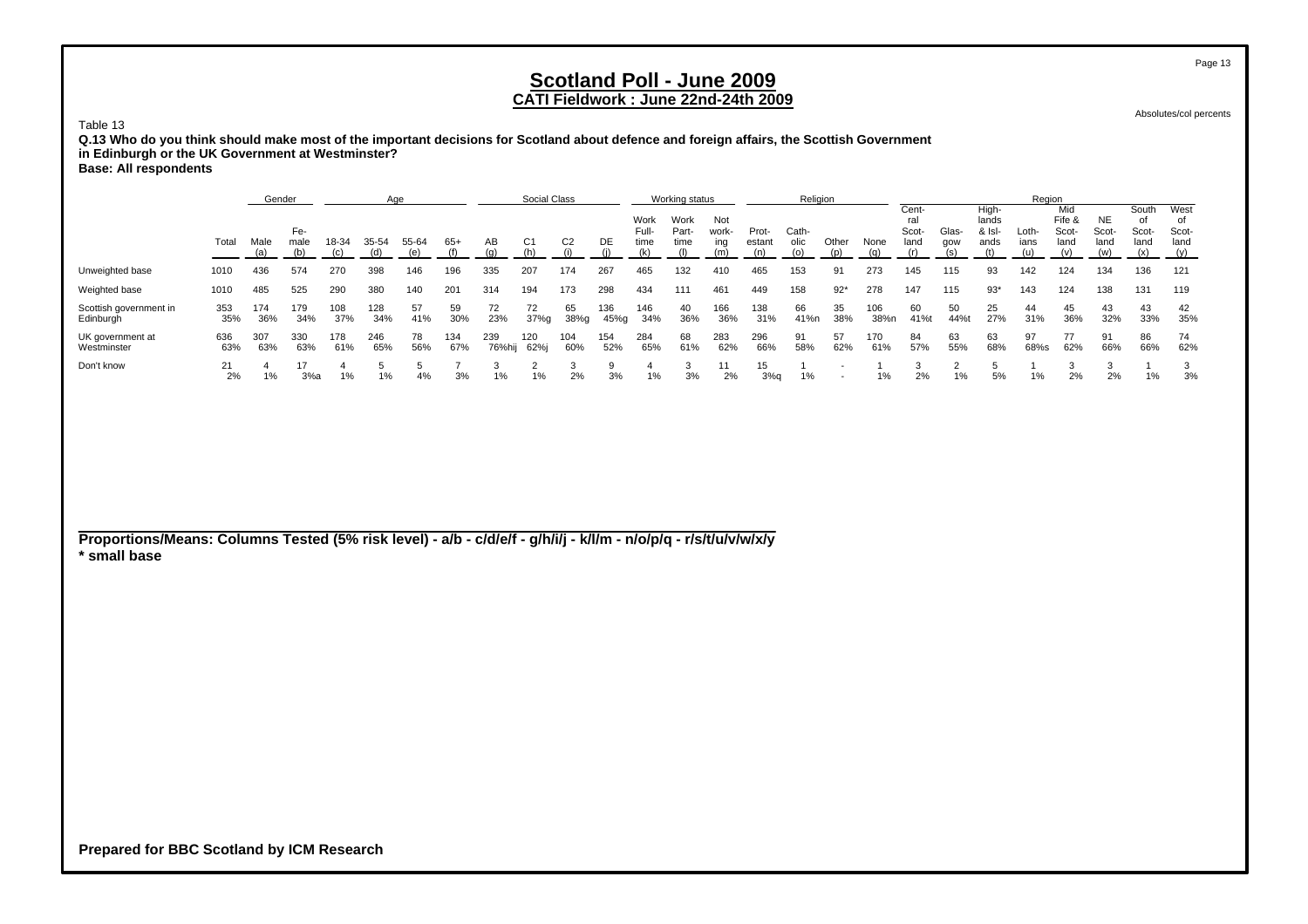### **CATI Fieldwork : June 22nd-24th 2009**

Absolutes/col percents

Table 13 **Q.13 Who do you think should make most of the important decisions for Scotland about defence and foreign affairs, the Scottish Government in Edinburgh or the UK Government at Westminster?**

| <b>Base: All respondents</b> |  |  |
|------------------------------|--|--|
|------------------------------|--|--|

|                                     |            | Gender                                                                                   |            |            | Aae        |           |            |               | Social Class |                |             |                       | Working status        |                     |                 | Religion      |           |             |                               |              |                                  | Region        |                                |                            |                        |                                    |
|-------------------------------------|------------|------------------------------------------------------------------------------------------|------------|------------|------------|-----------|------------|---------------|--------------|----------------|-------------|-----------------------|-----------------------|---------------------|-----------------|---------------|-----------|-------------|-------------------------------|--------------|----------------------------------|---------------|--------------------------------|----------------------------|------------------------|------------------------------------|
|                                     | Total      | Fe-<br>Male<br>55-64<br>18-34<br>35-54<br>male<br>(b)<br>(a)<br>436<br>574<br>270<br>398 |            |            |            |           | $65+$      | AB            | C1           | C <sub>2</sub> | DE          | Work<br>Full-<br>time | Work<br>Part-<br>time | Not<br>work-<br>ing | Prot-<br>estant | Cath-<br>olic | Other     | None        | Cent-<br>ral<br>Scot-<br>land | Glas-<br>aow | High-<br>lands<br>& Isl-<br>ands | Loth-<br>ians | Mid<br>Fife &<br>Scot-<br>land | <b>NE</b><br>Scot-<br>land | South<br>Scot-<br>land | West<br>Ω1<br>Scot-<br>land<br>(y) |
| Unweighted base                     | 1010       |                                                                                          |            |            |            | 146       | 196        | 335           | 207          | 174            | 267         | 465                   | 132                   | 410                 | 465             | 153           | 91        | 273         | 145                           | 115          | 93                               | 142           | 124                            | 134                        | 136                    | 121                                |
| Weighted base                       | 1010       | 485                                                                                      | 525        | 290        | 380        | 140       | 201        | 314           | 194          | 173            | 298         | 434                   | 111                   | 461                 | 449             | 158           | $92*$     | 278         | 147                           | 115          | $93*$                            | 143           | 124                            | 138                        | 131                    | 119                                |
| Scottish government in<br>Edinburgh | 353<br>35% | 174<br>36%                                                                               | 179<br>34% | 108<br>37% | 128<br>34% | 57<br>41% | 59<br>30%  | 72<br>23%     | 72<br>37%q   | 65<br>38%q     | 136<br>45%g | 146<br>34%            | 40<br>36%             | 166<br>36%          | 138<br>31%      | 66<br>41%n    | 35<br>38% | 106<br>38%n | 60<br>41%                     | 50<br>44%t   | 25<br>27%                        | 44<br>31%     | 45<br>36%                      | 43<br>32%                  | 43<br>33%              | 42<br>35%                          |
| UK government at<br>Westminster     | 636<br>63% | 307<br>63%                                                                               | 330<br>63% | 178<br>61% | 246<br>65% | 78<br>56% | 134<br>67% | 239<br>76%hij | 120<br>62%i  | 104<br>60%     | 154<br>52%  | 284<br>65%            | 68<br>61%             | 283<br>62%          | 296<br>66%      | 91<br>58%     | 57<br>62% | 170<br>61%  | 84<br>57%                     | 63<br>55%    | 63<br>68%                        | 97<br>68%s    | 77<br>62%                      | 91<br>66%                  | 86<br>66%              | 74<br>62%                          |
| Don't know                          | 2%         | $1\%$                                                                                    | 3%a        | $1\%$      | $1\%$      | 4%        | 3%         | $1\%$         | 1%           | 2%             | 9<br>3%     | 1%                    | 3%                    | 11<br>2%            | 15<br>3%q       | 1%            |           | 1%          | 2%                            | 1%           | 5%                               | 1%            | 2%                             | 2%                         | 1%                     | 3%                                 |

**Proportions/Means: Columns Tested (5% risk level) - a/b - c/d/e/f - g/h/i/j - k/l/m - n/o/p/q - r/s/t/u/v/w/x/y \* small base**

**Prepared for BBC Scotland by ICM Research**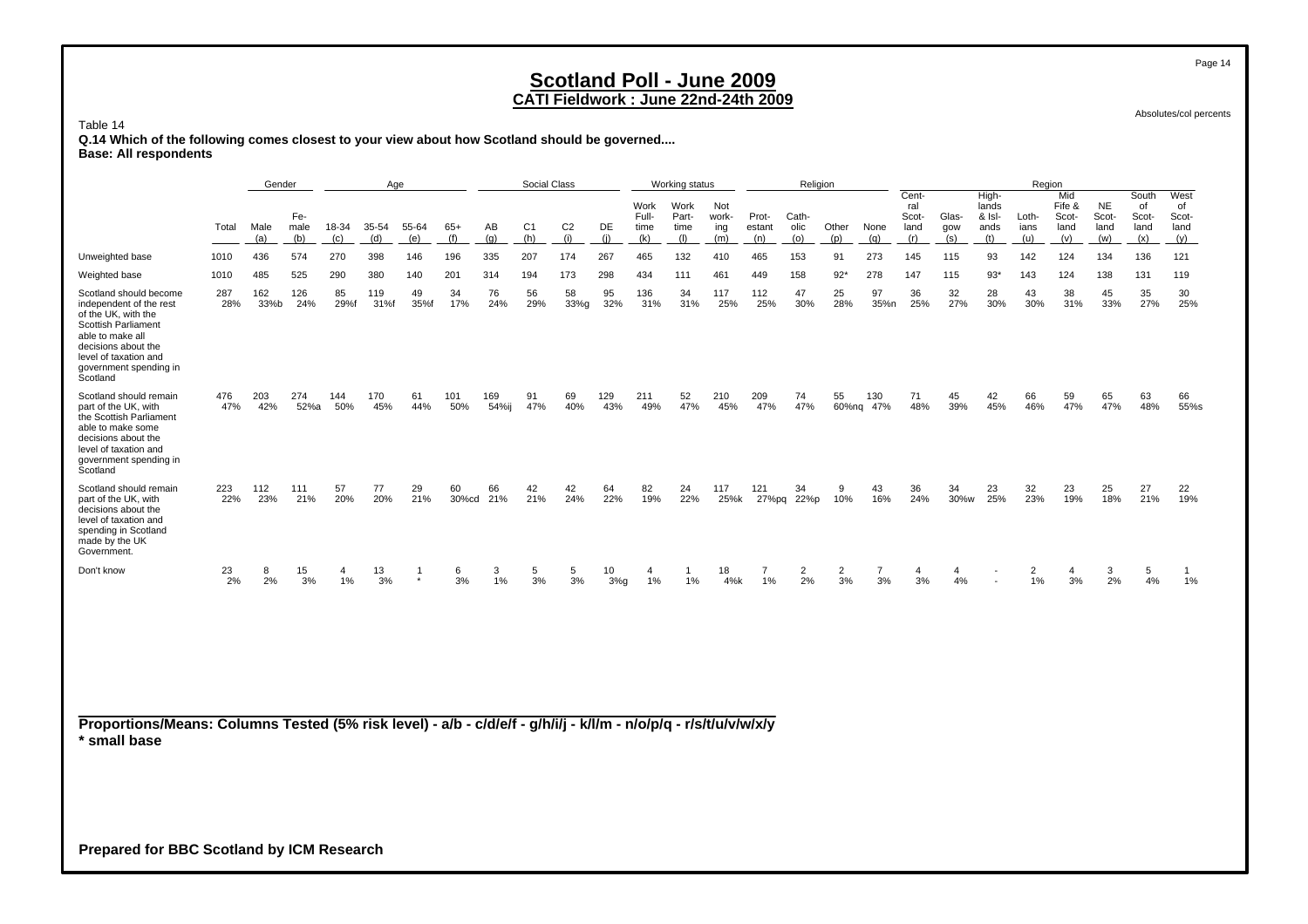Absolutes/col percents

Table 14

 **Q.14 Which of the following comes closest to your view about how Scotland should be governed.... Base: All respondents**

|                                                                                                                                                                                                                  |                                                                            | Gender      |             |            | Age         |                           |              |                 | Social Class          |                       |            |                              | Working status               |                            |                        | Religion             |                      |                      |                                      |                     |                                         | Region               |                                       |                                   |                                     |                                    |
|------------------------------------------------------------------------------------------------------------------------------------------------------------------------------------------------------------------|----------------------------------------------------------------------------|-------------|-------------|------------|-------------|---------------------------|--------------|-----------------|-----------------------|-----------------------|------------|------------------------------|------------------------------|----------------------------|------------------------|----------------------|----------------------|----------------------|--------------------------------------|---------------------|-----------------------------------------|----------------------|---------------------------------------|-----------------------------------|-------------------------------------|------------------------------------|
|                                                                                                                                                                                                                  | Fe-<br>Total<br>Male<br>male<br>18-34<br>35-54<br>(b)<br>(c)<br>(d)<br>(a) |             |             |            |             |                           | $65+$<br>(f) | AB<br>(q)       | C <sub>1</sub><br>(h) | C <sub>2</sub><br>(i) | DE<br>(i)  | Work<br>Full-<br>time<br>(k) | Work<br>Part-<br>time<br>(1) | Not<br>work-<br>ing<br>(m) | Prot-<br>estant<br>(n) | Cath-<br>olic<br>(o) | Other<br>(p)         | None<br>(q)          | Cent-<br>ral<br>Scot-<br>land<br>(r) | Glas-<br>gow<br>(s) | High-<br>lands<br>& Isl-<br>ands<br>(t) | Loth-<br>ians<br>(u) | Mid<br>Fife &<br>Scot-<br>land<br>(v) | <b>NE</b><br>Scot-<br>land<br>(w) | South<br>of<br>Scot-<br>land<br>(x) | West<br>of<br>Scot-<br>land<br>(y) |
| Unweighted base                                                                                                                                                                                                  | 1010                                                                       | 436         | 574         | 270        | 398         | 146                       | 196          | 335             | 207                   | 174                   | 267        | 465                          | 132                          | 410                        | 465                    | 153                  | 91                   | 273                  | 145                                  | 115                 | 93                                      | 142                  | 124                                   | 134                               | 136                                 | 121                                |
| Weighted base                                                                                                                                                                                                    | 1010                                                                       | 485         | 525         | 290        | 380         | 140                       | 201          | 314             | 194                   | 173                   | 298        | 434                          | 111                          | 461                        | 449                    | 158                  | $92*$                | 278                  | 147                                  | 115                 | $93*$                                   | 143                  | 124                                   | 138                               | 131                                 | 119                                |
| Scotland should become<br>independent of the rest<br>of the UK, with the<br><b>Scottish Parliament</b><br>able to make all<br>decisions about the<br>level of taxation and<br>government spending in<br>Scotland | 287<br>28%                                                                 | 162<br>33%b | 126<br>24%  | 85<br>29%f | 119<br>31%f | 49<br>35%f                | 34<br>17%    | 76<br>24%       | 56<br>29%             | 58<br>33%g            | 95<br>32%  | 136<br>31%                   | 34<br>31%                    | 117<br>25%                 | 112<br>25%             | 47<br>30%            | 25<br>28%            | 97<br>35%n           | 36<br>25%                            | 32<br>27%           | 28<br>30%                               | 43<br>30%            | 38<br>31%                             | 45<br>33%                         | 35<br>27%                           | 30<br>25%                          |
| Scotland should remain<br>part of the UK, with<br>the Scottish Parliament<br>able to make some<br>decisions about the<br>level of taxation and<br>government spending in<br>Scotland                             | 476<br>47%                                                                 | 203<br>42%  | 274<br>52%a | 144<br>50% | 170<br>45%  | 61<br>44%                 | 101<br>50%   | 169<br>54%ij    | 91<br>47%             | 69<br>40%             | 129<br>43% | 211<br>49%                   | 52<br>47%                    | 210<br>45%                 | 209<br>47%             | 74<br>47%            | 55                   | 130<br>60%ng 47%     | 71<br>48%                            | 45<br>39%           | 42<br>45%                               | 66<br>46%            | 59<br>47%                             | 65<br>47%                         | 63<br>48%                           | 66<br>55%s                         |
| Scotland should remain<br>part of the UK, with<br>decisions about the<br>level of taxation and<br>spending in Scotland<br>made by the UK<br>Government.                                                          | 223<br>22%                                                                 | 112<br>23%  | 111<br>21%  | 57<br>20%  | 77<br>20%   | 29<br>21%                 | 60           | 66<br>30%cd 21% | 42<br>21%             | 42<br>24%             | 64<br>22%  | 82<br>19%                    | 24<br>22%                    | 117<br>25%k                | 121<br>27%pq           | 34<br>22%p           | 9<br>10%             | 43<br>16%            | 36<br>24%                            | 34<br>30%w          | 23<br>25%                               | 32<br>23%            | 23<br>19%                             | 25<br>18%                         | 27<br>21%                           | 22<br>19%                          |
| Don't know                                                                                                                                                                                                       | 23<br>2%                                                                   | 8<br>2%     | 15<br>3%    | 4<br>1%    | 13<br>3%    | $\overline{1}$<br>$\star$ | 6<br>3%      | 3<br>1%         | 5<br>3%               | 5<br>3%               | 10<br>3%q  | 4<br>1%                      | -1<br>1%                     | 18<br>4%k                  | $\overline{7}$<br>1%   | $\overline{2}$<br>2% | $\overline{2}$<br>3% | $\overline{7}$<br>3% | 4<br>3%                              | 4<br>4%             | $\overline{\phantom{a}}$                | $\overline{2}$<br>1% | 4<br>3%                               | 3<br>2%                           | 5<br>4%                             | $\overline{1}$<br>1%               |
| Proportions/Means: Columns Tested (5% risk level) - a/b - c/d/e/f - g/h/i/j - k/l/m - n/o/p/q - r/s/t/u/v/w/x/y<br>* small base                                                                                  |                                                                            |             |             |            |             |                           |              |                 |                       |                       |            |                              |                              |                            |                        |                      |                      |                      |                                      |                     |                                         |                      |                                       |                                   |                                     |                                    |

**Prepared for BBC Scotland by ICM Research**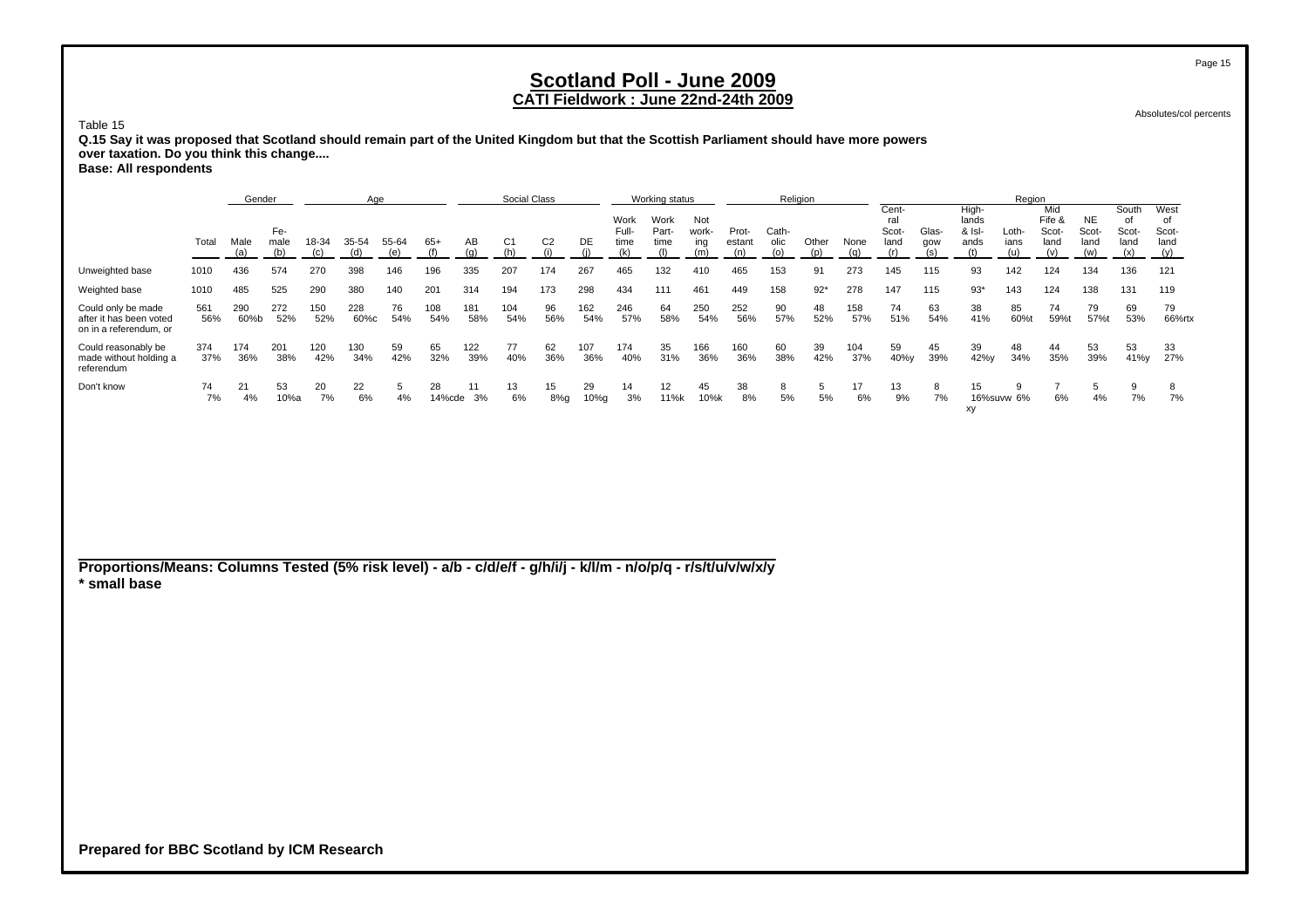Absolutes/col percents

Table 15 **Q.15 Say it was proposed that Scotland should remain part of the United Kingdom but that the Scottish Parliament should have more powers over taxation. Do you think this change....**

|  | <b>Base: All respondents</b> |
|--|------------------------------|
|--|------------------------------|

|                                                                         |            | Gender      |             |            | Age         |              |              |            | Social Class |                |            |                       | Working status        |                     |                        | Religion      |              |            |                               |              |                                    | Region        |                                |                                   |                                     |                               |
|-------------------------------------------------------------------------|------------|-------------|-------------|------------|-------------|--------------|--------------|------------|--------------|----------------|------------|-----------------------|-----------------------|---------------------|------------------------|---------------|--------------|------------|-------------------------------|--------------|------------------------------------|---------------|--------------------------------|-----------------------------------|-------------------------------------|-------------------------------|
|                                                                         | Total      | Male        | Fe-<br>male | 18-34      | 35-54       | 55-64<br>(e) | $65+$        | AB<br>(a)  | C1           | C <sub>2</sub> | DE         | Work<br>Full-<br>time | Work<br>Part-<br>time | Not<br>work-<br>ina | Prot-<br>estant<br>(n) | Cath-<br>olic | Other<br>(D) | None       | Cent-<br>ral<br>Scot-<br>land | Glas-<br>gow | High-<br>lands<br>$&$ Isl-<br>ands | Loth-<br>ians | Mid<br>Fife &<br>Scot-<br>land | <b>NE</b><br>Scot-<br>land<br>(w) | South<br>0f<br>Scot-<br>land<br>(x) | West<br>. of<br>Scot-<br>land |
| Unweighted base                                                         | 1010       | 436         | 574         | 270        | 398         | 146          | 196          | 335        | 207          | 174            | 267        | 465                   | 132                   | 410                 | 465                    | 153           | 91           | 273        | 145                           | 115          | 93                                 | 142           | 124                            | 134                               | 136                                 | 121                           |
| Weighted base                                                           | 1010       | 485         | 525         | 290        | 380         | 140          | 201          | 314        | 194          | 173            | 298        | 434                   | 111                   | 461                 | 449                    | 158           | $92*$        | 278        | 147                           | 115          | $93*$                              | 143           | 124                            | 138                               | 131                                 | 119                           |
| Could only be made<br>after it has been voted<br>on in a referendum, or | 561<br>56% | 290<br>60%b | 272<br>52%  | 150<br>52% | 228<br>60%c | 76<br>54%    | 108<br>54%   | 181<br>58% | 104<br>54%   | 96<br>56%      | 162<br>54% | 246<br>57%            | 64<br>58%             | 250<br>54%          | 252<br>56%             | 90<br>57%     | 48<br>52%    | 158<br>57% | 74<br>51%                     | 63<br>54%    | 38<br>41%                          | 85<br>60%     | 74<br>59%t                     | 79<br>57%t                        | 69<br>53%                           | 79<br>66%rtx                  |
| Could reasonably be<br>made without holding a<br>referendum             | 374<br>37% | 174<br>36%  | 201<br>38%  | 120<br>42% | 130<br>34%  | 59<br>42%    | 65<br>32%    | 122<br>39% | 77<br>40%    | 62<br>36%      | 107<br>36% | 174<br>40%            | 35<br>31%             | 166<br>36%          | 160<br>36%             | 60<br>38%     | 39<br>42%    | 104<br>37% | 59<br>40%y                    | 45<br>39%    | 39<br>42%y                         | 48<br>34%     | 44<br>35%                      | 53<br>39%                         | 53<br>41%y                          | 33<br>27%                     |
| Don't know                                                              | 74<br>7%   | 21<br>4%    | 53<br>10%a  | 20<br>7%   | 22<br>6%    | 4%           | 28<br>14%cde | 11<br>3%   | 13<br>6%     | 15<br>8%g      | 29<br>10%g | 14<br>3%              | 12<br>11%k            | 45<br>10%k          | 38<br>8%               | 8<br>5%       | b.<br>5%     | 17<br>6%   | 13<br>9%                      | 8<br>7%      | 15<br>xy                           | 16%suvw 6%    | 6%                             | 4%                                | 9<br>7%                             | 7%                            |

**Proportions/Means: Columns Tested (5% risk level) - a/b - c/d/e/f - g/h/i/j - k/l/m - n/o/p/q - r/s/t/u/v/w/x/y \* small base**

**Prepared for BBC Scotland by ICM Research**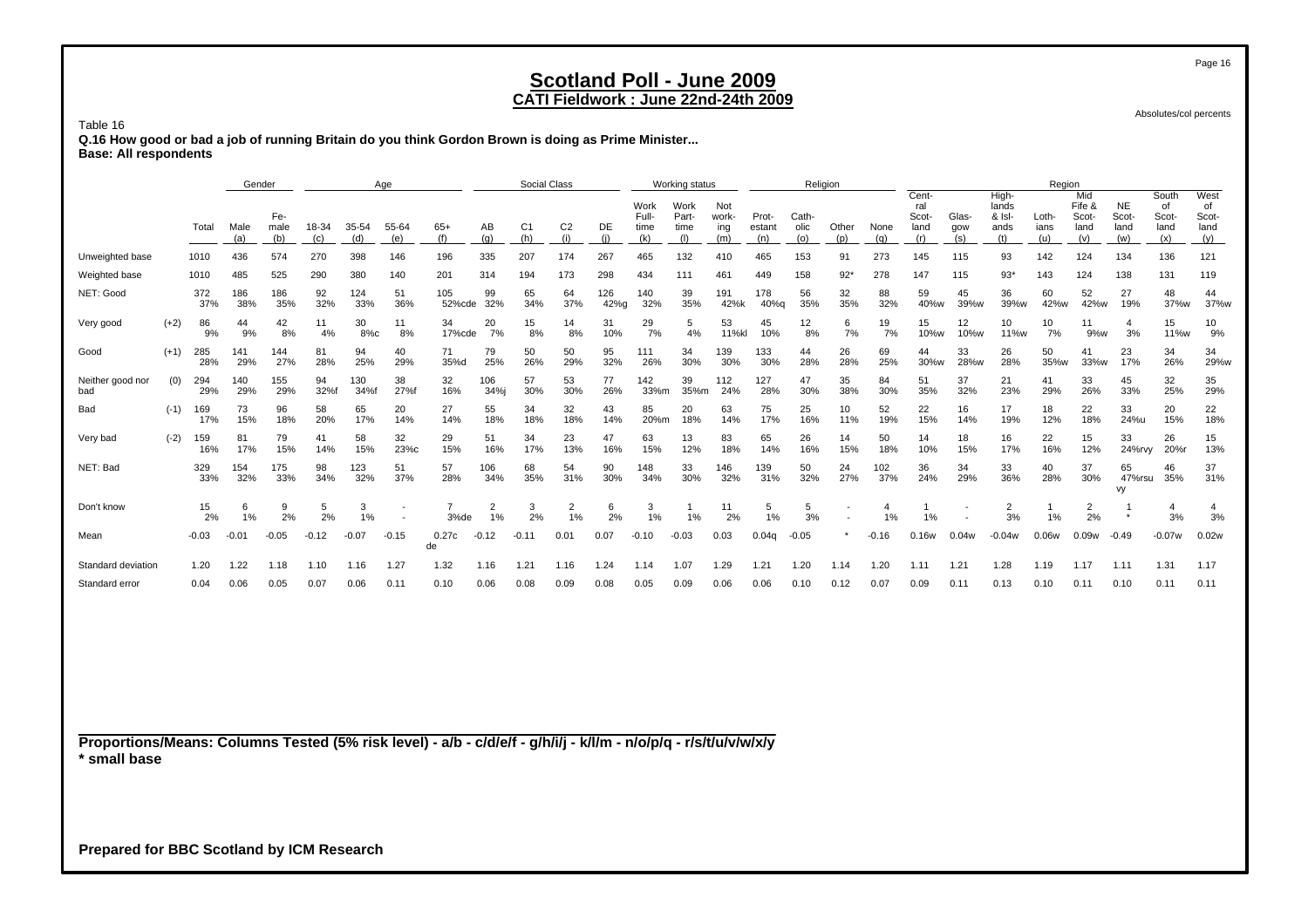### **CATI Fieldwork : June 22nd-24th 2009**

Absolutes/col percents

Table 16

 **Q.16 How good or bad a job of running Britain do you think Gordon Brown is doing as Prime Minister... Base: All respondents**

|                         |        |            | Gender      |                    |              |              | Age          |               |                      | <b>Social Class</b>   |                       |             |                              | Working status               |                            |                        |                      | Religion     |             |                                      |                     |                                         | Region               |                                       |                                   |                                     |                                    |
|-------------------------|--------|------------|-------------|--------------------|--------------|--------------|--------------|---------------|----------------------|-----------------------|-----------------------|-------------|------------------------------|------------------------------|----------------------------|------------------------|----------------------|--------------|-------------|--------------------------------------|---------------------|-----------------------------------------|----------------------|---------------------------------------|-----------------------------------|-------------------------------------|------------------------------------|
|                         |        | Total      | Male<br>(a) | Fe-<br>male<br>(b) | 18-34<br>(c) | 35-54<br>(d) | 55-64<br>(e) | $65+$<br>(f)  | AB<br>(q)            | C <sub>1</sub><br>(h) | C <sub>2</sub><br>(i) | DE<br>(i)   | Work<br>Full-<br>time<br>(k) | Work<br>Part-<br>time<br>(1) | Not<br>work-<br>ing<br>(m) | Prot-<br>estant<br>(n) | Cath-<br>olic<br>(0) | Other<br>(p) | None<br>(q) | Cent-<br>ral<br>Scot-<br>land<br>(r) | Glas-<br>gow<br>(s) | High-<br>lands<br>& Isl-<br>ands<br>(t) | Loth-<br>ians<br>(u) | Mid<br>Fife &<br>Scot-<br>land<br>(v) | <b>NE</b><br>Scot-<br>land<br>(w) | South<br>of<br>Scot-<br>land<br>(x) | West<br>of<br>Scot-<br>land<br>(y) |
| Unweighted base         |        | 1010       | 436         | 574                | 270          | 398          | 146          | 196           | 335                  | 207                   | 174                   | 267         | 465                          | 132                          | 410                        | 465                    | 153                  | 91           | 273         | 145                                  | 115                 | 93                                      | 142                  | 124                                   | 134                               | 136                                 | 121                                |
| Weighted base           |        | 1010       | 485         | 525                | 290          | 380          | 140          | 201           | 314                  | 194                   | 173                   | 298         | 434                          | 111                          | 461                        | 449                    | 158                  | $92*$        | 278         | 147                                  | 115                 | $93*$                                   | 143                  | 124                                   | 138                               | 131                                 | 119                                |
| NET: Good               |        | 372<br>37% | 186<br>38%  | 186<br>35%         | 92<br>32%    | 124<br>33%   | 51<br>36%    | 105<br>52%cde | 99<br>32%            | 65<br>34%             | 64<br>37%             | 126<br>42%g | 140<br>32%                   | 39<br>35%                    | 191<br>42%k                | 178<br>40%g            | 56<br>35%            | 32<br>35%    | 88<br>32%   | 59<br>40%w                           | 45<br>39%w          | 36<br>39%w                              | 60<br>42%w           | 52<br>42%w                            | 27<br>19%                         | 48<br>37%w                          | 44<br>37%w                         |
| Very good               | $(+2)$ | 86<br>9%   | 44<br>9%    | 42<br>8%           | 11<br>4%     | 30<br>8%c    | 11<br>8%     | 34<br>17%cde  | 20<br>7%             | 15<br>8%              | 14<br>8%              | 31<br>10%   | 29<br>7%                     | 5<br>4%                      | 53<br>11%kl                | 45<br>10%              | 12<br>8%             | 6<br>7%      | 19<br>7%    | 15<br>10%w                           | 12<br>10%w          | 10<br>11%w                              | 10<br>7%             | 11<br>9%w                             | $\overline{4}$<br>3%              | 15<br>11%w                          | 10<br>9%                           |
| Good                    | $(+1)$ | 285<br>28% | 141<br>29%  | 144<br>27%         | 81<br>28%    | 94<br>25%    | 40<br>29%    | 71<br>35%d    | 79<br>25%            | 50<br>26%             | 50<br>29%             | 95<br>32%   | 111<br>26%                   | 34<br>30%                    | 139<br>30%                 | 133<br>30%             | 44<br>28%            | 26<br>28%    | 69<br>25%   | 44<br>30%w                           | 33<br>28%w          | 26<br>28%                               | 50<br>35%w           | 41<br>33%w                            | 23<br>17%                         | 34<br>26%                           | 34<br>29%w                         |
| Neither good nor<br>bad | (0)    | 294<br>29% | 140<br>29%  | 155<br>29%         | 94<br>32%f   | 130<br>34%f  | 38<br>27%f   | 32<br>16%     | 106<br>34%i          | 57<br>30%             | 53<br>30%             | 77<br>26%   | 142<br>33%m                  | 39<br>35%m                   | 112<br>24%                 | 127<br>28%             | 47<br>30%            | 35<br>38%    | 84<br>30%   | 51<br>35%                            | 37<br>32%           | 21<br>23%                               | 41<br>29%            | 33<br>26%                             | 45<br>33%                         | 32<br>25%                           | 35<br>29%                          |
| Bad                     | $(-1)$ | 169<br>17% | 73<br>15%   | 96<br>18%          | 58<br>20%    | 65<br>17%    | 20<br>14%    | 27<br>14%     | 55<br>18%            | 34<br>18%             | 32<br>18%             | 43<br>14%   | 85<br>20%m                   | 20<br>18%                    | 63<br>14%                  | 75<br>17%              | 25<br>16%            | 10<br>11%    | 52<br>19%   | 22<br>15%                            | 16<br>14%           | 17<br>19%                               | 18<br>12%            | 22<br>18%                             | 33<br>24%u                        | 20<br>15%                           | 22<br>18%                          |
| Very bad                | $(-2)$ | 159<br>16% | 81<br>17%   | 79<br>15%          | 41<br>14%    | 58<br>15%    | 32<br>23%c   | 29<br>15%     | 51<br>16%            | 34<br>17%             | 23<br>13%             | 47<br>16%   | 63<br>15%                    | 13<br>12%                    | 83<br>18%                  | 65<br>14%              | 26<br>16%            | 14<br>15%    | 50<br>18%   | 14<br>10%                            | 18<br>15%           | 16<br>17%                               | 22<br>16%            | 15<br>12%                             | 33<br>24%rvy                      | 26<br>20%r                          | 15<br>13%                          |
| NET: Bad                |        | 329<br>33% | 154<br>32%  | 175<br>33%         | 98<br>34%    | 123<br>32%   | 51<br>37%    | 57<br>28%     | 106<br>34%           | 68<br>35%             | 54<br>31%             | 90<br>30%   | 148<br>34%                   | 33<br>30%                    | 146<br>32%                 | 139<br>31%             | 50<br>32%            | 24<br>27%    | 102<br>37%  | 36<br>24%                            | 34<br>29%           | 33<br>36%                               | 40<br>28%            | 37<br>30%                             | 65<br>47%rsu<br>vy                | 46<br>35%                           | 37<br>31%                          |
| Don't know              |        | 15<br>2%   | 6<br>1%     | 9<br>2%            | 5<br>2%      | 3<br>1%      |              | 3%de          | $\overline{2}$<br>1% | 3<br>2%               | 2<br>1%               | 2%          | 3<br>1%                      | 1%                           | 11<br>2%                   | 5<br>1%                | 5<br>3%              |              | 4<br>1%     | 1%                                   |                     | $\overline{2}$<br>3%                    | 1%                   | 2<br>2%                               |                                   | 3%                                  | 4<br>3%                            |
| Mean                    |        | $-0.03$    | $-0.01$     | $-0.05$            | $-0.12$      | $-0.07$      | $-0.15$      | 0.27c<br>de   | $-0.12$              | $-0.11$               | 0.01                  | 0.07        | $-0.10$                      | $-0.03$                      | 0.03                       | 0.04q                  | $-0.05$              |              | $-0.16$     | 0.16w                                | 0.04w               | $-0.04w$                                | 0.06w                | 0.09w                                 | $-0.49$                           | $-0.07w$                            | 0.02w                              |
| Standard deviation      |        | 1.20       | 1.22        | 1.18               | 1.10         | 1.16         | 1.27         | 1.32          | 1.16                 | 1.21                  | 1.16                  | 1.24        | 1.14                         | 1.07                         | 1.29                       | 1.21                   | 1.20                 | 1.14         | 1.20        | 1.11                                 | 1.21                | 1.28                                    | 1.19                 | 1.17                                  | 1.11                              | 1.31                                | 1.17                               |
| Standard error          |        | 0.04       | 0.06        | 0.05               | 0.07         | 0.06         | 0.11         | 0.10          | 0.06                 | 0.08                  | 0.09                  | 0.08        | 0.05                         | 0.09                         | 0.06                       | 0.06                   | 0.10                 | 0.12         | 0.07        | 0.09                                 | 0.11                | 0.13                                    | 0.10                 | 0.11                                  | 0.10                              | 0.11                                | 0.11                               |

**Proportions/Means: Columns Tested (5% risk level) - a/b - c/d/e/f - g/h/i/j - k/l/m - n/o/p/q - r/s/t/u/v/w/x/y \* small base**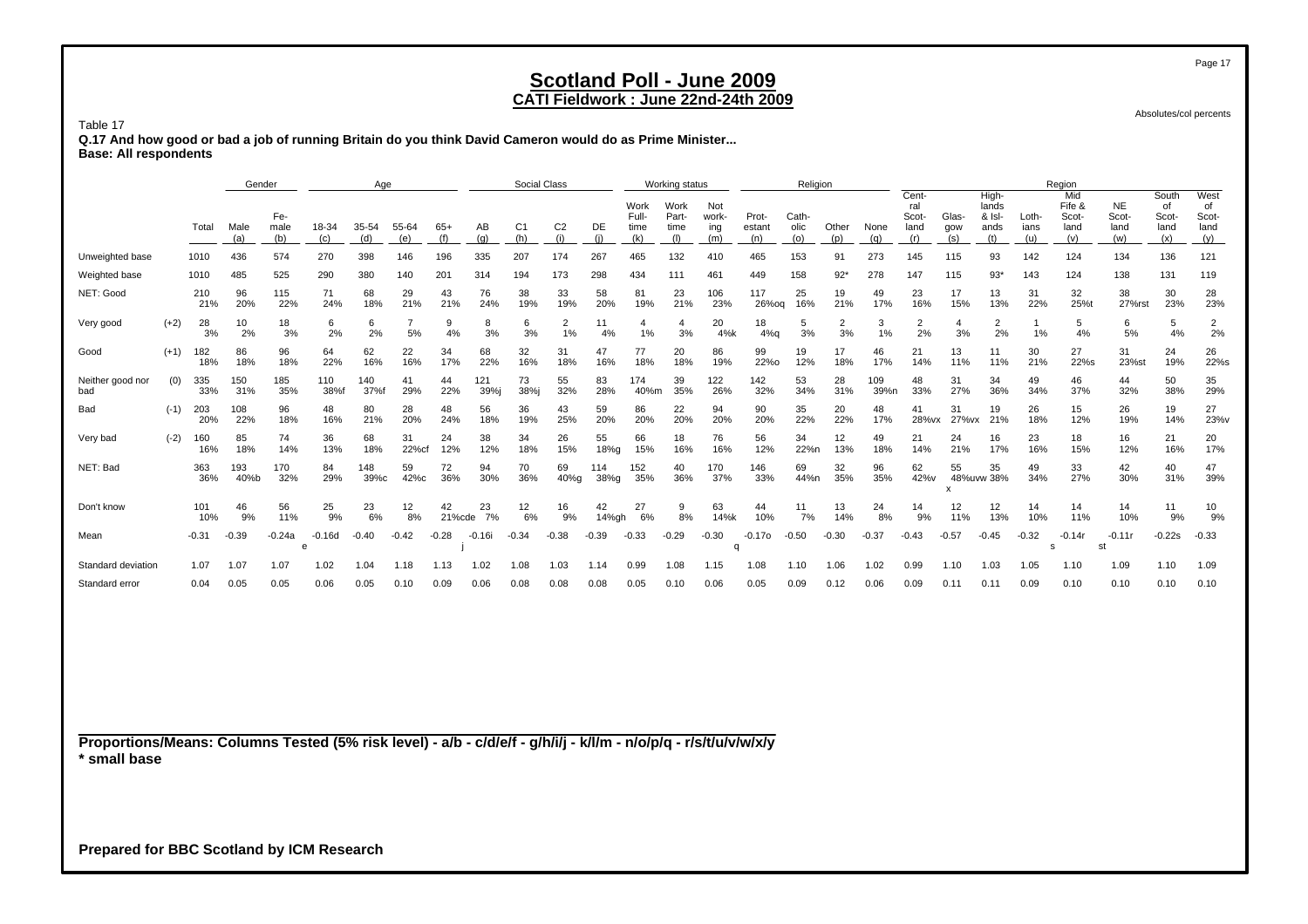### **CATI Fieldwork : June 22nd-24th 2009**

Absolutes/col percents

Table 17

 **Q.17 And how good or bad a job of running Britain do you think David Cameron would do as Prime Minister... Base: All respondents**

|                         |        |            | Gender      |                    |               | Age          |              |              |             | <b>Social Class</b>   |                |             |                              | Working status               |                            |                        | Religion             |              |             |                                      |                     |                                         |                      | Region                                |                                   |                                     |                                    |
|-------------------------|--------|------------|-------------|--------------------|---------------|--------------|--------------|--------------|-------------|-----------------------|----------------|-------------|------------------------------|------------------------------|----------------------------|------------------------|----------------------|--------------|-------------|--------------------------------------|---------------------|-----------------------------------------|----------------------|---------------------------------------|-----------------------------------|-------------------------------------|------------------------------------|
|                         |        | Total      | Male<br>(a) | Fe-<br>male<br>(b) | 18-34<br>(c)  | 35-54<br>(d) | 55-64<br>(e) | $65+$        | AВ<br>(a)   | C <sub>1</sub><br>(h) | C <sub>2</sub> | DE          | Work<br>Full-<br>time<br>(k) | Work<br>Part-<br>time<br>(1) | Not<br>work-<br>ing<br>(m) | Prot-<br>estant<br>(n) | Cath-<br>olic<br>(o) | Other<br>(p) | None<br>(a) | Cent-<br>ral<br>Scot-<br>land<br>(r) | Glas-<br>gow<br>(s) | High-<br>lands<br>& Isl-<br>ands<br>(t) | Loth-<br>ians<br>(u) | Mid<br>Fife &<br>Scot-<br>land<br>(v) | <b>NE</b><br>Scot-<br>land<br>(w) | South<br>of<br>Scot-<br>land<br>(x) | West<br>of<br>Scot-<br>land<br>(y) |
| Unweighted base         |        | 1010       | 436         | 574                | 270           | 398          | 146          | 196          | 335         | 207                   | 174            | 267         | 465                          | 132                          | 410                        | 465                    | 153                  | 91           | 273         | 145                                  | 115                 | 93                                      | 142                  | 124                                   | 134                               | 136                                 | 121                                |
| Weighted base           |        | 1010       | 485         | 525                | 290           | 380          | 140          | 201          | 314         | 194                   | 173            | 298         | 434                          | 111                          | 461                        | 449                    | 158                  | $92*$        | 278         | 147                                  | 115                 | $93*$                                   | 143                  | 124                                   | 138                               | 131                                 | 119                                |
| NET: Good               |        | 210<br>21% | 96<br>20%   | 115<br>22%         | 71<br>24%     | 68<br>18%    | 29<br>21%    | 43<br>21%    | 76<br>24%   | 38<br>19%             | 33<br>19%      | 58<br>20%   | 81<br>19%                    | 23<br>21%                    | 106<br>23%                 | 117<br>26%og           | 25<br>16%            | 19<br>21%    | 49<br>17%   | 23<br>16%                            | 17<br>15%           | 13<br>13%                               | 31<br>22%            | 32<br>25%t                            | 38<br>27%rst                      | 30<br>23%                           | 28<br>23%                          |
| Very good               | $(+2)$ | 28<br>3%   | 10<br>2%    | 18<br>3%           | 6<br>2%       | 6<br>2%      | 5%           | 9<br>4%      | 8<br>3%     | 6<br>3%               | 2<br>1%        | 11<br>4%    | 1%                           | 3%                           | 20<br>4%k                  | 18<br>$4%$ a           | 5<br>3%              | 2<br>3%      | 3<br>1%     | $\overline{2}$<br>2%                 | 4<br>3%             | 2<br>2%                                 | 1%                   | 5<br>4%                               | 6<br>5%                           | 5<br>4%                             | $\overline{2}$<br>2%               |
| Good                    | $(+1)$ | 182<br>18% | 86<br>18%   | 96<br>18%          | 64<br>22%     | 62<br>16%    | 22<br>16%    | 34<br>17%    | 68<br>22%   | 32<br>16%             | 31<br>18%      | 47<br>16%   | 77<br>18%                    | 20<br>18%                    | 86<br>19%                  | 99<br>22%0             | 19<br>12%            | 17<br>18%    | 46<br>17%   | 21<br>14%                            | 13<br>11%           | 11<br>11%                               | 30<br>21%            | 27<br>22%s                            | 31<br>23%st                       | 24<br>19%                           | 26<br>22%s                         |
| Neither good nor<br>bad | (0)    | 335<br>33% | 150<br>31%  | 185<br>35%         | 110<br>38%f   | 140<br>37%f  | 41<br>29%    | 44<br>22%    | 121<br>39%i | 73<br>38%j            | 55<br>32%      | 83<br>28%   | 174<br>40%m                  | 39<br>35%                    | 122<br>26%                 | 142<br>32%             | 53<br>34%            | 28<br>31%    | 109<br>39%n | 48<br>33%                            | 31<br>27%           | 34<br>36%                               | 49<br>34%            | 46<br>37%                             | 44<br>32%                         | 50<br>38%                           | 35<br>29%                          |
| Bad                     | $(-1)$ | 203<br>20% | 108<br>22%  | 96<br>18%          | 48<br>16%     | 80<br>21%    | 28<br>20%    | 48<br>24%    | 56<br>18%   | 36<br>19%             | 43<br>25%      | 59<br>20%   | 86<br>20%                    | 22<br>20%                    | 94<br>20%                  | 90<br>20%              | 35<br>22%            | 20<br>22%    | 48<br>17%   | 41<br>28%vx                          | 31<br>27% vx        | 19<br>21%                               | 26<br>18%            | 15<br>12%                             | 26<br>19%                         | 19<br>14%                           | 27<br>23%v                         |
| Very bad                | $(-2)$ | 160<br>16% | 85<br>18%   | 74<br>14%          | 36<br>13%     | 68<br>18%    | 31<br>22%cf  | 24<br>12%    | 38<br>12%   | 34<br>18%             | 26<br>15%      | 55<br>18%g  | 66<br>15%                    | 18<br>16%                    | 76<br>16%                  | 56<br>12%              | 34<br>22%n           | 12<br>13%    | 49<br>18%   | 21<br>14%                            | 24<br>21%           | 16<br>17%                               | 23<br>16%            | 18<br>15%                             | 16<br>12%                         | 21<br>16%                           | 20<br>17%                          |
| NET: Bad                |        | 363<br>36% | 193<br>40%b | 170<br>32%         | 84<br>29%     | 148<br>39%c  | 59<br>42%c   | 72<br>36%    | 94<br>30%   | 70<br>36%             | 69<br>40%g     | 114<br>38%g | 152<br>35%                   | 40<br>36%                    | 170<br>37%                 | 146<br>33%             | 69<br>44%n           | 32<br>35%    | 96<br>35%   | 62<br>42%v                           | 55                  | 35<br>48%uvw 38%                        | 49<br>34%            | 33<br>27%                             | 42<br>30%                         | 40<br>31%                           | 47<br>39%                          |
| Don't know              |        | 101<br>10% | 46<br>9%    | 56<br>11%          | 25<br>9%      | 23<br>6%     | 12<br>8%     | 42<br>21%cde | 23<br>7%    | 12<br>6%              | 16<br>9%       | 42<br>14%gh | 27<br>6%                     | 9<br>8%                      | 63<br>14%k                 | 44<br>10%              | 11<br>7%             | 13<br>14%    | 24<br>8%    | 14<br>9%                             | 12<br>11%           | 12<br>13%                               | 14<br>10%            | 14<br>11%                             | 14<br>10%                         | 11<br>9%                            | 10<br>9%                           |
| Mean                    |        | $-0.31$    | $-0.39$     | $-0.24a$           | $-0.16d$<br>e | $-0.40$      | $-0.42$      | $-0.28$      | $-0.16i$    | $-0.34$               | $-0.38$        | $-0.39$     | $-0.33$                      | $-0.29$                      | $-0.30$                    | $-0.170$               | $-0.50$              | $-0.30$      | $-0.37$     | $-0.43$                              | $-0.57$             | $-0.45$                                 | $-0.32$<br>S         | $-0.14r$                              | $-0.11r$<br>st                    | $-0.22s$                            | $-0.33$                            |
| Standard deviation      |        | 1.07       | 1.07        | 1.07               | 1.02          | 1.04         | 1.18         | 1.13         | 1.02        | 1.08                  | 1.03           | 1.14        | 0.99                         | 1.08                         | 1.15                       | 1.08                   | 1.10                 | 1.06         | 1.02        | 0.99                                 | 1.10                | 1.03                                    | 1.05                 | 1.10                                  | 1.09                              | 1.10                                | 1.09                               |
| Standard error          |        | 0.04       | 0.05        | 0.05               | 0.06          | 0.05         | 0.10         | 0.09         | 0.06        | 0.08                  | 0.08           | 0.08        | 0.05                         | 0.10                         | 0.06                       | 0.05                   | 0.09                 | 0.12         | 0.06        | 0.09                                 | 0.11                | 0.11                                    | 0.09                 | 0.10                                  | 0.10                              | 0.10                                | 0.10                               |

**Proportions/Means: Columns Tested (5% risk level) - a/b - c/d/e/f - g/h/i/j - k/l/m - n/o/p/q - r/s/t/u/v/w/x/y \* small base**

**Prepared for BBC Scotland by ICM Research**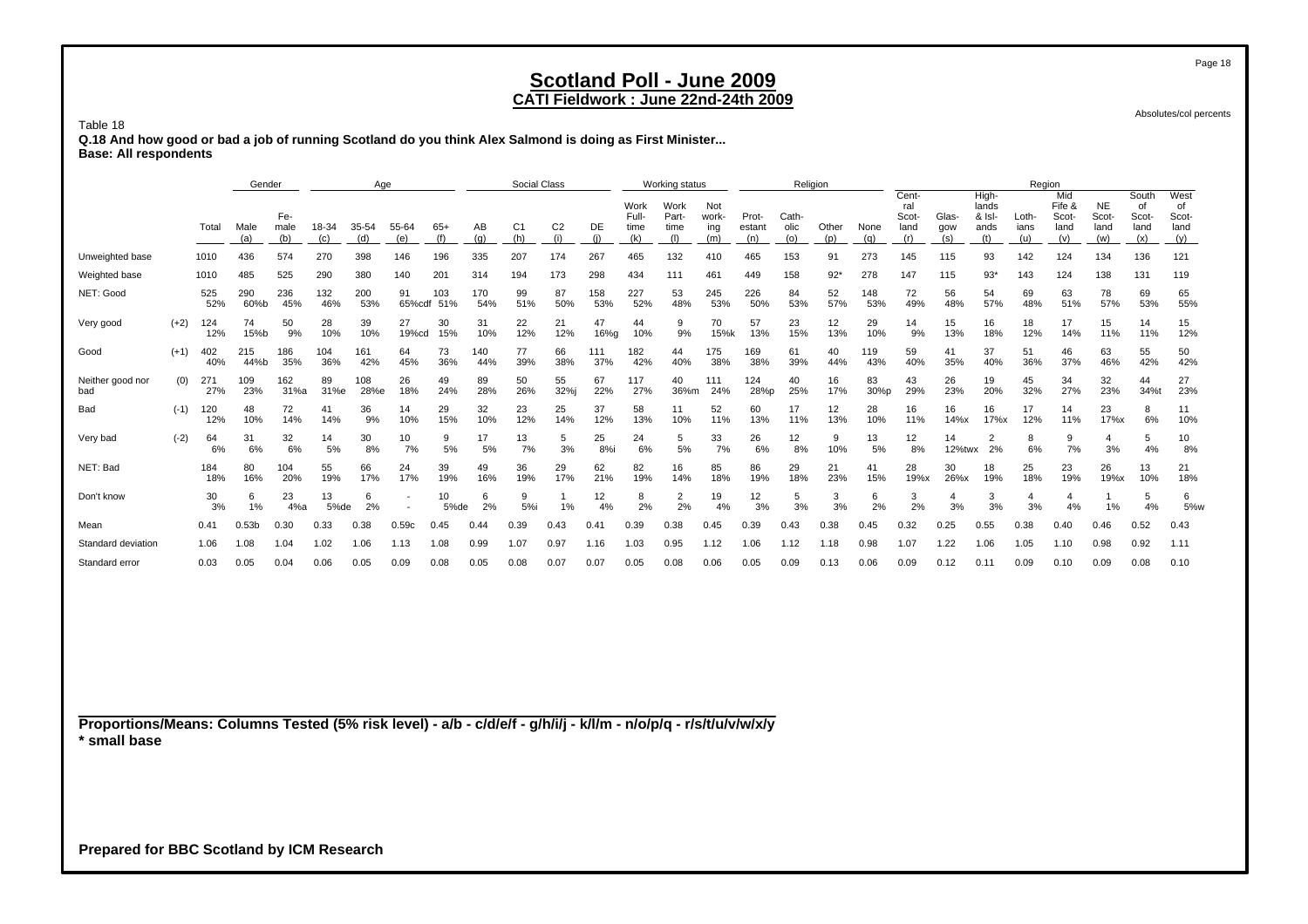### **CATI Fieldwork : June 22nd-24th 2009**

Absolutes/col percents

Table 18 **Q.18 And how good or bad a job of running Scotland do you think Alex Salmond is doing as First Minister... Base: All respondents**

|                         |        |            | Gender            |                    |              | Age          |                          |            |            | Social Class |                       |            |                              | Working status               |                            |                        |                      | Religion     |                    |                                      |                     |                                         | Region               |                                       |                                   |                                     |                                    |
|-------------------------|--------|------------|-------------------|--------------------|--------------|--------------|--------------------------|------------|------------|--------------|-----------------------|------------|------------------------------|------------------------------|----------------------------|------------------------|----------------------|--------------|--------------------|--------------------------------------|---------------------|-----------------------------------------|----------------------|---------------------------------------|-----------------------------------|-------------------------------------|------------------------------------|
|                         |        | Total      | Male<br>(a)       | Fe-<br>male<br>(b) | 18-34<br>(c) | 35-54<br>(d) | 55-64<br>(e)             | $65+$      | AВ<br>(a)  | C1<br>(h)    | C <sub>2</sub><br>(i) | DE         | Work<br>Full-<br>time<br>(k) | Work<br>Part-<br>time<br>(1) | Not<br>work-<br>ing<br>(m) | Prot-<br>estant<br>(n) | Cath-<br>olic<br>(o) | Other<br>(n) | None<br>$(\alpha)$ | Cent-<br>ral<br>Scot-<br>land<br>(r) | Glas-<br>gow<br>(s) | High-<br>lands<br>& Isl-<br>ands<br>(t) | Loth-<br>ians<br>(u) | Mid<br>Fife &<br>Scot-<br>land<br>(v) | <b>NE</b><br>Scot-<br>land<br>(w) | South<br>0f<br>Scot-<br>land<br>(x) | West<br>οf<br>Scot-<br>land<br>(y) |
| Unweighted base         |        | 1010       | 436               | 574                | 270          | 398          | 146                      | 196        | 335        | 207          | 174                   | 267        | 465                          | 132                          | 410                        | 465                    | 153                  | 91           | 273                | 145                                  | 115                 | 93                                      | 142                  | 124                                   | 134                               | 136                                 | 121                                |
| Weighted base           |        | 1010       | 485               | 525                | 290          | 380          | 140                      | 201        | 314        | 194          | 173                   | 298        | 434                          | 111                          | 461                        | 449                    | 158                  | $92*$        | 278                | 147                                  | 115                 | $93*$                                   | 143                  | 124                                   | 138                               | 131                                 | 119                                |
| NET: Good               |        | 525<br>52% | 290<br>60%b       | 236<br>45%         | 132<br>46%   | 200<br>53%   | 91<br>65%cdf             | 103<br>51% | 170<br>54% | 99<br>51%    | 87<br>50%             | 158<br>53% | 227<br>52%                   | 53<br>48%                    | 245<br>53%                 | 226<br>50%             | 84<br>53%            | 52<br>57%    | 148<br>53%         | 72<br>49%                            | 56<br>48%           | 54<br>57%                               | 69<br>48%            | 63<br>51%                             | 78<br>57%                         | 69<br>53%                           | 65<br>55%                          |
| Very good               | $(+2)$ | 124<br>12% | 74<br>15%b        | 50<br>9%           | 28<br>10%    | 39<br>10%    | 27<br>19%cd              | 30<br>15%  | 31<br>10%  | 22<br>12%    | 21<br>12%             | 47<br>16%g | 44<br>10%                    | 9<br>9%                      | 70<br>15%k                 | 57<br>13%              | 23<br>15%            | 12<br>13%    | 29<br>10%          | 14<br>9%                             | 15<br>13%           | 16<br>18%                               | 18<br>12%            | 17<br>14%                             | 15<br>11%                         | 14<br>11%                           | 15<br>12%                          |
| Good                    | $(+1)$ | 402<br>40% | 215<br>44%b       | 186<br>35%         | 104<br>36%   | 161<br>42%   | 64<br>45%                | 73<br>36%  | 140<br>44% | 77<br>39%    | 66<br>38%             | 111<br>37% | 182<br>42%                   | 44<br>40%                    | 175<br>38%                 | 169<br>38%             | 61<br>39%            | 40<br>44%    | 119<br>43%         | 59<br>40%                            | 41<br>35%           | 37<br>40%                               | 51<br>36%            | 46<br>37%                             | 63<br>46%                         | 55<br>42%                           | 50<br>42%                          |
| Neither good nor<br>bad | (0)    | 271<br>27% | 109<br>23%        | 162<br>31%a        | 89<br>31%e   | 108<br>28%e  | 26<br>18%                | 49<br>24%  | 89<br>28%  | 50<br>26%    | 55<br>32%j            | 67<br>22%  | 117<br>27%                   | 40<br>36%m                   | 111<br>24%                 | 124<br>28%p            | 40<br>25%            | 16<br>17%    | 83<br>30%p         | 43<br>29%                            | 26<br>23%           | 19<br>20%                               | 45<br>32%            | 34<br>27%                             | 32<br>23%                         | 44<br>34%t                          | 27<br>23%                          |
| Bad                     | $(-1)$ | 120<br>12% | 48<br>10%         | 72<br>14%          | 41<br>14%    | 36<br>9%     | 14<br>10%                | 29<br>15%  | 32<br>10%  | 23<br>12%    | 25<br>14%             | 37<br>12%  | 58<br>13%                    | 10%                          | 52<br>11%                  | 60<br>13%              | 17<br>11%            | 12<br>13%    | 28<br>10%          | 16<br>11%                            | 16<br>14%           | 16<br>17%x                              | 17<br>12%            | 14<br>11%                             | 23<br>17%x                        | 8<br>6%                             | 11<br>10%                          |
| Very bad                | $(-2)$ | 64<br>6%   | 31<br>6%          | 32<br>6%           | 14<br>5%     | 30<br>8%     | 10<br>7%                 | 9<br>5%    | 17<br>5%   | 13<br>7%     | 5<br>3%               | 25<br>8%i  | 24<br>6%                     | 5<br>5%                      | 33<br>7%                   | 26<br>6%               | 12<br>8%             | 9<br>10%     | 13<br>5%           | 12<br>8%                             | 14<br>12%twx        | 2<br>2%                                 | 8<br>6%              | 9<br>7%                               | 4<br>3%                           | 5<br>4%                             | 10<br>8%                           |
| NET: Bad                |        | 184<br>18% | 80<br>16%         | 104<br>20%         | 55<br>19%    | 66<br>17%    | 24<br>17%                | 39<br>19%  | 49<br>16%  | 36<br>19%    | 29<br>17%             | 62<br>21%  | 82<br>19%                    | 16<br>14%                    | 85<br>18%                  | 86<br>19%              | 29<br>18%            | 21<br>23%    | 41<br>15%          | 28<br>19%x                           | 30<br>26%x          | 18<br>19%                               | 25<br>18%            | 23<br>19%                             | 26<br>19%x                        | 13<br>10%                           | 21<br>18%                          |
| Don't know              |        | 30<br>3%   | 6<br>1%           | 23<br>4%a          | 13<br>5%de   | 6<br>2%      | $\overline{\phantom{a}}$ | 10<br>5%de | 6<br>2%    | 5%i          | 1%                    | 12<br>4%   | 8<br>2%                      | 2<br>2%                      | 19<br>4%                   | 12<br>3%               | 5<br>3%              | 3<br>3%      | 6<br>2%            | 3<br>2%                              | 3%                  | 3<br>3%                                 | 3%                   | 4%                                    | 1%                                | 5<br>4%                             | 6<br>5%w                           |
| Mean                    |        | 0.41       | 0.53 <sub>b</sub> | 0.30               | 0.33         | 0.38         | 0.59c                    | 0.45       | 0.44       | 0.39         | 0.43                  | 0.41       | 0.39                         | 0.38                         | 0.45                       | 0.39                   | 0.43                 | 0.38         | 0.45               | 0.32                                 | 0.25                | 0.55                                    | 0.38                 | 0.40                                  | 0.46                              | 0.52                                | 0.43                               |
| Standard deviation      |        | 1.06       | 1.08              | 1.04               | 1.02         | 1.06         | 1.13                     | 1.08       | 0.99       | 1.07         | 0.97                  | 1.16       | 1.03                         | 0.95                         | 1.12                       | 1.06                   | .12                  | 1.18         | 0.98               | 1.07                                 | 1.22                | 1.06                                    | 1.05                 | 1.10                                  | 0.98                              | 0.92                                | 1.11                               |
| Standard error          |        | 0.03       | 0.05              | 0.04               | 0.06         | 0.05         | 0.09                     | 0.08       | 0.05       | 0.08         | 0.07                  | 0.07       | 0.05                         | 0.08                         | 0.06                       | 0.05                   | 0.09                 | 0.13         | 0.06               | 0.09                                 | 0.12                | 0.11                                    | 0.09                 | 0.10                                  | 0.09                              | 0.08                                | 0.10                               |

**Proportions/Means: Columns Tested (5% risk level) - a/b - c/d/e/f - g/h/i/j - k/l/m - n/o/p/q - r/s/t/u/v/w/x/y \* small base**

**Prepared for BBC Scotland by ICM Research**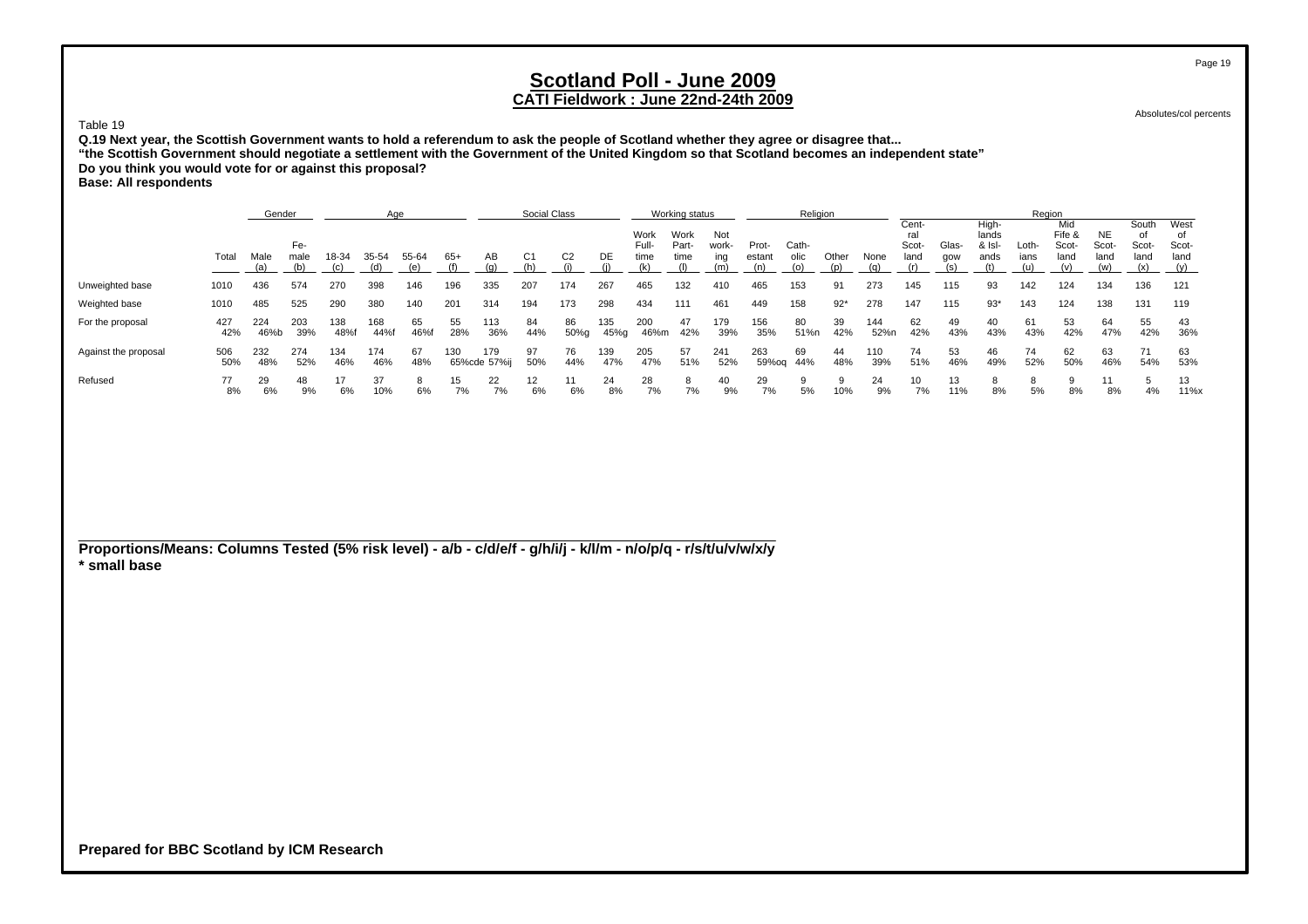Absolutes/col percents

#### Table 19

**Q.19 Next year, the Scottish Government wants to hold a referendum to ask the people of Scotland whether they agree or disagree that... "the Scottish Government should negotiate a settlement with the Government of the United Kingdom so that Scotland becomes an independent state" Do you think you would vote for or against this proposal? Base: All respondents**

|                      |            | Gender      |             |             | Age        |              |           |                     | <b>Social Class</b> |                |             |                       | Working status        |                     |                 | Religion      |              |             |                               |              |                                    | Region        |                                |                                   |                        |                                    |
|----------------------|------------|-------------|-------------|-------------|------------|--------------|-----------|---------------------|---------------------|----------------|-------------|-----------------------|-----------------------|---------------------|-----------------|---------------|--------------|-------------|-------------------------------|--------------|------------------------------------|---------------|--------------------------------|-----------------------------------|------------------------|------------------------------------|
|                      | Total      | Male        | Fe-<br>male | 18-34       | 35-54      | 55-64<br>(e) | $65+$     | AВ                  | C1                  | C <sub>2</sub> | DE          | Work<br>Full-<br>time | Work<br>Part-<br>time | Not<br>work-<br>ing | Prot-<br>estant | Cath-<br>olic | Other<br>(D) | None        | Cent-<br>ral<br>Scot-<br>land | Glas-<br>qow | High-<br>lands<br>$8$ Isl-<br>ands | Loth-<br>ians | Mid<br>Fife &<br>Scot-<br>land | <b>NE</b><br>Scot-<br>land<br>(w) | South<br>Scot-<br>land | West<br>of<br>Scot-<br>land<br>(y) |
| Unweighted base      | 1010       | 436         | 574         | 270         | 398        | 146          | 196       | 335                 | 207                 | 174            | 267         | 465                   | 132                   | 410                 | 465             | 153           | 91           | 273         | 145                           | 115          | 93                                 | 142           | 124                            | 134                               | 136                    | 121                                |
| Weighted base        | 1010       | 485         | 525         | 290         | 380        | 140          | 201       | 314                 | 194                 | 173            | 298         | 434                   | 111                   | 461                 | 449             | 158           | $92*$        | 278         | 147                           | 115          | $93*$                              | 143           | 124                            | 138                               | 131                    | 119                                |
| For the proposal     | 427<br>42% | 224<br>46%b | 203<br>39%  | 138<br>48%f | 168<br>44% | 65<br>46%f   | 55<br>28% | 113<br>36%          | 84<br>44%           | 86<br>50%g     | 135<br>45%g | 200<br>46%m           | 47<br>42%             | 179<br>39%          | 156<br>35%      | 80<br>51%n    | 39<br>42%    | 144<br>52%n | 62<br>42%                     | 49<br>43%    | 40<br>43%                          | 61<br>43%     | 53<br>42%                      | 64<br>47%                         | 55<br>42%              | 43<br>36%                          |
| Against the proposal | 506<br>50% | 232<br>48%  | 274<br>52%  | 134<br>46%  | 174<br>46% | 67<br>48%    | 130       | 179<br>65%cde 57%ij | 97<br>50%           | 76<br>44%      | 139<br>47%  | 205<br>47%            | 57<br>51%             | 241<br>52%          | 263<br>59%og    | 69<br>44%     | 44<br>48%    | 110<br>39%  | 74<br>51%                     | 53<br>46%    | 46<br>49%                          | 74<br>52%     | 62<br>50%                      | 63<br>46%                         | 54%                    | 63<br>53%                          |
| Refused              | 8%         | 29<br>6%    | 48<br>9%    | 17<br>6%    | 37<br>10%  | 6%           | 15<br>7%  | 22<br>7%            | 12<br>6%            | 6%             | 24<br>8%    | 28<br>7%              | 7%                    | 40<br>9%            | 29<br>7%        | 5%            | 10%          | 24<br>9%    | 10<br>7%                      | 13<br>11%    | 8%                                 | 5%            | 8%                             | 8%                                | 4%                     | 13<br>$11\%x$                      |

**Proportions/Means: Columns Tested (5% risk level) - a/b - c/d/e/f - g/h/i/j - k/l/m - n/o/p/q - r/s/t/u/v/w/x/y \* small base**

**Prepared for BBC Scotland by ICM Research**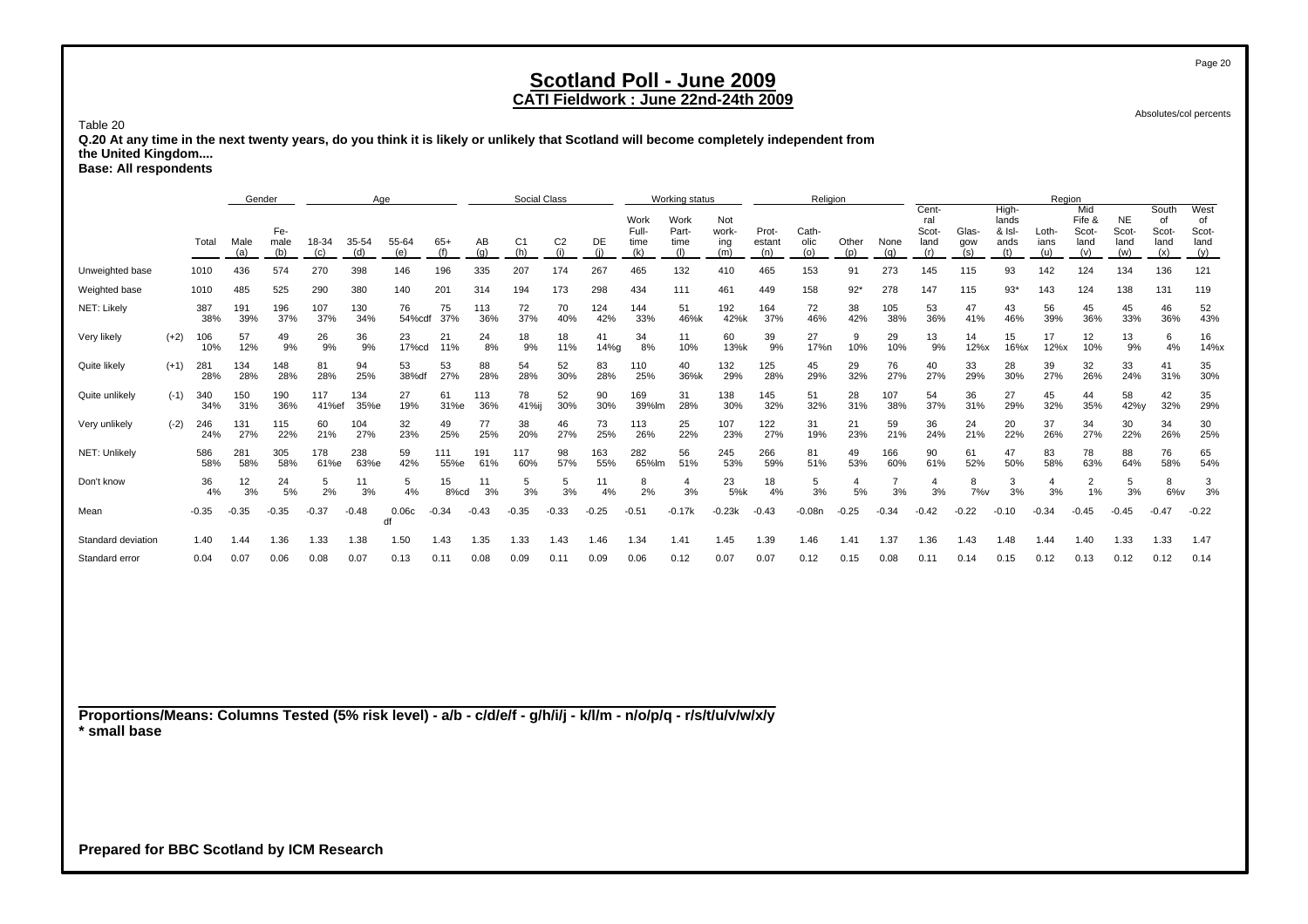### **CATI Fieldwork : June 22nd-24th 2009**

Absolutes/col percents

Table 20

 **Q.20 At any time in the next twenty years, do you think it is likely or unlikely that Scotland will become completely independent from the United Kingdom....**

**Base: All respondents**

|                    |        |            | Gender      |                    |              |              | Age          |              |            | Social Class          |                |            |                              | Working status        |                            |                        | Religion             |              |             |                               |                     |                                         | Region               |                                       |                            |                                     |                                    |
|--------------------|--------|------------|-------------|--------------------|--------------|--------------|--------------|--------------|------------|-----------------------|----------------|------------|------------------------------|-----------------------|----------------------------|------------------------|----------------------|--------------|-------------|-------------------------------|---------------------|-----------------------------------------|----------------------|---------------------------------------|----------------------------|-------------------------------------|------------------------------------|
|                    |        | Total      | Male<br>(a) | Fe-<br>male<br>(b) | 18-34<br>(c) | 35-54<br>(d) | 55-64<br>(e) | $65+$<br>(f) | AB<br>(q)  | C <sub>1</sub><br>(h) | C <sub>2</sub> | DE         | Work<br>Full-<br>time<br>(k) | Work<br>Part-<br>time | Not<br>work-<br>ing<br>(m) | Prot-<br>estant<br>(n) | Cath-<br>olic<br>(o) | Other<br>(p) | None<br>(q) | Cent-<br>ral<br>Scot-<br>land | Glas-<br>gow<br>(s) | High-<br>lands<br>& Isl-<br>ands<br>(t) | Loth-<br>ians<br>(u) | Mid<br>Fife &<br>Scot-<br>land<br>(v) | NE.<br>Scot<br>land<br>(w) | South<br>of<br>Scot-<br>land<br>(x) | West<br>of<br>Scot-<br>land<br>(y) |
| Unweighted base    |        | 1010       | 436         | 574                | 270          | 398          | 146          | 196          | 335        | 207                   | 174            | 267        | 465                          | 132                   | 410                        | 465                    | 153                  | 91           | 273         | 145                           | 115                 | 93                                      | 142                  | 124                                   | 134                        | 136                                 | 121                                |
| Weighted base      |        | 1010       | 485         | 525                | 290          | 380          | 140          | 201          | 314        | 194                   | 173            | 298        | 434                          | 111                   | 461                        | 449                    | 158                  | $92*$        | 278         | 147                           | 115                 | $93*$                                   | 143                  | 124                                   | 138                        | 131                                 | 119                                |
| NET: Likely        |        | 387<br>38% | 191<br>39%  | 196<br>37%         | 107<br>37%   | 130<br>34%   | 76<br>54%cdf | 75<br>37%    | 113<br>36% | 72<br>37%             | 70<br>40%      | 124<br>42% | 144<br>33%                   | 51<br>46%k            | 192<br>42%k                | 164<br>37%             | 72<br>46%            | 38<br>42%    | 105<br>38%  | 53<br>36%                     | 47<br>41%           | 43<br>46%                               | 56<br>39%            | 45<br>36%                             | 45<br>33%                  | 46<br>36%                           | 52<br>43%                          |
| Very likely        | $(+2)$ | 106<br>10% | 57<br>12%   | 49<br>9%           | 26<br>9%     | 36<br>9%     | 23<br>17%cd  | 21<br>11%    | 24<br>8%   | 18<br>9%              | 18<br>11%      | 41<br>14%g | 34<br>8%                     | 11<br>10%             | 60<br>13%k                 | 39<br>9%               | 27<br>17%n           | 9<br>10%     | 29<br>10%   | 13<br>9%                      | 14<br>12%x          | 15<br>16%x                              | 17<br>12%x           | 12<br>10%                             | 13<br>9%                   | 6<br>4%                             | 16<br>14%x                         |
| Quite likely       | $(+1)$ | 281<br>28% | 134<br>28%  | 148<br>28%         | 81<br>28%    | 94<br>25%    | 53<br>38%d   | 53<br>27%    | 88<br>28%  | 54<br>28%             | 52<br>30%      | 83<br>28%  | 110<br>25%                   | 40<br>36%k            | 132<br>29%                 | 125<br>28%             | 45<br>29%            | 29<br>32%    | 76<br>27%   | 40<br>27%                     | 33<br>29%           | 28<br>30%                               | 39<br>27%            | 32<br>26%                             | 33<br>24%                  | 41<br>31%                           | 35<br>30%                          |
| Quite unlikely     | $(-1)$ | 340<br>34% | 150<br>31%  | 190<br>36%         | 117<br>41%ef | 134<br>35%e  | 27<br>19%    | 61<br>31%e   | 113<br>36% | 78<br>41%ij           | 52<br>30%      | 90<br>30%  | 169<br>39%lm                 | 31<br>28%             | 138<br>30%                 | 145<br>32%             | 51<br>32%            | 28<br>31%    | 107<br>38%  | 54<br>37%                     | 36<br>31%           | 27<br>29%                               | 45<br>32%            | 44<br>35%                             | 58<br>42%y                 | 42<br>32%                           | 35<br>29%                          |
| Very unlikely      | $(-2)$ | 246<br>24% | 131<br>27%  | 115<br>22%         | 60<br>21%    | 104<br>27%   | 32<br>23%    | 49<br>25%    | 77<br>25%  | 38<br>20%             | 46<br>27%      | 73<br>25%  | 113<br>26%                   | 25<br>22%             | 107<br>23%                 | 122<br>27%             | 31<br>19%            | 21<br>23%    | 59<br>21%   | 36<br>24%                     | 24<br>21%           | 20<br>22%                               | 37<br>26%            | 34<br>27%                             | 30<br>22%                  | 34<br>26%                           | 30<br>25%                          |
| NET: Unlikely      |        | 586<br>58% | 281<br>58%  | 305<br>58%         | 178<br>61%e  | 238<br>63%e  | 59<br>42%    | 111<br>55%e  | 191<br>61% | 117<br>60%            | 98<br>57%      | 163<br>55% | 282<br>65%lm                 | 56<br>51%             | 245<br>53%                 | 266<br>59%             | 81<br>51%            | 49<br>53%    | 166<br>60%  | 90<br>61%                     | 61<br>52%           | 47<br>50%                               | 83<br>58%            | 78<br>63%                             | 88<br>64%                  | 76<br>58%                           | 65<br>54%                          |
| Don't know         |        | 36<br>4%   | 12<br>3%    | 24<br>5%           | 5<br>2%      | 11<br>3%     | 5<br>4%      | 15<br>8%cd   | 3%         | 5<br>3%               | 5<br>3%        | 11<br>4%   | 8<br>2%                      | 3%                    | 23<br>5%k                  | 18<br>4%               | 5<br>3%              | 5%           | 3%          | 3%                            | 8<br>$7\%$ v        | 3<br>3%                                 | 3%                   | 2<br>1%                               | 3%                         | 8<br>$6\%$ v                        | 3<br>3%                            |
| Mean               |        | $-0.35$    | $-0.35$     | $-0.35$            | $-0.37$      | $-0.48$      | 0.06c<br>df  | $-0.34$      | $-0.43$    | $-0.35$               | $-0.33$        | $-0.25$    | $-0.51$                      | $-0.17k$              | $-0.23k$                   | $-0.43$                | $-0.08n$             | $-0.25$      | $-0.34$     | $-0.42$                       | $-0.22$             | $-0.10$                                 | $-0.34$              | $-0.45$                               | $-0.45$                    | $-0.47$                             | $-0.22$                            |
| Standard deviation |        | 1.40       | 1.44        | 1.36               | 1.33         | 1.38         | 1.50         | 1.43         | 1.35       | 1.33                  | 1.43           | 1.46       | 1.34                         | 1.41                  | 1.45                       | 1.39                   | 1.46                 | 1.41         | 1.37        | 1.36                          | 1.43                | 1.48                                    | 1.44                 | 1.40                                  | 1.33                       | 1.33                                | 1.47                               |
| Standard error     |        | 0.04       | 0.07        | 0.06               | 0.08         | 0.07         | 0.13         | 0.11         | 0.08       | 0.09                  | 0.11           | 0.09       | 0.06                         | 0.12                  | 0.07                       | 0.07                   | 0.12                 | 0.15         | 0.08        | 0.11                          | 0.14                | 0.15                                    | 0.12                 | 0.13                                  | 0.12                       | 0.12                                | 0.14                               |

**Proportions/Means: Columns Tested (5% risk level) - a/b - c/d/e/f - g/h/i/j - k/l/m - n/o/p/q - r/s/t/u/v/w/x/y \* small base**

**Prepared for BBC Scotland by ICM Research**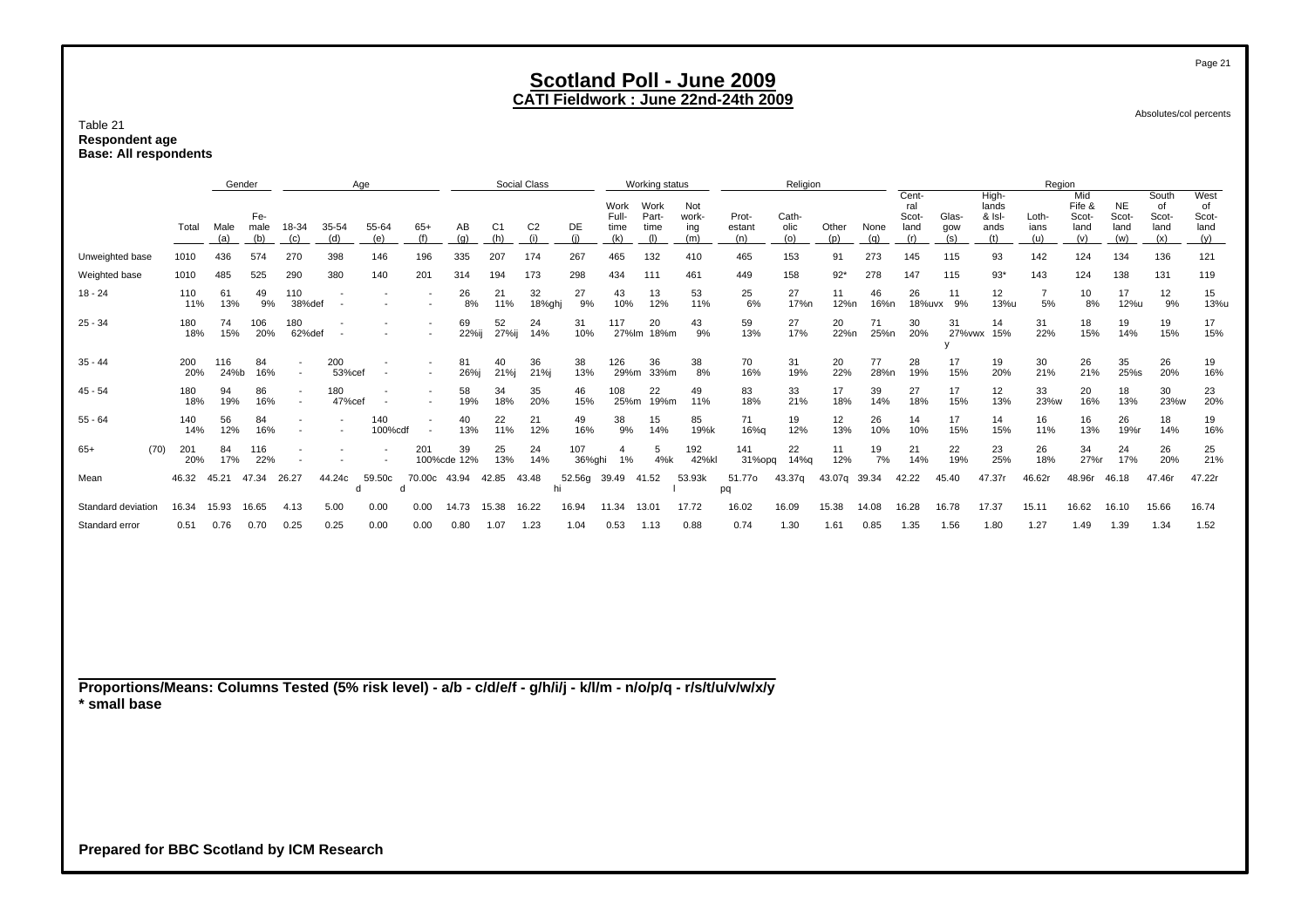Table 21 **Respondent age Base: All respondents**

|                    |            |             | Gender             |               |               | Age            |                          |                   |                       | Social Class   |               |                              | Working status        |                            |                        | Religion             |              |             |                               |                     |                                  | Region               |                                |                                   |                                     |                                    |
|--------------------|------------|-------------|--------------------|---------------|---------------|----------------|--------------------------|-------------------|-----------------------|----------------|---------------|------------------------------|-----------------------|----------------------------|------------------------|----------------------|--------------|-------------|-------------------------------|---------------------|----------------------------------|----------------------|--------------------------------|-----------------------------------|-------------------------------------|------------------------------------|
|                    | Total      | Male<br>(a) | Fe-<br>male<br>(b) | 18-34<br>(c)  | 35-54<br>(d)  | 55-64<br>(e)   | $65+$                    | AВ<br>(g)         | C <sub>1</sub><br>(h) | C <sub>2</sub> | DE            | Work<br>Full-<br>time<br>(k) | Work<br>Part-<br>time | Not<br>work-<br>ing<br>(m) | Prot-<br>estant<br>(n) | Cath-<br>olic<br>(o) | Other<br>(p) | None<br>(a) | Cent-<br>ral<br>Scot-<br>land | Glas-<br>gow<br>(s) | High-<br>lands<br>& Isl-<br>ands | Loth-<br>ians<br>(u) | Mid<br>Fife &<br>Scot-<br>land | <b>NE</b><br>Scot-<br>land<br>(w) | South<br>οf<br>Scot-<br>land<br>(x) | West<br>οf<br>Scot-<br>land<br>(y) |
| Unweighted base    | 1010       | 436         | 574                | 270           | 398           | 146            |                          | 335               | 207                   | 174            | 267           | 465                          | 132                   | 410                        | 465                    | 153                  | 91           | 273         | 145                           | 115                 | 93                               | 142                  | 124                            | 134                               | 136                                 | 121                                |
| Weighted base      | 1010       | 485         | 525                | 290           | 380           | 140            | 201                      | 314               | 194                   | 173            | 298           | 434                          | 111                   | 461                        | 449                    | 158                  | $92*$        | 278         | 147                           | 115                 | $93*$                            | 143                  | 124                            | 138                               | 131                                 | 119                                |
| $18 - 24$          | 110<br>11% | 61<br>13%   | 49<br>9%           | 110<br>38%def |               |                |                          | 26<br>8%          | 21<br>11%             | 32<br>18%ghj   | 27<br>9%      | 43<br>10%                    | 13<br>12%             | 53<br>11%                  | 25<br>6%               | 27<br>17%n           | 11<br>12%n   | 46<br>16%n  | 26<br>18%uvx                  | 11<br>9%            | 12<br>13%u                       | 5%                   | 10<br>8%                       | 17<br>12%u                        | 12<br>9%                            | 15<br>13%u                         |
| $25 - 34$          | 180<br>18% | 74<br>15%   | 106<br>20%         | 180<br>62%def |               |                |                          | 69<br>22%ij       | 52<br>27%ij           | 24<br>14%      | 31<br>10%     | 117<br>27%lm                 | 20<br>18%m            | 43<br>9%                   | 59<br>13%              | 27<br>17%            | 20<br>22%n   | 71<br>25%n  | 30<br>20%                     | 31<br>27%vwx 15%    | 14                               | 31<br>22%            | 18<br>15%                      | 19<br>14%                         | 19<br>15%                           | 17<br>15%                          |
| $35 - 44$          | 200<br>20% | 116<br>24%b | 84<br>16%          |               | 200<br>53%cef |                | $\overline{\phantom{a}}$ | 81<br>26%i        | 40<br>21%i            | 36<br>21%i     | 38<br>13%     | 126<br>29%m                  | 36<br>33%m            | 38<br>8%                   | 70<br>16%              | 31<br>19%            | 20<br>22%    | 77<br>28%n  | 28<br>19%                     | 17<br>15%           | 19<br>20%                        | 30<br>21%            | 26<br>21%                      | 35<br>25%s                        | 26<br>20%                           | 19<br>16%                          |
| $45 - 54$          | 180<br>18% | 94<br>19%   | 86<br>16%          |               | 180<br>47%cef |                |                          | 58<br>19%         | 34<br>18%             | 35<br>20%      | 46<br>15%     | 108<br>25%m                  | 22<br>19%m            | 49<br>11%                  | 83<br>18%              | 33<br>21%            | 17<br>18%    | 39<br>14%   | 27<br>18%                     | 17<br>15%           | 12<br>13%                        | 33<br>23%w           | 20<br>16%                      | 18<br>13%                         | 30<br>23%w                          | 23<br>20%                          |
| $55 - 64$          | 140<br>14% | 56<br>12%   | 84<br>16%          |               |               | 140<br>100%cdf |                          | 40<br>13%         | 22<br>11%             | 21<br>12%      | 49<br>16%     | 38<br>9%                     | 15<br>14%             | 85<br>19%k                 | 71<br>16%g             | 19<br>12%            | 12<br>13%    | 26<br>10%   | 14<br>10%                     | 17<br>15%           | 14<br>15%                        | 16<br>11%            | 16<br>13%                      | 26<br>19%r                        | 18<br>14%                           | 19<br>16%                          |
| $65+$<br>(70)      | 201<br>20% | 84<br>17%   | 116<br>22%         |               |               |                | 201                      | 39<br>100%cde 12% | 25<br>13%             | 24<br>14%      | 107<br>36%ghi | 1%                           | 4%k                   | 192<br>42%kl               | 141<br>31%opq          | 22<br>14%g           | 11<br>12%    | 19<br>7%    | 21<br>14%                     | 22<br>19%           | 23<br>25%                        | 26<br>18%            | 34<br>27%r                     | 24<br>17%                         | 26<br>20%                           | 25<br>21%                          |
| Mean               | 46.32      | 45.21       | 47.34              | 26.27         | 44.24c        | 59.50c         | 70.00c 43.94             |                   | 42.85                 | 43.48          | 52.56g        | 39.49                        | 41.52                 | 53.93k                     | 51.77o<br>pq           | 43.37g               | 43.07g       | 39.34       | 42.22                         | 45.40               | 47.37r                           | 46.62r               | 48.96r                         | 46.18                             | 47.46r                              | 47.22r                             |
| Standard deviation | 16.34      | 15.93       | 16.65              | 4.13          | 5.00          | 0.00           | 0.00                     | 14.73             | 15.38                 | 16.22          | 16.94         | 11.34                        | 13.01                 | 17.72                      | 16.02                  | 16.09                | 15.38        | 14.08       | 16.28                         | 16.78               | 17.37                            | 15.11                | 16.62                          | 16.10                             | 15.66                               | 16.74                              |
| Standard error     | 0.51       | 0.76        | 0.70               | 0.25          | 0.25          | 0.00           | 0.00                     | 0.80              | 1.07                  | 1.23           | 1.04          | 0.53                         | 1.13                  | 0.88                       | 0.74                   | 1.30                 | 1.61         | 0.85        | 1.35                          | 1.56                | 1.80                             | 1.27                 | 1.49                           | 1.39                              | 1.34                                | 1.52                               |

**Proportions/Means: Columns Tested (5% risk level) - a/b - c/d/e/f - g/h/i/j - k/l/m - n/o/p/q - r/s/t/u/v/w/x/y \* small base**

**Prepared for BBC Scotland by ICM Research**

Page 21

Absolutes/col percents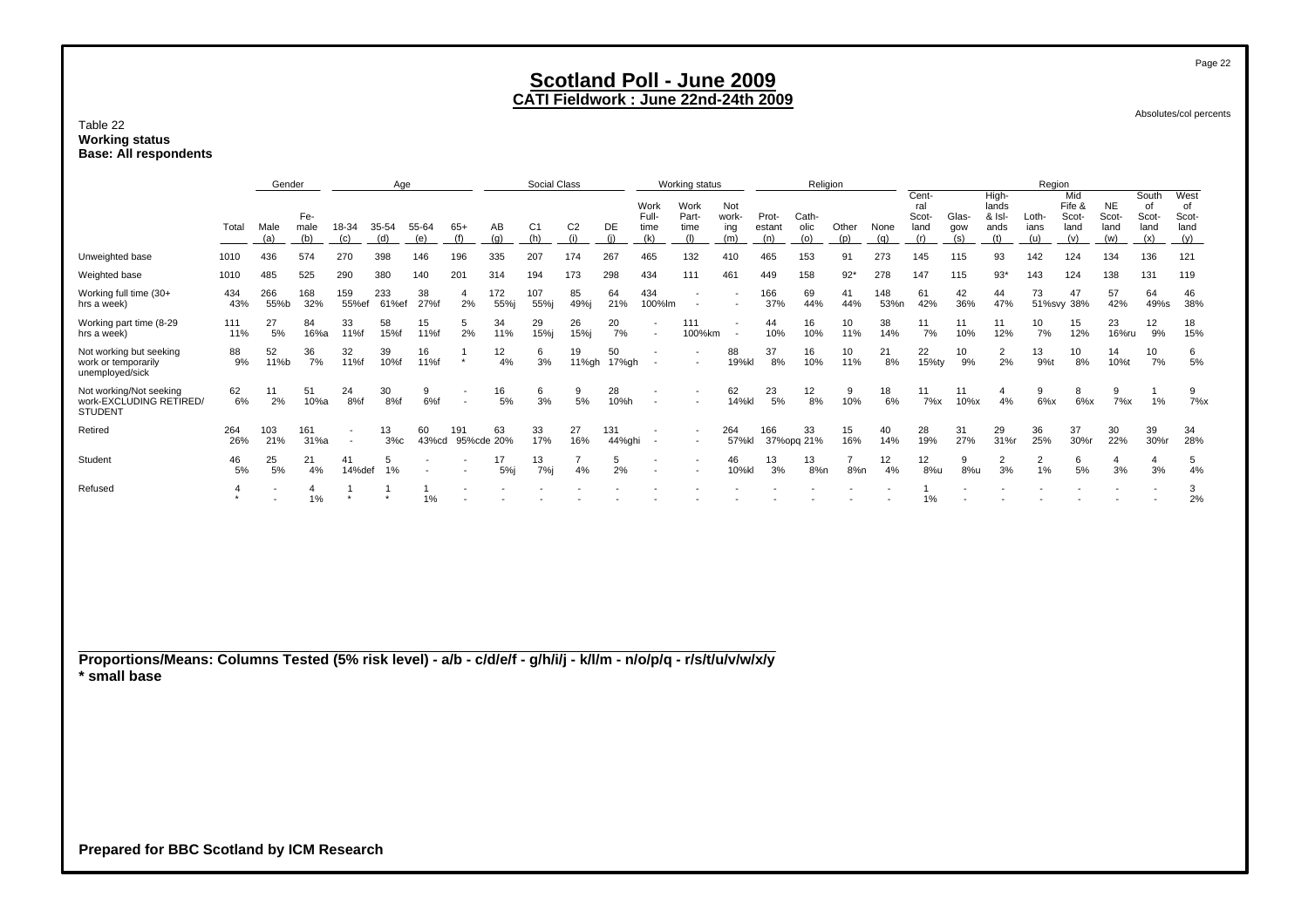#### Table 22 **Working status Base: All respondents**

|                                                                                                                 |                           | Gender      |                    |               | Age          |              |                           |                  | Social Class          |                         |               |                              | Working status               |                            |                        |                      | <b>Religion</b>       |             |                                      |                     |                                         | Region               |                                       |                                   |                                     |                                    |
|-----------------------------------------------------------------------------------------------------------------|---------------------------|-------------|--------------------|---------------|--------------|--------------|---------------------------|------------------|-----------------------|-------------------------|---------------|------------------------------|------------------------------|----------------------------|------------------------|----------------------|-----------------------|-------------|--------------------------------------|---------------------|-----------------------------------------|----------------------|---------------------------------------|-----------------------------------|-------------------------------------|------------------------------------|
|                                                                                                                 | Total                     | Male<br>(a) | Fe-<br>male<br>(b) | 18-34<br>(c)  | 35-54<br>(d) | 55-64<br>(e) | $65+$<br>(f)              | AB<br>(a)        | C <sub>1</sub><br>(h) | C <sub>2</sub><br>(i)   | DE<br>(i)     | Work<br>Full-<br>time<br>(k) | Work<br>Part-<br>time<br>(1) | Not<br>work-<br>ing<br>(m) | Prot-<br>estant<br>(n) | Cath-<br>olic<br>(o) | Other<br>(p)          | None<br>(g) | Cent-<br>ral<br>Scot-<br>land<br>(r) | Glas-<br>gow<br>(s) | High-<br>lands<br>& Isl-<br>ands<br>(t) | Loth-<br>ians<br>(u) | Mid<br>Fife &<br>Scot-<br>land<br>(v) | <b>NE</b><br>Scot-<br>land<br>(w) | South<br>of<br>Scot-<br>land<br>(x) | West<br>of<br>Scot-<br>land<br>(y) |
| Unweighted base                                                                                                 | 1010                      | 436         | 574                | 270           | 398          | 146          | 196                       | 335              | 207                   | 174                     | 267           | 465                          | 132                          | 410                        | 465                    | 153                  | 91                    | 273         | 145                                  | 115                 | 93                                      | 142                  | 124                                   | 134                               | 136                                 | 121                                |
| Weighted base                                                                                                   | 1010                      | 485         | 525                | 290           | 380          | 140          | 201                       | 314              | 194                   | 173                     | 298           | 434                          | 111                          | 461                        | 449                    | 158                  | $92*$                 | 278         | 147                                  | 115                 | $93*$                                   | 143                  | 124                                   | 138                               | 131                                 | 119                                |
| Working full time (30+<br>hrs a week)                                                                           | 434<br>43%                | 266<br>55%b | 168<br>32%         | 159<br>55%ef  | 233<br>61%ef | 38<br>27%f   | $\overline{4}$<br>2%      | 172<br>55%j      | 107<br>55%j           | 85<br>49%j              | 64<br>21%     | 434<br>100%lm                | $\overline{\phantom{a}}$     |                            | 166<br>37%             | 69<br>44%            | 41<br>44%             | 148<br>53%n | 61<br>42%                            | 42<br>36%           | 44<br>47%                               | 73                   | 47<br>51%svy 38%                      | 57<br>42%                         | 64<br>49%s                          | 46<br>38%                          |
| Working part time (8-29<br>hrs a week)                                                                          | 111<br>11%                | 27<br>5%    | 84<br>16%a         | 33<br>11%f    | 58<br>15%f   | 15<br>11%f   | 5<br>2%                   | 34<br>11%        | 29<br>15%j            | 26<br>15%j              | 20<br>7%      |                              | 111<br>100%km                |                            | 44<br>10%              | 16<br>10%            | 10<br>11%             | 38<br>14%   | 11<br>7%                             | 11<br>10%           | 11<br>12%                               | 10<br>7%             | 15<br>12%                             | 23<br>16%ru                       | 12<br>9%                            | 18<br>15%                          |
| Not working but seeking<br>work or temporarily<br>unemployed/sick                                               | 88<br>9%                  | 52<br>11%b  | 36<br>7%           | 32<br>11%f    | 39<br>10%f   | 16<br>11%f   | $\overline{1}$<br>$\star$ | 12<br>4%         | 6<br>3%               | 19<br>11%gh             | 50<br>17%gh   |                              |                              | 88<br>19%kl                | 37<br>8%               | 16<br>10%            | 10<br>11%             | 21<br>8%    | 22<br>15%ty                          | 10<br>9%            | $\overline{2}$<br>2%                    | 13<br>9%t            | 10<br>8%                              | 14<br>10%t                        | 10<br>7%                            | 6<br>5%                            |
| Not working/Not seeking<br>work-EXCLUDING RETIRED/<br><b>STUDENT</b>                                            | 62<br>6%                  | 11<br>2%    | 51<br>10%a         | 24<br>8%f     | 30<br>8%f    | 9<br>6%f     |                           | 16<br>5%         | 6<br>3%               | 9<br>5%                 | 28<br>10%h    |                              |                              | 62<br>14%kl                | 23<br>5%               | 12<br>8%             | 9<br>10%              | 18<br>6%    | 11<br>7%x                            | 11<br>$10\%x$       | $\overline{4}$<br>4%                    | 9<br>6%x             | 8<br>$6\%x$                           | 9<br>$7\%x$                       | $\overline{1}$<br>1%                | 9<br>7%x                           |
| Retired                                                                                                         | 264<br>26%                | 103<br>21%  | 161<br>31%a        |               | 13<br>3%c    | 60<br>43%cd  | 191                       | 63<br>95%cde 20% | 33<br>17%             | 27<br>16%               | 131<br>44%ghi |                              |                              | 264<br>57%kl               | 166                    | 33<br>37%opg 21%     | 15<br>16%             | 40<br>14%   | 28<br>19%                            | 31<br>27%           | 29<br>31%r                              | 36<br>25%            | 37<br>30%r                            | 30<br>22%                         | 39<br>30%r                          | 34<br>28%                          |
| Student                                                                                                         | 46<br>5%                  | 25<br>5%    | 21<br>4%           | 41<br>14%def  | 5<br>1%      |              |                           | 17<br>5%j        | 13<br>7%              | $\overline{7}$<br>$4\%$ | 5<br>2%       |                              |                              | 46<br>10%kl                | 13<br>3%               | 13<br>8%n            | $\overline{7}$<br>8%n | 12<br>4%    | 12<br>8%u                            | 9<br>8%u            | $\overline{2}$<br>3%                    | $\overline{2}$<br>1% | 6<br>5%                               | $\overline{4}$<br>3%              | $\overline{4}$<br>3%                | $5\phantom{.0}$<br>4%              |
| Refused                                                                                                         | $\overline{4}$<br>$\star$ |             | 4<br>1%            | -1<br>$\star$ | $\star$      | -1<br>1%     |                           |                  |                       |                         |               |                              |                              |                            |                        |                      |                       |             | 1<br>1%                              |                     |                                         |                      |                                       |                                   |                                     | 3<br>2%                            |
|                                                                                                                 |                           |             |                    |               |              |              |                           |                  |                       |                         |               |                              |                              |                            |                        |                      |                       |             |                                      |                     |                                         |                      |                                       |                                   |                                     |                                    |
| Proportions/Means: Columns Tested (5% risk level) - a/b - c/d/e/f - g/h/i/j - k/l/m - n/o/p/q - r/s/t/u/v/w/x/y |                           |             |                    |               |              |              |                           |                  |                       |                         |               |                              |                              |                            |                        |                      |                       |             |                                      |                     |                                         |                      |                                       |                                   |                                     |                                    |
| * small base                                                                                                    |                           |             |                    |               |              |              |                           |                  |                       |                         |               |                              |                              |                            |                        |                      |                       |             |                                      |                     |                                         |                      |                                       |                                   |                                     |                                    |
|                                                                                                                 |                           |             |                    |               |              |              |                           |                  |                       |                         |               |                              |                              |                            |                        |                      |                       |             |                                      |                     |                                         |                      |                                       |                                   |                                     |                                    |
|                                                                                                                 |                           |             |                    |               |              |              |                           |                  |                       |                         |               |                              |                              |                            |                        |                      |                       |             |                                      |                     |                                         |                      |                                       |                                   |                                     |                                    |
|                                                                                                                 |                           |             |                    |               |              |              |                           |                  |                       |                         |               |                              |                              |                            |                        |                      |                       |             |                                      |                     |                                         |                      |                                       |                                   |                                     |                                    |
|                                                                                                                 |                           |             |                    |               |              |              |                           |                  |                       |                         |               |                              |                              |                            |                        |                      |                       |             |                                      |                     |                                         |                      |                                       |                                   |                                     |                                    |

Absolutes/col percents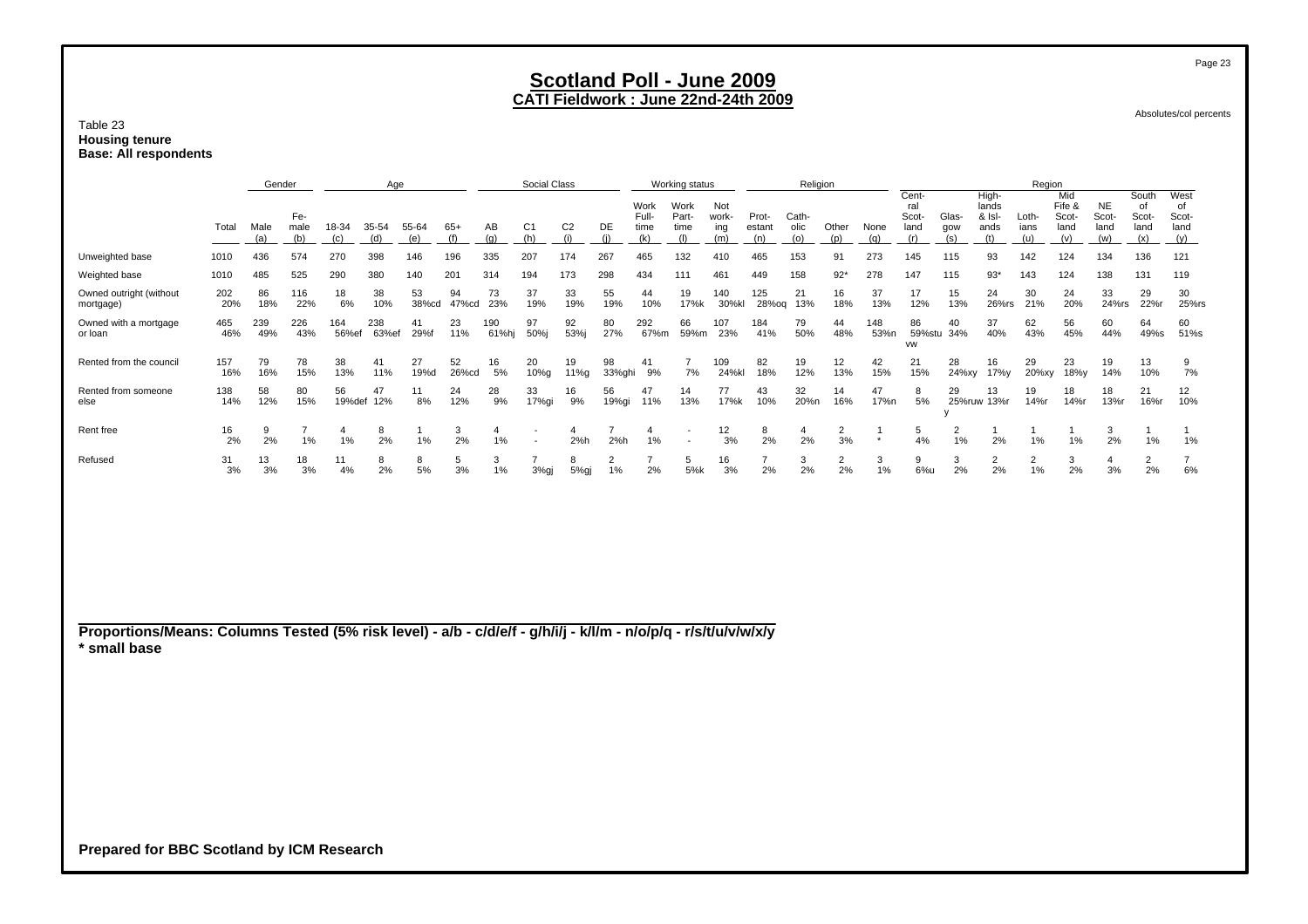#### Table 23 **Housing tenure Base: All respondents**

|                                                                                                                                 | Age        |             |                      | Social Class         |              |              |              | Working status |                       |                       | Religion             |                              |                              |                            |                        |                      | Region               |             |                                      |                      |                                         |                      |                                       |                                   |                                     |                                    |
|---------------------------------------------------------------------------------------------------------------------------------|------------|-------------|----------------------|----------------------|--------------|--------------|--------------|----------------|-----------------------|-----------------------|----------------------|------------------------------|------------------------------|----------------------------|------------------------|----------------------|----------------------|-------------|--------------------------------------|----------------------|-----------------------------------------|----------------------|---------------------------------------|-----------------------------------|-------------------------------------|------------------------------------|
|                                                                                                                                 | Total      | Male<br>(a) | Fe-<br>male<br>(b)   | 18-34<br>(c)         | 35-54<br>(d) | 55-64<br>(e) | $65+$<br>(f) | AB<br>(q)      | C <sub>1</sub><br>(h) | C <sub>2</sub><br>(i) | DE<br>(i)            | Work<br>Full-<br>time<br>(k) | Work<br>Part-<br>time<br>(1) | Not<br>work-<br>ing<br>(m) | Prot-<br>estant<br>(n) | Cath-<br>olic<br>(o) | Other<br>(p)         | None<br>(q) | Cent-<br>ral<br>Scot-<br>land<br>(r) | Glas-<br>gow<br>(s)  | High-<br>lands<br>& Isl-<br>ands<br>(t) | Loth-<br>ians<br>(u) | Mid<br>Fife &<br>Scot-<br>land<br>(v) | <b>NE</b><br>Scot-<br>land<br>(w) | South<br>of<br>Scot-<br>land<br>(x) | West<br>of<br>Scot-<br>land<br>(y) |
| Unweighted base                                                                                                                 | 1010       | 436         | 574                  | 270                  | 398          | 146          | 196          | 335            | 207                   | 174                   | 267                  | 465                          | 132                          | 410                        | 465                    | 153                  | 91                   | 273         | 145                                  | 115                  | 93                                      | 142                  | 124                                   | 134                               | 136                                 | 121                                |
| Weighted base                                                                                                                   | 1010       | 485         | 525                  | 290                  | 380          | 140          | 201          | 314            | 194                   | 173                   | 298                  | 434                          | 111                          | 461                        | 449                    | 158                  | $92*$                | 278         | 147                                  | 115                  | $93*$                                   | 143                  | 124                                   | 138                               | 131                                 | 119                                |
| Owned outright (without<br>mortgage)                                                                                            | 202<br>20% | 86<br>18%   | 116<br>22%           | 18<br>6%             | 38<br>10%    | 53<br>38%cd  | 94<br>47%cd  | 73<br>23%      | 37<br>19%             | 33<br>19%             | 55<br>19%            | 44<br>10%                    | 19<br>17%k                   | 140<br>30%kl               | 125<br>28%og           | 21<br>13%            | 16<br>18%            | 37<br>13%   | 17<br>12%                            | 15<br>13%            | 24<br>26%rs                             | 30<br>21%            | 24<br>20%                             | 33<br>24%rs                       | 29<br>22%r                          | 30<br>25%rs                        |
| Owned with a mortgage<br>or loan                                                                                                | 465<br>46% | 239<br>49%  | 226<br>43%           | 164<br>56%ef         | 238<br>63%ef | 41<br>29%f   | 23<br>11%    | 190<br>61%hj   | 97<br>50%j            | 92<br>53%j            | 80<br>27%            | 292<br>67%m                  | 66<br>59%m                   | 107<br>23%                 | 184<br>41%             | 79<br>50%            | 44<br>48%            | 148<br>53%n | 86<br><b>VW</b>                      | 40<br>59%stu 34%     | 37<br>40%                               | 62<br>43%            | 56<br>45%                             | 60<br>44%                         | 64<br>49%s                          | 60<br>51%s                         |
| Rented from the council                                                                                                         | 157<br>16% | 79<br>16%   | 78<br>15%            | 38<br>13%            | 41<br>11%    | 27<br>19%d   | 52<br>26%cd  | 16<br>5%       | 20<br>10%g            | 19<br>11%g            | 98<br>33%ghi         | 41<br>9%                     | $\overline{7}$<br>7%         | 109<br>24%kl               | 82<br>18%              | 19<br>12%            | 12<br>13%            | 42<br>15%   | 21<br>15%                            | 28<br>24%xy          | 16<br>17%y                              | 29<br>20%xy          | 23<br>18%y                            | 19<br>14%                         | 13<br>10%                           | 9<br>7%                            |
| Rented from someone<br>else                                                                                                     | 138<br>14% | 58<br>12%   | 80<br>15%            | 56<br>19%def         | 47<br>12%    | 11<br>8%     | 24<br>12%    | 28<br>9%       | 33<br>17%gi           | 16<br>9%              | 56<br>19%gi          | 47<br>11%                    | 14<br>13%                    | 77<br>17%k                 | 43<br>10%              | 32<br>20%n           | 14<br>16%            | 47<br>17%n  | 8<br>5%                              | 29                   | 13<br>25%ruw 13%r                       | 19<br>14%r           | 18<br>14%r                            | 18<br>13%r                        | 21<br>16%r                          | 12<br>10%                          |
| Rent free                                                                                                                       | 16<br>2%   | 9<br>2%     | $\overline{7}$<br>1% | $\overline{4}$<br>1% | 8<br>2%      | 1%           | 3<br>2%      | 4<br>1%        |                       | 4<br>2%h              | 7<br>2%h             | 4<br>1%                      |                              | 12<br>3%                   | 8<br>2%                | 4<br>2%              | $\overline{2}$<br>3% | $\star$     | 5<br>4%                              | $\overline{2}$<br>1% | 2%                                      | 1%                   | 1%                                    | 3<br>2%                           | -1<br>1%                            | 1<br>1%                            |
| Refused                                                                                                                         | 31<br>3%   | 13<br>3%    | 18<br>3%             | 11<br>4%             | 8<br>2%      | 8<br>5%      | 5<br>3%      | 3<br>1%        | 3%gj                  | 8<br>5%gj             | $\overline{2}$<br>1% | 2%                           | 5<br>5%k                     | 16<br>3%                   | 2%                     | 3<br>2%              | $\overline{2}$<br>2% | 3<br>1%     | 9<br>6%u                             | 3<br>2%              | 2<br>2%                                 | 2<br>1%              | 3<br>2%                               | 4<br>3%                           | $\overline{2}$<br>2%                | $\overline{7}$<br>6%               |
|                                                                                                                                 |            |             |                      |                      |              |              |              |                |                       |                       |                      |                              |                              |                            |                        |                      |                      |             |                                      |                      |                                         |                      |                                       |                                   |                                     |                                    |
| Proportions/Means: Columns Tested (5% risk level) - a/b - c/d/e/f - g/h/i/j - k/l/m - n/o/p/q - r/s/t/u/v/w/x/y<br>* small base |            |             |                      |                      |              |              |              |                |                       |                       |                      |                              |                              |                            |                        |                      |                      |             |                                      |                      |                                         |                      |                                       |                                   |                                     |                                    |

Absolutes/col percents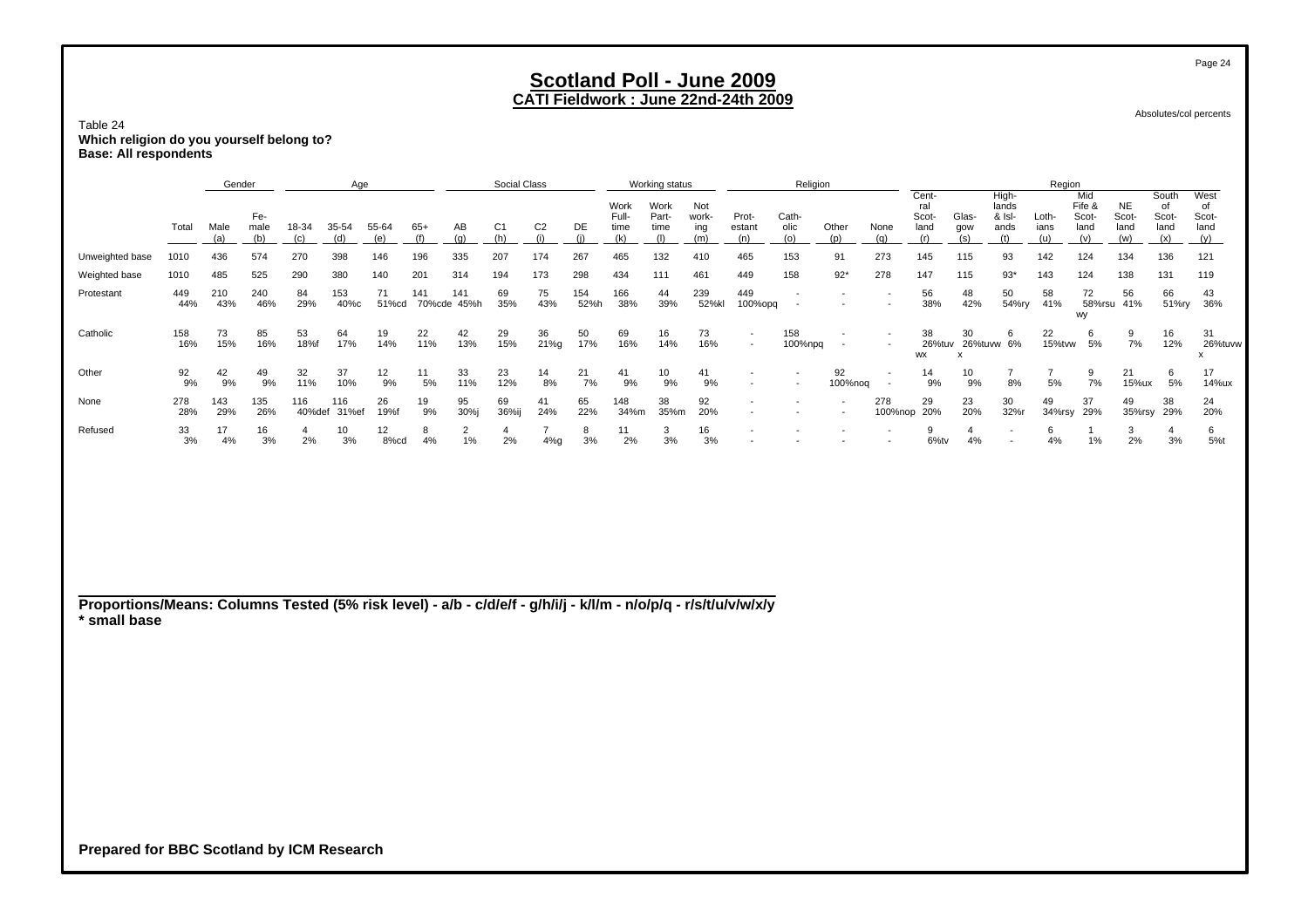Absolutes/col percents

Table 24 **Which religion do you yourself belong to? Base: All respondents**

|                 |            | Gender     |                    |               | Age                   |             |               |             | Social Class   |                |             |                       | Working status        |                     |                                                      | Religion                 |               |                          |                               |                       |                                  | Region        |                                |                            |                              |                                    |
|-----------------|------------|------------|--------------------|---------------|-----------------------|-------------|---------------|-------------|----------------|----------------|-------------|-----------------------|-----------------------|---------------------|------------------------------------------------------|--------------------------|---------------|--------------------------|-------------------------------|-----------------------|----------------------------------|---------------|--------------------------------|----------------------------|------------------------------|------------------------------------|
|                 | Total      | Male       | Fe-<br>male<br>(b) | 18-34         | 35-54<br>(d)          | 55-64       | 65+           | AB<br>(a    | C <sub>1</sub> | C <sub>2</sub> | DE          | Work<br>Full-<br>time | Work<br>Part-<br>time | Not<br>work-<br>ing | Prot-<br>estant                                      | Cath-<br>olic            | Other         | None                     | Cent-<br>ral<br>Scot-<br>land | Glas-<br>gow          | High-<br>lands<br>& Isl-<br>ands | Loth-<br>ians | Mid<br>Fife &<br>Scot-<br>land | <b>NE</b><br>Scot-<br>land | South<br>of<br>Scot-<br>land | West<br>of<br>Scot-<br>land<br>(y) |
| Unweighted base | 1010       | 436        | 574                | 270           | 398                   | 146         | 196           | 335         | 207            | 174            | 267         | 465                   | 132                   | 410                 | 465                                                  | 153                      | 91            | 273                      | 145                           | 115                   | 93                               | 142           | 124                            | 134                        | 136                          | 121                                |
| Weighted base   | 1010       | 485        | 525                | 290           | 380                   | 140         | 201           | 314         | 194            | 173            | 298         | 434                   | 111                   | 461                 | 449                                                  | 158                      | $92*$         | 278                      | 147                           | 115                   | $93*$                            | 143           | 124                            | 138                        | 131                          | 119                                |
| Protestant      | 449<br>44% | 210<br>43% | 240<br>46%         | 84<br>29%     | 153<br>40%с           | 71<br>51%cd | 141<br>70%cde | 141<br>45%h | 69<br>35%      | 75<br>43%      | 154<br>52%h | 166<br>38%            | 44<br>39%             | 239<br>52%kl        | 449<br>100%opq                                       | $\overline{\phantom{a}}$ |               |                          | 56<br>38%                     | 48<br>42%             | 50<br>54%ry                      | 58<br>41%     | 72<br>58%rsu                   | 56<br>41%                  | 66<br>51%ry                  | 43<br>36%                          |
| Catholic        | 158<br>16% | 73<br>15%  | 85<br>16%          | 53<br>18%f    | 64<br>17%             | 19<br>14%   | 22<br>11%     | 42<br>13%   | 29<br>15%      | 36<br>21%g     | 50<br>17%   | 69<br>16%             | 16<br>14%             | 73<br>16%           | $\overline{\phantom{a}}$<br>$\overline{\phantom{a}}$ | 158<br>100%npq           |               | $\overline{\phantom{0}}$ | 38<br>26%tuv<br><b>WX</b>     | 30<br>26%tuvw 6%<br>х | 6                                | 22<br>15%tvw  | wy<br>5%                       | 9<br>7%                    | 16<br>12%                    | 31<br>26%tuvw<br>X                 |
| Other           | 92<br>9%   | 42<br>9%   | 49<br>9%           | 32<br>11%     | 37<br>10%             | 12<br>9%    | 11<br>5%      | 33<br>11%   | 23<br>12%      | 14<br>8%       | 21<br>7%    | 41<br>9%              | 10<br>9%              | 41<br>9%            |                                                      | $\overline{\phantom{a}}$ | 92<br>100%noq |                          | 14<br>9%                      | 10<br>9%              | 8%                               | 5%            | 7%                             | 21<br>15%ux                | 5%                           | 17<br>14%ux                        |
| None            | 278<br>28% | 143<br>29% | 135<br>26%         | 116<br>40%def | 116<br>31%ef          | 26<br>19%f  | 19<br>9%      | 95<br>30%j  | 69<br>36%ij    | 41<br>24%      | 65<br>22%   | 148<br>34%m           | 38<br>35%m            | 92<br>20%           | $\overline{\phantom{a}}$<br>$\overline{\phantom{a}}$ |                          |               | 278<br>100%nop 20%       | 29                            | 23<br>20%             | 30<br>32%r                       | 49<br>34%rsy  | 37<br>29%                      | 49<br>35%rsy               | 38<br>29%                    | 24<br>20%                          |
| Refused         | 33<br>3%   | 17<br>4%   | 16<br>3%           | 2%            | 10 <sup>1</sup><br>3% | 12<br>8%cd  | 8<br>4%       | 1%          | 2%             | 4%g            | 8<br>3%     | 11<br>2%              | 3<br>3%               | 16<br>3%            |                                                      |                          |               |                          | 6%tv                          | 4%                    |                                  | 6<br>4%       | 1%                             | 3<br>2%                    | 3%                           | 6<br>5%t                           |

**Proportions/Means: Columns Tested (5% risk level) - a/b - c/d/e/f - g/h/i/j - k/l/m - n/o/p/q - r/s/t/u/v/w/x/y \* small base**

**Prepared for BBC Scotland by ICM Research**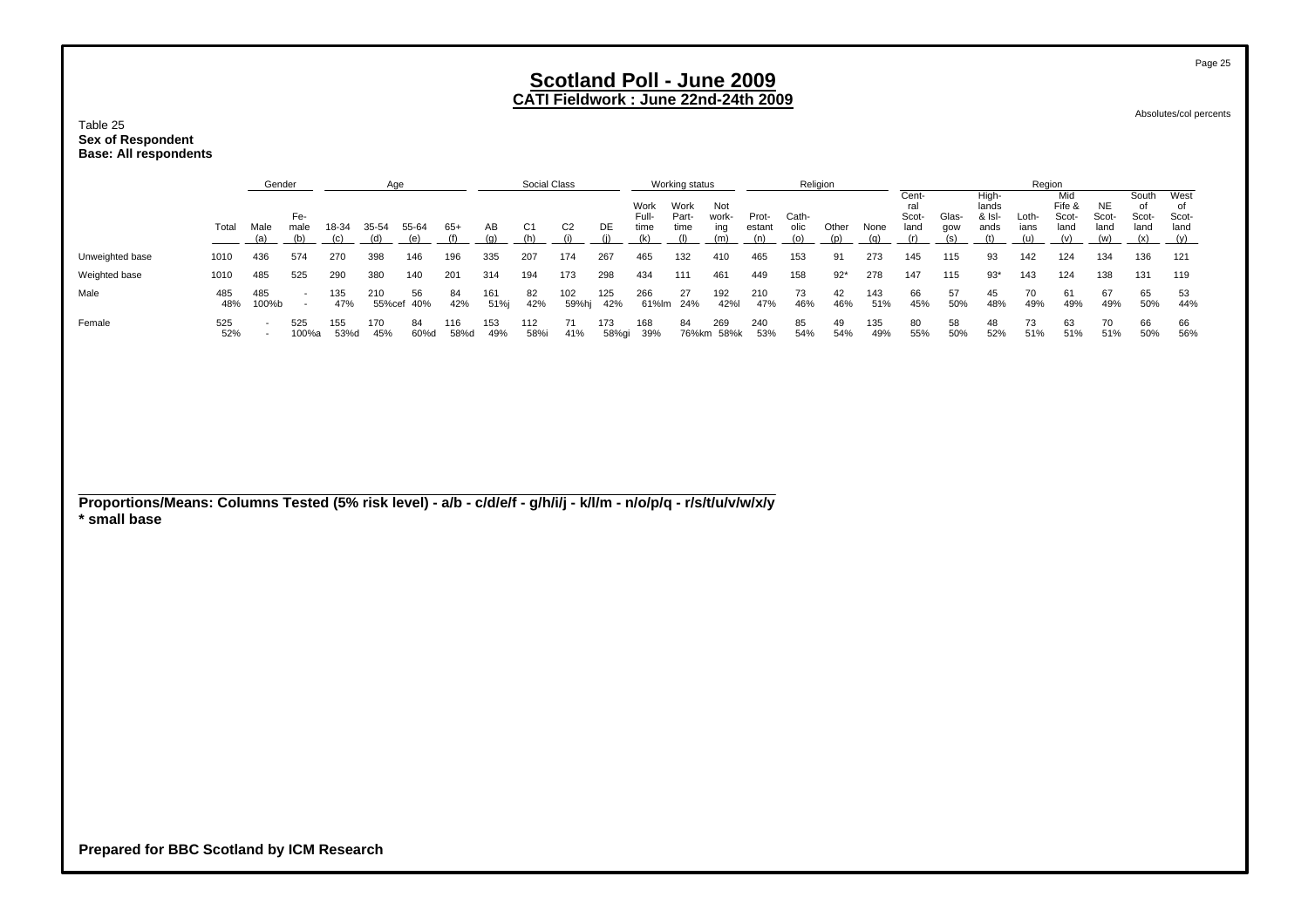Table 25 **Sex of Respondent Base: All respondents**

|                                                                                                                 |            | Gender                                               |                                    |              | Age          |                  |              |             | Social Class          |                       |              |                              | Working status               |                            |                        | Religion             |              |             |                                      |                     |                                         | Region               |                                       |                                   |                                     |                                    |
|-----------------------------------------------------------------------------------------------------------------|------------|------------------------------------------------------|------------------------------------|--------------|--------------|------------------|--------------|-------------|-----------------------|-----------------------|--------------|------------------------------|------------------------------|----------------------------|------------------------|----------------------|--------------|-------------|--------------------------------------|---------------------|-----------------------------------------|----------------------|---------------------------------------|-----------------------------------|-------------------------------------|------------------------------------|
|                                                                                                                 | Total      | Male<br>(a)                                          | Fe-<br>male<br>(b)                 | 18-34<br>(c) | 35-54<br>(d) | 55-64<br>(e)     | $65+$<br>(f) | AB<br>(g)   | C <sub>1</sub><br>(h) | C <sub>2</sub><br>(i) | DE<br>(i)    | Work<br>Full-<br>time<br>(k) | Work<br>Part-<br>time<br>(1) | Not<br>work-<br>ing<br>(m) | Prot-<br>estant<br>(n) | Cath-<br>olic<br>(o) | Other<br>(p) | None<br>(q) | Cent-<br>ral<br>Scot-<br>land<br>(r) | Glas-<br>gow<br>(s) | High-<br>lands<br>& Isl-<br>ands<br>(t) | Loth-<br>ians<br>(u) | Mid<br>Fife &<br>Scot-<br>land<br>(v) | <b>NE</b><br>Scot-<br>land<br>(w) | South<br>of<br>Scot-<br>land<br>(x) | West<br>of<br>Scot-<br>land<br>(y) |
| Unweighted base                                                                                                 | 1010       | 436                                                  | 574                                | 270          | 398          | 146              | 196          | 335         | 207                   | 174                   | 267          | 465                          | 132                          | 410                        | 465                    | 153                  | 91           | 273         | 145                                  | 115                 | 93                                      | 142                  | 124                                   | 134                               | 136                                 | 121                                |
| Weighted base                                                                                                   | 1010       | 485                                                  | 525                                | 290          | 380          | 140              | 201          | 314         | 194                   | 173                   | 298          | 434                          | 111                          | 461                        | 449                    | 158                  | $92*$        | 278         | 147                                  | 115                 | $93*$                                   | 143                  | 124                                   | 138                               | 131                                 | 119                                |
| Male                                                                                                            | 485<br>48% | 485<br>100%b                                         | $\sim$<br>$\overline{\phantom{a}}$ | 135<br>47%   | 210          | 56<br>55%cef 40% | 84<br>42%    | 161<br>51%j | 82<br>42%             | 102<br>59%hj          | 125<br>42%   | 266<br>61%lm                 | 27<br>24%                    | 192<br>42%l                | 210<br>47%             | 73<br>46%            | 42<br>46%    | 143<br>51%  | 66<br>45%                            | 57<br>50%           | 45<br>48%                               | 70<br>49%            | 61<br>49%                             | 67<br>49%                         | 65<br>50%                           | 53<br>44%                          |
| Female                                                                                                          | 525<br>52% | $\overline{\phantom{a}}$<br>$\overline{\phantom{a}}$ | 525<br>100%a                       | 155<br>53%d  | 170<br>45%   | 84<br>60%d       | 116<br>58%d  | 153<br>49%  | 112<br>58%i           | 71<br>41%             | 173<br>58%gi | 168<br>39%                   | 84                           | 269<br>76%km 58%k          | 240<br>53%             | 85<br>54%            | 49<br>54%    | 135<br>49%  | 80<br>55%                            | 58<br>50%           | 48<br>52%                               | 73<br>51%            | 63<br>51%                             | 70<br>51%                         | 66<br>50%                           | 66<br>56%                          |
| Proportions/Means: Columns Tested (5% risk level) - a/b - c/d/e/f - g/h/i/j - k/l/m - n/o/p/q - r/s/t/u/v/w/x/y |            |                                                      |                                    |              |              |                  |              |             |                       |                       |              |                              |                              |                            |                        |                      |              |             |                                      |                     |                                         |                      |                                       |                                   |                                     |                                    |
| * small base                                                                                                    |            |                                                      |                                    |              |              |                  |              |             |                       |                       |              |                              |                              |                            |                        |                      |              |             |                                      |                     |                                         |                      |                                       |                                   |                                     |                                    |
|                                                                                                                 |            |                                                      |                                    |              |              |                  |              |             |                       |                       |              |                              |                              |                            |                        |                      |              |             |                                      |                     |                                         |                      |                                       |                                   |                                     |                                    |
|                                                                                                                 |            |                                                      |                                    |              |              |                  |              |             |                       |                       |              |                              |                              |                            |                        |                      |              |             |                                      |                     |                                         |                      |                                       |                                   |                                     |                                    |
|                                                                                                                 |            |                                                      |                                    |              |              |                  |              |             |                       |                       |              |                              |                              |                            |                        |                      |              |             |                                      |                     |                                         |                      |                                       |                                   |                                     |                                    |
|                                                                                                                 |            |                                                      |                                    |              |              |                  |              |             |                       |                       |              |                              |                              |                            |                        |                      |              |             |                                      |                     |                                         |                      |                                       |                                   |                                     |                                    |

Page 25

Absolutes/col percents